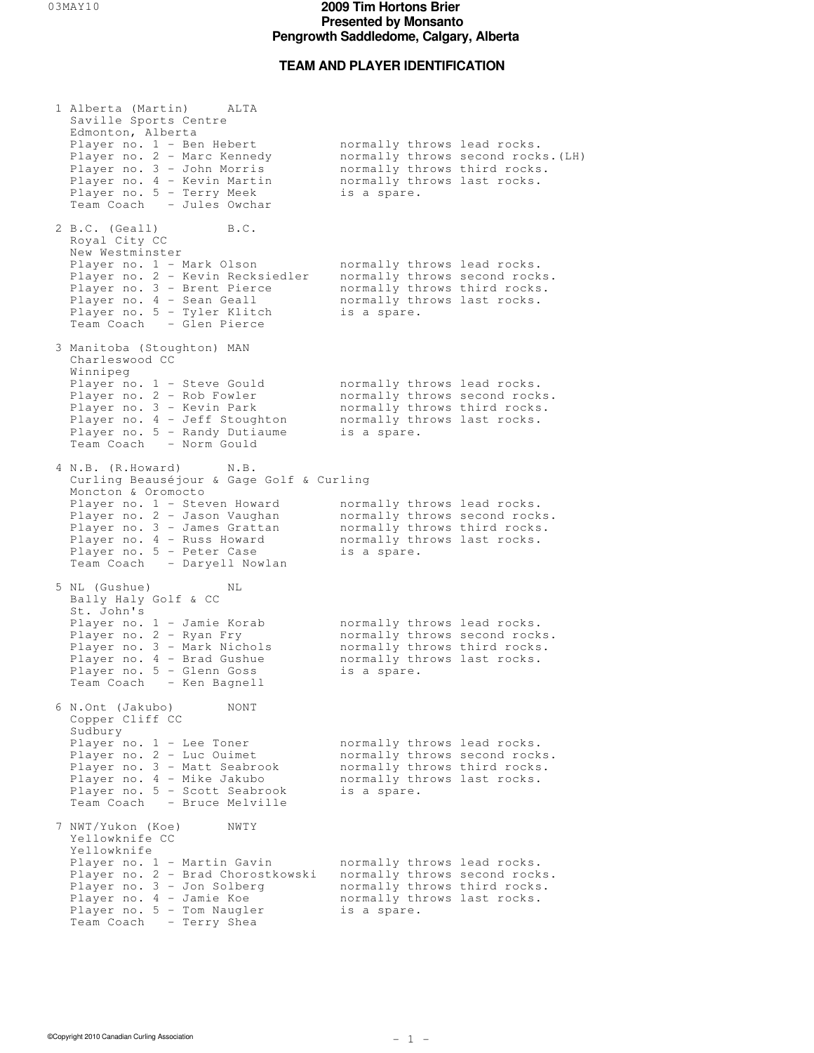### **TEAM AND PLAYER IDENTIFICATION**

 1 Alberta (Martin) ALTA Saville Sports Centre Edmonton, Alberta Player no. 1 - Ben Hebert hormally throws lead rocks. Player no. 2 - Marc Kennedy hormally throws second rocks. (LH) Player no. 3 - John Morris hormally throws third rocks. Player no. 4 - Kevin Martin hormally throws last rocks. Player no. 5 - Terry Meek is a spare. Team Coach - Jules Owchar 2 B.C. (Geall) B.C. Royal City CC New Westminster Player no. 1 - Mark Olson hormally throws lead rocks. Player no. 2 - Kevin Recksiedler normally throws second rocks. Player no. 3 - Brent Pierce hormally throws third rocks. Player no. 4 - Sean Geall hormally throws last rocks. Player no. 5 - Tyler Klitch is a spare. Team Coach - Glen Pierce 3 Manitoba (Stoughton) MAN Charleswood CC Winnipeg Player no. 1 - Steve Gould cormally throws lead rocks. Player no. 2 - Rob Fowler hormally throws second rocks. Player no. 3 - Kevin Park normally throws third rocks. Player no. 4 - Jeff Stoughton hormally throws last rocks. Player no. 5 - Randy Dutiaume is a spare. Team Coach - Norm Gould 4 N.B. (R.Howard) N.B. Curling Beauséjour & Gage Golf & Curling Moncton & Oromocto Player no. 1 - Steven Howard hormally throws lead rocks. Player no. 2 - Jason Vaughan and normally throws second rocks. Player no. 3 - James Grattan and normally throws third rocks. Player no. 4 - Russ Howard hormally throws last rocks. Player no. 5 - Peter Case is a spare. Team Coach - Daryell Nowlan 5 NL (Gushue) NL Bally Haly Golf & CC<br>St. John's St. John's Player no. 1 - Jamie Korab normally throws lead rocks. Player no. 2 - Ryan Fry hormally throws second rocks. Player no. 3 - Mark Nichols hormally throws third rocks. Player no. 4 - Brad Gushue hormally throws last rocks. Player no. 5 - Glenn Goss is a spare. Team Coach - Ken Bagnell 6 N.Ont (Jakubo) NONT Copper Cliff CC Sudbury Player no. 1 - Lee Toner hormally throws lead rocks. Player no. 2 - Luc Ouimet hormally throws second rocks. Player no. 3 - Matt Seabrook normally throws third rocks. Player no. 4 - Mike Jakubo hormally throws last rocks. Player no. 5 - Scott Seabrook is a spare. Team Coach - Bruce Melville 7 NWT/Yukon (Koe) NWTY Yellowknife CC Yellowknife Player no. 1 - Martin Gavin hormally throws lead rocks. Player no. 2 - Brad Chorostkowski normally throws second rocks. Player no. 3 - Jon Solberg normally throws third rocks. Player no. 4 - Jamie Koe hormally throws last rocks. Player no. 5 - Tom Naugler is a spare. Team Coach - Terry Shea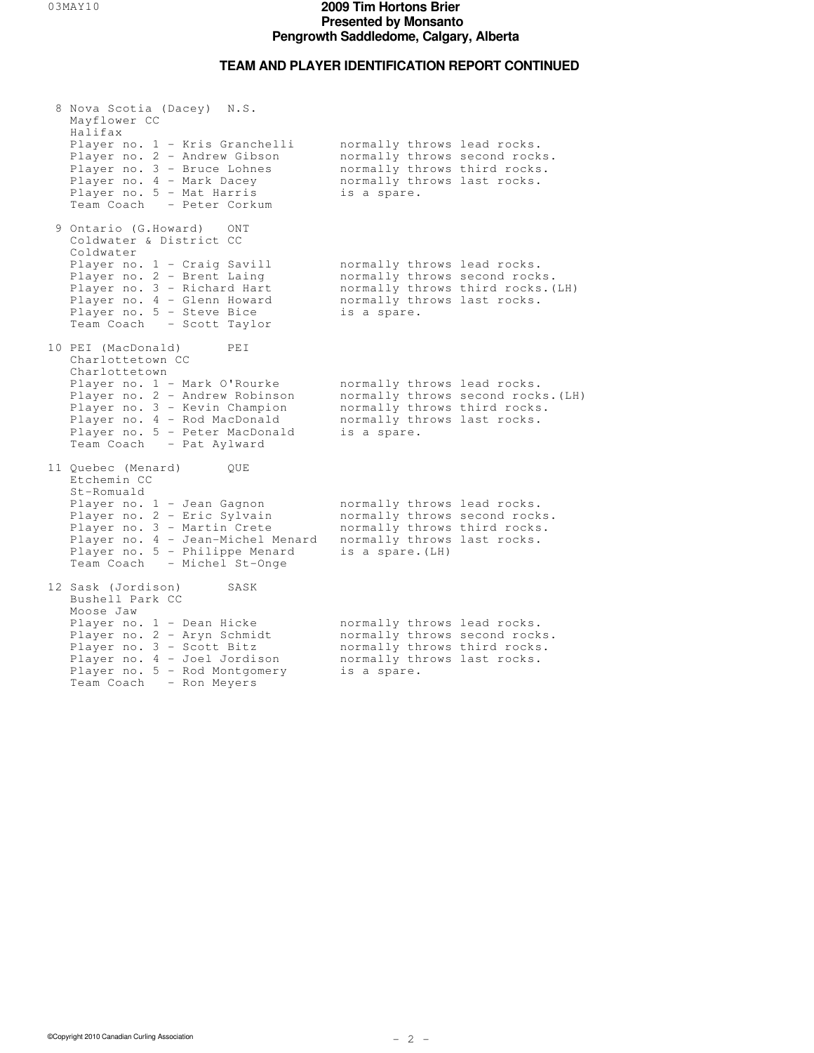## **TEAM AND PLAYER IDENTIFICATION REPORT CONTINUED**

| 8 Nova Scotia (Dacey) N.S.<br>Mayflower CC<br>Halifax                                                                                                                                                          |                                                                                                                                                 |                                    |
|----------------------------------------------------------------------------------------------------------------------------------------------------------------------------------------------------------------|-------------------------------------------------------------------------------------------------------------------------------------------------|------------------------------------|
| Player no. 1 - Kris Granchelli<br>Player no. 2 - Andrew Gibson<br>Player no. 3 - Bruce Lohnes<br>Player no. 4 - Mark Dacey<br>Player no. 5 - Mat Harris<br>Team Coach - Peter Corkum                           | normally throws lead rocks.<br>normally throws second rocks.<br>normally throws third rocks.<br>normally throws last rocks.<br>is a spare.      |                                    |
| 9 Ontario (G.Howard) ONT<br>Coldwater & District CC<br>Coldwater                                                                                                                                               |                                                                                                                                                 |                                    |
| Player no. 1 - Craig Savill<br>Player no. 2 - Brent Laing<br>Player no. 3 - Richard Hart<br>Player no. 4 - Glenn Howard<br>Player no. 5 - Steve Bice<br>Team Coach - Scott Taylor                              | normally throws lead rocks.<br>normally throws second rocks.<br>normally throws last rocks.<br>is a spare.                                      | normally throws third rocks. (LH)  |
| 10 PEI (MacDonald)<br>PEI<br>Charlottetown CC                                                                                                                                                                  |                                                                                                                                                 |                                    |
| Charlottetown<br>Player no. 1 - Mark O'Rourke<br>Player no. 2 - Andrew Robinson<br>Player no. 3 - Kevin Champion<br>Player no. 4 - Rod MacDonald<br>Player no. 5 - Peter MacDonald<br>Team Coach - Pat Aylward | normally throws lead rocks.<br>normally throws third rocks.<br>normally throws last rocks.<br>is a spare.                                       | normally throws second rocks. (LH) |
| 11 Quebec (Menard)<br>OUE<br>Etchemin CC                                                                                                                                                                       |                                                                                                                                                 |                                    |
| St-Romuald<br>Player no. 1 - Jean Gagnon<br>Player no. 2 - Eric Sylvain<br>Player no. 3 - Martin Crete<br>Player no. 4 - Jean-Michel Menard<br>Player no. 5 - Philippe Menard<br>Team Coach - Michel St-Onge   | normally throws lead rocks.<br>normally throws second rocks.<br>normally throws third rocks.<br>normally throws last rocks.<br>is a spare. (LH) |                                    |
| 12 Sask (Jordison)<br>SASK<br>Bushell Park CC                                                                                                                                                                  |                                                                                                                                                 |                                    |
| Moose Jaw<br>Player no. 1 - Dean Hicke<br>Player no. 2 - Aryn Schmidt<br>Player no. 3 - Scott Bitz<br>Player no. 4 - Joel Jordison<br>Player no. 5 - Rod Montgomery<br>Team Coach - Ron Meyers                 | normally throws lead rocks.<br>normally throws second rocks.<br>normally throws third rocks.<br>normally throws last rocks.<br>is a spare.      |                                    |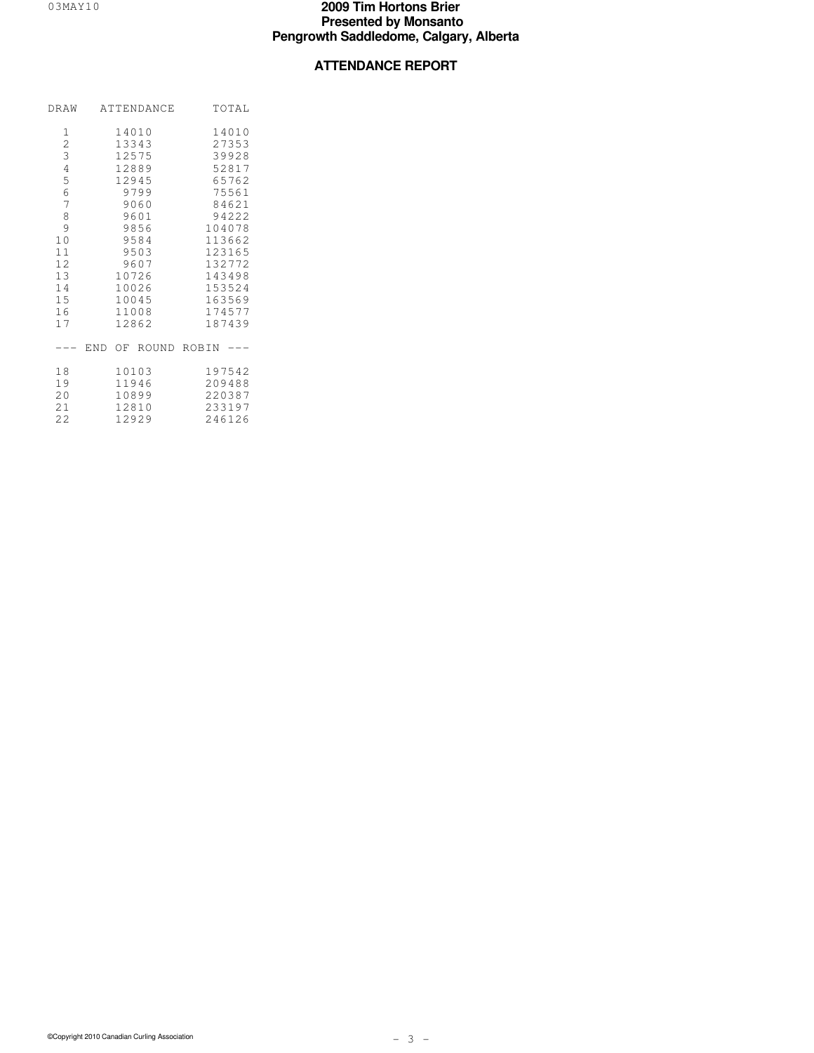# **ATTENDANCE REPORT**

|                                                                                                                                                                        |      | DRAW ATTENDANCE                                                                                                      |        |                                                                                                                                   | TOTAL |  |
|------------------------------------------------------------------------------------------------------------------------------------------------------------------------|------|----------------------------------------------------------------------------------------------------------------------|--------|-----------------------------------------------------------------------------------------------------------------------------------|-------|--|
| 1<br>$\overline{c}$<br>$\overline{3}$<br>$\sqrt{4}$<br>$\overline{5}$<br>$\sqrt{6}$<br>$\overline{7}$<br>$\,8\,$<br>9<br>10<br>11<br>12 <sub>2</sub><br>13<br>14<br>15 | 9601 | 14010<br>13343<br>12575<br>12889<br>12945<br>9799<br>9060<br>9856<br>9584<br>9503<br>9607<br>10726<br>10026<br>10045 | 14010  | 27353<br>39928<br>52817<br>65762<br>75561<br>84621<br>94222<br>104078<br>113662<br>123165<br>132772<br>143498<br>153524<br>163569 |       |  |
| 16<br>17                                                                                                                                                               |      | 11008<br>12862                                                                                                       |        | 174577<br>187439                                                                                                                  |       |  |
|                                                                                                                                                                        |      | --- END OF ROUND ROBIN ---                                                                                           |        |                                                                                                                                   |       |  |
| 18<br>19<br>20<br>21<br>22                                                                                                                                             |      | 10103<br>11946<br>10899<br>12810<br>12929                                                                            | 197542 | 209488<br>220387<br>233197<br>246126                                                                                              |       |  |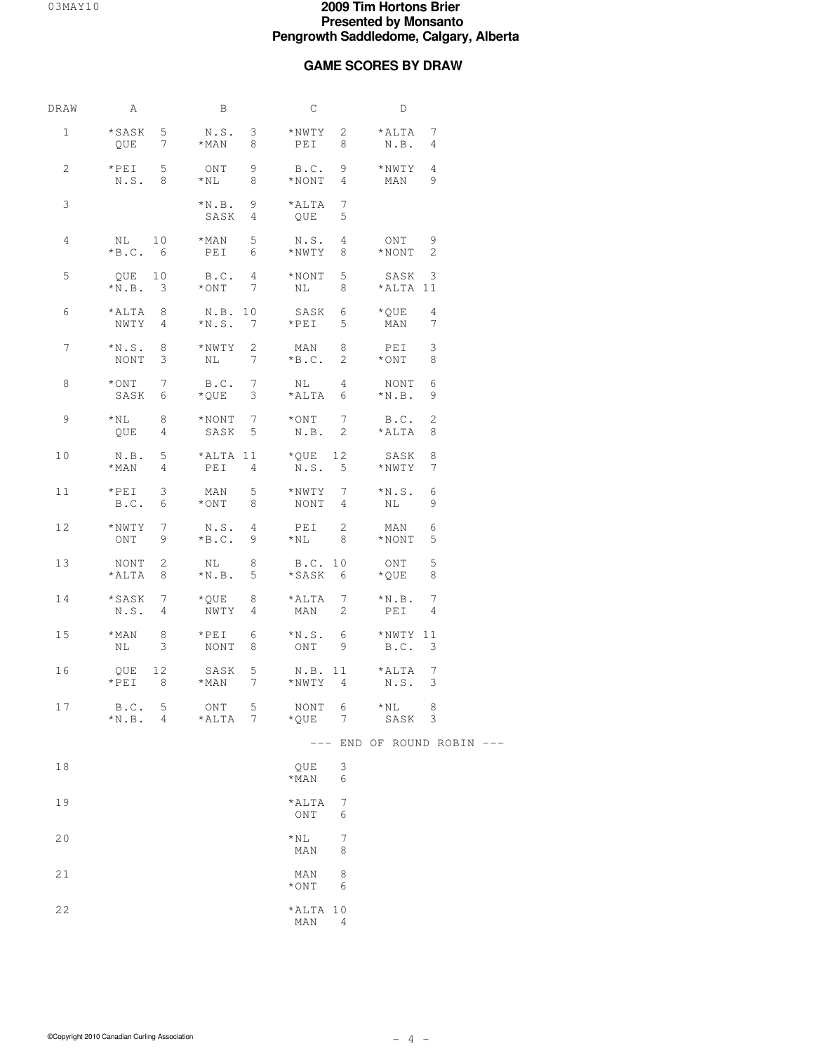# **GAME SCORES BY DRAW**

| DRAW            | A                                               | B                                                     | С                                       | D                                         |
|-----------------|-------------------------------------------------|-------------------------------------------------------|-----------------------------------------|-------------------------------------------|
| $\mathbf{1}$    | *SASK 5                                         | N.S. 3 *NWTY 2<br>$QUE \t 7 \t *MAN \t 8 \t PEI$      | $8 -$                                   | *ALTA 7<br>N.B. 4                         |
| 2               | $*PEI$ 5<br>N.S. 8                              | ONT 9<br>*NL 8                                        | $B.C. 9$ *NWTY 4<br>$*$ NONT 4          | 9<br>MAN                                  |
| 3               |                                                 | $*N.B. 9$<br>SASK 4                                   | $7\phantom{.0}$<br>$*$ ALTA<br>5<br>QUE |                                           |
| 4               |                                                 | PEI 6                                                 | N.S. 4<br>*NWTY 8                       | ONT 9<br>$*$ NONT 2                       |
| 5               | QUE 10<br>$*N.B. 3$                             | B.C. 4<br>$*$ ONT 7 NL                                | 5 <sub>1</sub><br>$*$ NONT<br>$8 -$     | SASK 3<br>*ALTA 11                        |
| 6               | $*ALTA$ 8<br>NWTY 4                             | N.B. 10<br>$*N.S.$ 7                                  | SASK 6 *QUE<br>$*PEI$<br>5              | $\overline{4}$<br>-7<br>MAN               |
| $\overline{7}$  | $*N.S. 8$<br>NONT 3                             | *NWTY 2<br>$NL$ 7                                     | MAN 8<br>$*B.C.$                        | $\mathbf{3}$<br>PEI<br>2 $\star$ ONT<br>8 |
| 8               | $*$ ONT 7<br>SASK 6                             | B.C. 7<br>*QUE 3                                      | $NL$ 4<br>*ALTA 6                       | NONT 6<br>9<br>$*N.B.$                    |
| 9               | $*$ NL 8<br>QUE 4                               | $*NONT$ 7                                             | $*$ ONT 7<br>SASK 5 N.B. 2 *ALTA        | B.C.<br>2<br>8                            |
| 10              | $*$ MAN 4                                       | N.B. 5 *ALTA 11 *QUE 12 SASK 8<br>PEI 4               | N.S. 5                                  | *NWTY 7                                   |
| 11              | $*PEI$ 3<br>B.C. 6                              | MAN 5<br>$*$ ONT 8 NONT 4                             | $*NWTY$ 7 $*N.S.$                       | 6<br>NL 1999 N<br>9                       |
| 12              | $*NWTY$ 7<br>ONT 9                              | N.S. 4<br>$*B.C.$ 9                                   | PEI 2<br>$*$ NL 8                       | 6<br>MAN<br>$*$ NONT<br>5                 |
| 13              | NONT 2<br>*ALTA 8                               | NL 8                                                  | B.C. 10<br>$*N.B.$ 5 $*SASK$ 6          | 5<br>ONT<br>*QUE<br>8                     |
| 14              | *SASK 7<br>N.S. 4                               | $\star$ QUE 8 $\star$ ALTA 7 $\star$ N.B. 7<br>NWTY 4 | MAN<br>2                                | $\overline{4}$<br>PEI                     |
| 15 <sub>1</sub> | $*$ MAN 8<br>3<br>NL 1999                       | $*PEI$ 6<br>NONT                                      | $*N.S.$ 6 $*NWTY 11$<br>8 ONT 9 B.C. 3  |                                           |
| 16              | 12<br>QUE<br>$*PEI$<br>8 <sup>8</sup>           | SASK 5 N.B. 11 *ALTA 7<br>*MAN 7 *NWTY 4              |                                         | N.S. 3                                    |
| 17              | B.C.<br>5 <sub>1</sub><br>$*$ N.B.<br>$4 \quad$ | 5<br>ONT<br>*ALTA<br>7                                | NONT<br>6<br>*QUE<br>7                  | $*_{\rm NL}$ 8<br>SASK 3                  |
|                 |                                                 |                                                       | $---$                                   | END OF ROUND ROBIN ---                    |
| 18              |                                                 |                                                       | 3<br>QUE<br>$*$ MAN<br>6                |                                           |
| 19              |                                                 |                                                       | *ALTA<br>7<br>ONT<br>6                  |                                           |
| 20              |                                                 |                                                       | $\star$ NL<br>7<br>MAN<br>8             |                                           |
| 21              |                                                 |                                                       | 8<br>MAN<br>$*$ ONT<br>6                |                                           |
| 22              |                                                 |                                                       | *ALTA 10<br>MAN<br>4                    |                                           |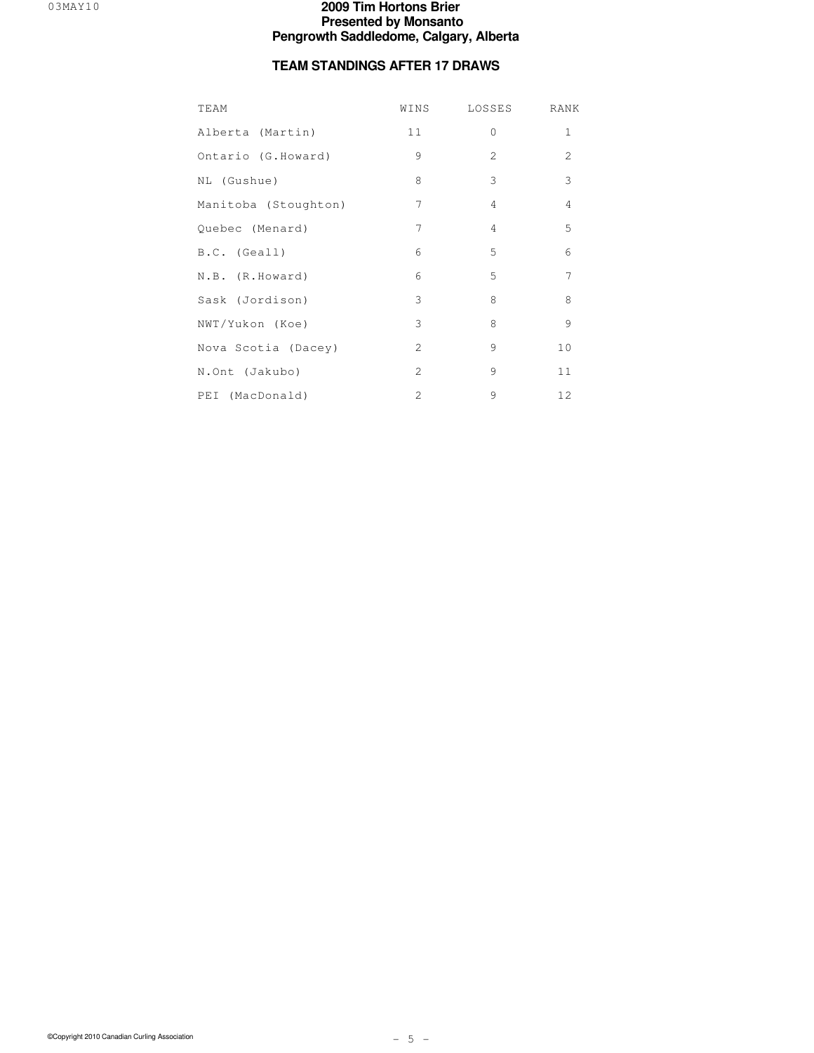# **TEAM STANDINGS AFTER 17 DRAWS**

| TEAM                 | WINS           | LOSSES         | RANK           |
|----------------------|----------------|----------------|----------------|
| Alberta (Martin)     | 11             | $\circ$        | $1\,$          |
| Ontario (G.Howard)   | 9              | 2              | $\overline{c}$ |
| NL (Gushue)          | 8              | 3              | 3              |
| Manitoba (Stoughton) | 7              | $\overline{4}$ | $\sqrt{4}$     |
| Quebec (Menard)      | 7              | $\overline{4}$ | 5              |
| B.C. (Geall)         | 6              | 5              | 6              |
| N.B. (R.Howard)      | 6              | 5              | 7              |
| Sask (Jordison)      | 3              | 8              | $\,8\,$        |
| NWT/Yukon (Koe)      | 3              | 8              | $\overline{9}$ |
| Nova Scotia (Dacey)  | 2              | 9              | 10             |
| N.Ont (Jakubo)       | $\overline{c}$ | 9              | 11             |
| PEI (MacDonald)      | $\overline{c}$ | 9              | 12             |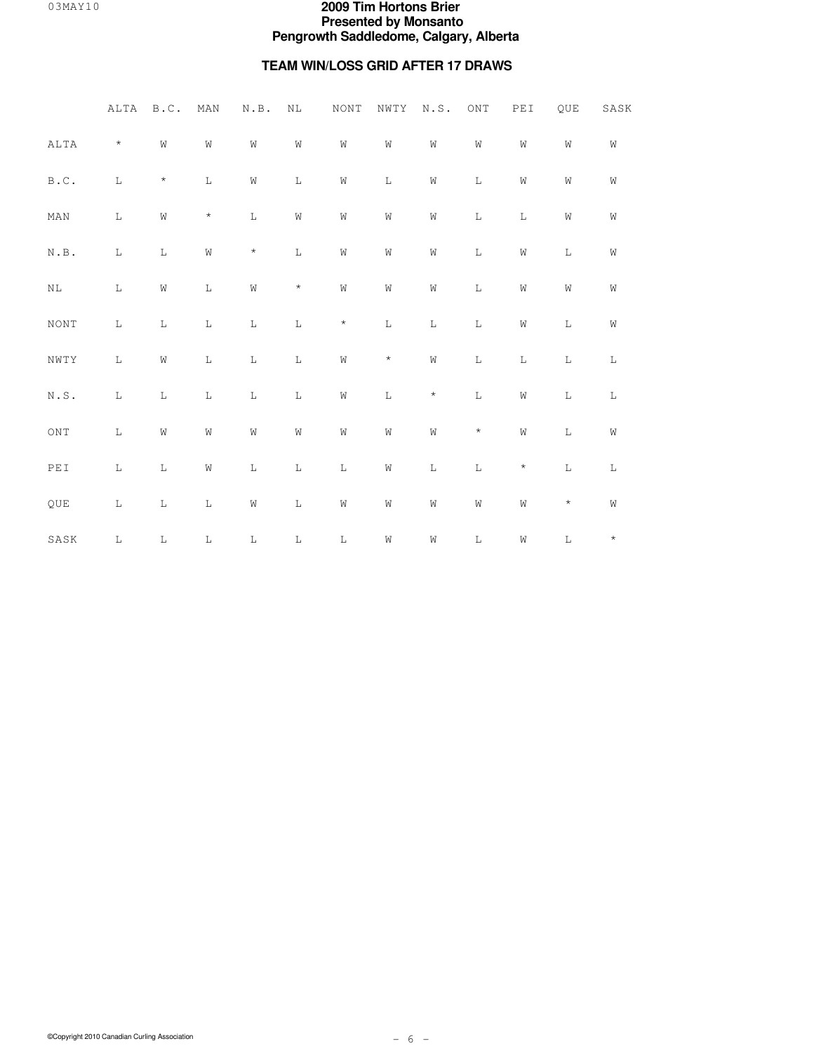# **TEAM WIN/LOSS GRID AFTER 17 DRAWS**

|                                                           | ALTA        | B.C.        | MAN         | $\textsc{N}$ . $\textsc{B}$ . | $\rm NL$    | $\rm{NON}\,T$ | NWTY        | N.S.        | $\mathop{\rm ONT}\nolimits$ | PEI         | QUE          | SASK        |
|-----------------------------------------------------------|-------------|-------------|-------------|-------------------------------|-------------|---------------|-------------|-------------|-----------------------------|-------------|--------------|-------------|
| ALTA                                                      | $\star$     | W           | W           | ${\rm W}$                     | W           | W             | W           | W           | ${\rm W}$                   | W           | W            | W           |
| $\mathbb B$ . $\mathbb C$ .                               | $\mathbf L$ | $^{\star}$  | $\mathbf L$ | ${\rm W}$                     | $\mathbf L$ | W             | $\mathbb L$ | W           | $\mathbf L$                 | W           | W            | W           |
| $\texttt{MAN}$                                            | $\mathbb L$ | W           | $\star$     | $\mathbb L$                   | W           | W             | W           | W           | $\mathbb L$                 | $\mathbb L$ | W            | W           |
| $\textsc{N} \centerdot \textsc{B}$ .                      | $\mathbf L$ | $\mathbb L$ | W           | $\star$                       | $\mathbb L$ | W             | W           | W           | $\mathbf L$                 | W           | $\mathbb L$  | W           |
| $\rm NL$                                                  | $\mathbb L$ | $\rm W$     | $\mathbb L$ | ${\rm W}$                     | $\star$     | $\mbox{W}$    | $\hbox{W}$  | W           | $\mathbb L$                 | W           | W            | W           |
| $\rm{NON}\,T$                                             | $\mathbf L$ | $\mathbb L$ | $\mathbf L$ | $\mathbf L$                   | $\mathbb L$ | $\star$       | $\mathbf L$ | $\mathbb L$ | $\mathbb L$                 | $\hbox{W}$  | $\mathbb L$  | W           |
| $\texttt{NWT}\,Y$                                         | $\mathbf L$ | W           | $\mathbb L$ | $\mathbb L$                   | $\mathbb L$ | ${\rm W}$     | $\star$     | W           | $\mathbb L$                 | $\mathbb L$ | $\mathbb{L}$ | $\mathbb L$ |
| $\textsc{N} \cdot \textsc{S}$ .                           | $\mathbb L$ | L           | $\Gamma$    | $\mathbb L$                   | $\mathbb L$ | ${\rm W}$     | $\mathbf L$ | $\star$     | $\mathbb L$                 | W           | $\mathbb L$  | $\mathbb L$ |
| $\mathop{\rm ONT}\nolimits$                               | $\mathbb L$ | W           | W           | ${\rm W}$                     | W           | W             | $\hbox{W}$  | W           | $\star$                     | W           | $\mathbf L$  | W           |
| $\ensuremath{\mathop{\rm PE}}\ensuremath{\mathop{\rm I}}$ | $\mathbb L$ | $\mathbb L$ | ${\rm W}$   | $\mathbf L$                   | $\mathbf L$ | $\mathbb L$   | ${\tt W}$   | $\mathbb L$ | $\mathbf L$                 | $\star$     | $\mathbf L$  | $\mathbb L$ |
| QUE                                                       | $\mathbb L$ | $\mathbb L$ | $\mathbf L$ | ${\rm W}$                     | $\mathbf L$ | W             | ${\tt W}$   | W           | ${\rm W}$                   | W           | $\star$      | W           |
| SASK                                                      | $\mathbf L$ | L           | $\mathbf L$ | $\mathbf L$                   | $\mathbf L$ | $\mathbf L$   | W           | W           | $\mathbf L$                 | W           | $\mathbf L$  | $\star$     |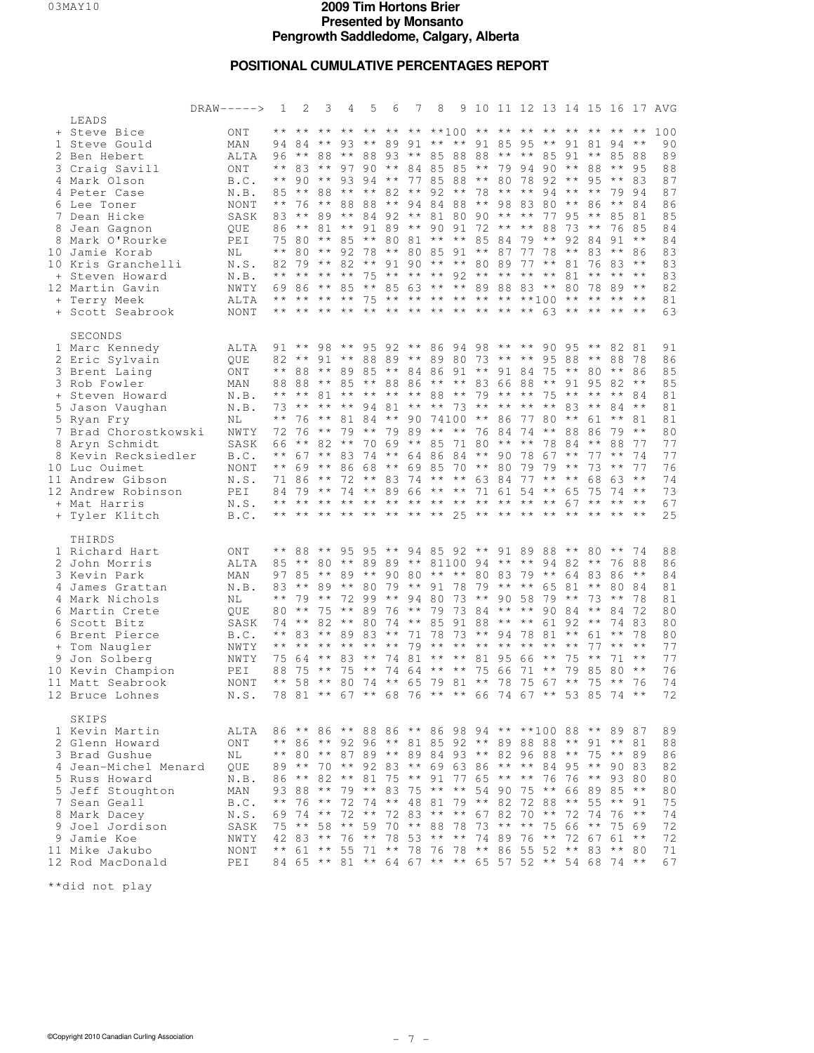# **POSITIONAL CUMULATIVE PERCENTAGES REPORT**

|                                                                                                                                                                                                                                                                                                | $DRAW----->$                                                                                                          | 1                                                                                                                                             | 2                                                                                                                                                                                                                                                                                           | 3                                                                                                                                                 | 4                                                                                   | 5                                                  | 6                                                                                             | 7                                                                                                                                                                                                                                                                                                                         | 8                                |                                                                                                               |                                               |                           |                                                           |                                                                         |                                                                              |                                                                                                    |                                                                                                                                 |                                                                                                                                      | 9 10 11 12 13 14 15 16 17 AVG                                                                 |
|------------------------------------------------------------------------------------------------------------------------------------------------------------------------------------------------------------------------------------------------------------------------------------------------|-----------------------------------------------------------------------------------------------------------------------|-----------------------------------------------------------------------------------------------------------------------------------------------|---------------------------------------------------------------------------------------------------------------------------------------------------------------------------------------------------------------------------------------------------------------------------------------------|---------------------------------------------------------------------------------------------------------------------------------------------------|-------------------------------------------------------------------------------------|----------------------------------------------------|-----------------------------------------------------------------------------------------------|---------------------------------------------------------------------------------------------------------------------------------------------------------------------------------------------------------------------------------------------------------------------------------------------------------------------------|----------------------------------|---------------------------------------------------------------------------------------------------------------|-----------------------------------------------|---------------------------|-----------------------------------------------------------|-------------------------------------------------------------------------|------------------------------------------------------------------------------|----------------------------------------------------------------------------------------------------|---------------------------------------------------------------------------------------------------------------------------------|--------------------------------------------------------------------------------------------------------------------------------------|-----------------------------------------------------------------------------------------------|
| LEADS<br>+ Steve Bice<br>1 Steve Gould<br>2 Ben Hebert<br>3 Craig Savill<br>4 Mark Olson<br>4 Peter Case<br>6 Lee Toner<br>7 Dean Hicke<br>8 Jean Gagnon<br>8 Mark O'Rourke<br>10 Jamie Korab<br>10 Kris Granchelli<br>+ Steven Howard<br>12 Martin Gavin<br>+ Terry Meek<br>+ Scott Seabrook  | ONT<br>MAN<br>ALTA<br>ONT<br>B.C.<br>N.B.<br>NONT<br>SASK<br>QUE<br>PEI<br>ΝL<br>N.S.<br>N.B.<br>NWTY<br>ALTA<br>NONT | 94<br>96<br>$\star\star$<br>$\star\star$<br>85<br>$\star\star$<br>83<br>86<br>$\star\star$<br>82<br>$\star\star$<br>69<br>$\star\star$<br>* * | ** ** ** ** ** ** ** ** **100 ** ** ** ** ** ** **<br>- 84<br>** 88 ** 88 93 ** 85 88 88 ** ** 85 91 ** 85<br>83<br>90<br>$\star \star$<br>76<br>$\star\star$<br>$\star \star$<br>75 80<br>80<br>79<br>$\star\star$<br>86<br>** ** **<br>** ** ** ** ** ** ** ** ** ** ** ** 63 ** ** ** ** | $\star \star$<br>$\star \star$<br>** 93<br>88<br>$\star \star$<br>89<br>$\star \star$<br>$\star \star$<br>$\star \star$<br>** **<br>$\star \star$ | $***$ **<br>88<br>$\star\star$<br>$81***$<br>85<br>92<br>85                         | 97 90<br>94<br>88<br>84<br>78                      | $\star \star$<br>$\star \star$                                                                | 93 ** 89 91 ** ** 91 85 95 ** 91 81<br>** 84 85 85 ** 79 94 90<br>82 ** 92 ** 78 ** ** 94 ** **<br>92 ** 81 80 90<br>$9189**90$<br>** 80 81 ** ** 85 84<br>** 80 85 91 ** 87<br>82 ** 91 90 ** ** 80 89 77 ** 81<br>75 ** ** ** 92 ** ** ** **<br>** 85 63 ** ** 89 88 83 **<br>75 ** ** ** ** ** ** ** **100 ** ** ** ** | 77 85 88<br>94 84 88             | $91\ 72$ ** **                                                                                                | $***$ 80                                      | $***$ **                  | 78 92 **<br>** 98 83 80 **<br>79<br>77 78                 | 88<br>$\star \star$                                                     | ** 88<br>77 95<br>73<br>92<br>$\star\star$<br>81<br>80                       | 95<br>86<br>$\star\star$<br>$\star \star$<br>84<br>83<br>76 83<br>$\star\star$<br>78               | 94<br>$***$ 95<br>$\star\star$<br>79<br>$\star\star$<br>85<br>76<br>91<br>$\star \star$<br>$\star\star$<br>89                   | $* *$<br>$\star\star$<br>88<br>83<br>- 94<br>84<br>81<br>85<br>$\star\star$<br>86<br>$\star \star$<br>$\star \star$<br>$\star \star$ | 100<br>90<br>89<br>88<br>87<br>87<br>86<br>85<br>84<br>84<br>83<br>83<br>83<br>82<br>81<br>63 |
| SECONDS<br>1 Marc Kennedy<br>2 Eric Sylvain<br>3 Brent Laing<br>3 Rob Fowler<br>+ Steven Howard<br>5 Jason Vaughan<br>5 Ryan Fry<br>7 Brad Chorostkowski<br>8 Aryn Schmidt<br>8 Kevin Recksiedler<br>10 Luc Ouimet<br>11 Andrew Gibson<br>12 Andrew Robinson<br>+ Mat Harris<br>+ Tyler Klitch | ALTA<br>QUE<br>ONT<br>MAN<br>N.B.<br>N.B.<br>ΝL<br>NWTY<br>SASK<br>B.C.<br>NONT<br>N.S.<br>PEI<br>N.S.<br>B.C.        | 82<br>$\star\star$<br>88<br>73<br>$\star\star$<br>72<br>66<br>$\star\star$<br>84<br>$\star\star$                                              | $91***$<br>$* *$<br>88<br>88<br>** ** 81 **<br>$* *$<br>-76<br>- 76<br>$\star \star$<br>67<br>$***$ 69<br>71 86<br>79<br>** ** ** ** ** ** ** ** 25 ** ** ** ** ** ** ** **                                                                                                                 | 98<br>$***$ **<br>82 **<br>** 83<br>** 86<br>$\star \star$<br>$***$ 74                                                                            | ** 89 85<br>$**$ 81 84<br>72                                                        | ** 95<br>9481<br>70<br>74<br>68<br>** 89 66        | - 69                                                                                          | $92***86$<br>91 ** 88 89 ** 89 80 73 ** ** 95<br>** 84 86 91 ** 91 84 75<br>** 85 ** 88 86 ** ** 83 66 88 ** 91 95 82<br>** ** ** 88 ** 79 ** **<br>** 90 74100<br>** 79 ** 79 89 ** ** 76 84<br>** 85 71 80<br>** 64 86 84<br>** 69 85<br>** 83 74 ** ** 63 84 77 ** **                                                  |                                  | 94 98 ** ** 90 95<br>** ** 73 ** **<br>70 ** 80<br>** ** 71 61 54 ** 65                                       | ** 86                                         | ** **<br>$***$ 90         | $***$ **<br>77<br>74 ** 88<br>79                          | 75<br>80<br>78<br>78 67<br>79                                           | 88<br>** 80<br>** **<br>83<br>$*** 61$<br>84<br>$\star\star$<br>$\star\star$ | $\star \star$<br>$\star\star$<br>$\star\star$<br>86<br>$\star\star$<br>77<br>73<br>68<br>75        | 82 81<br>88<br>$\star \star$<br>$\star \star$<br>84<br>$\star\star$<br>79<br>88<br>$\star\star$<br>$\star\star$<br>63<br>74     | -78<br>86<br>$\star\star$<br>84<br>$\star\star$<br>81<br>$\star\star$<br>77<br>74<br>77<br>$\star \star$<br>$\star \star$            | 91<br>86<br>85<br>85<br>81<br>81<br>81<br>80<br>77<br>77<br>76<br>74<br>73<br>67<br>25        |
| THIRDS<br>1 Richard Hart<br>2 John Morris<br>3 Kevin Park<br>4 James Grattan<br>4 Mark Nichols<br>6 Martin Crete<br>6 Scott Bitz<br>6 Brent Pierce<br>+ Tom Naugler<br>9 Jon Solberg<br>10 Kevin Champion<br>11 Matt Seabrook<br>12 Bruce Lohnes                                               | ONT<br>ALTA<br>MAN<br>N.B.<br>ΝL<br>QUE<br>SASK<br>B.C.<br>NWTY<br>NWTY<br>PEI<br>NONT<br>N.S.                        | $\star\star$<br>83<br>$\star\star$<br>80<br>74<br>$\star\star$<br>$\star\star$<br>75<br>88<br>$\star\star$<br>78                              | 88<br>85 ** 80 ** 89 89 ** 81100 94 ** ** 94 82 **<br>97 85<br>** 89<br>79<br>$\star\star$<br>$\star \star$<br>83<br>$\star\star$<br>-64<br>75<br>58<br>81 ** 67 ** 68 76 ** ** 66 74 67 ** 53 85                                                                                           | $\star \star$<br>$\star \star$<br>75<br>$\star \star$<br>$***$ **<br>$\star \star$<br>$\star\star$<br>$***$ 80                                    | 95 95<br>** 89 **<br>** 80<br>72 99<br>$\star \star$<br>$82***80$<br>89<br>83<br>75 | 89<br>83<br>$* *$<br>$\star\star$<br>* *           | $\star \star$<br>79<br>$\star \star$<br>76<br>74<br>$\star \star$<br>$\star\star$<br>74<br>74 | 90 80 ** ** 80 83 79 ** 64 83<br>$\star \star$<br>** 85<br>81<br>64<br>74 ** 65 79 81 ** 78                                                                                                                                                                                                                               | ** 91 78<br>94 80<br>79<br>71 78 | 94 85 92 ** 91 89 88 **<br>73<br>91 88 ** ** 61 92 **<br>73<br>$79$ ** ** ** ** **<br>** ** 81 95<br>$***$ ** | 79<br>75 66                                   | $**9058$<br>** 94 78      | ** ** 65<br>73 84 ** ** 90 84<br>66<br>71<br>75 67 **     | 79<br>81<br>$* *$<br>$\star\star$<br>$\star \star$                      | 81<br>$\star\star$<br>$\star \star$<br>$\star\star$<br>75<br>79              | 80<br>$\star\star$<br>73<br>$\star \star$<br>61<br>77<br>$\star\star$<br>85<br>75                  | $\star\star$<br>76<br>86<br>80<br>$\star\star$<br>84<br>74 83<br>$\star\star$<br>$\star\star$<br>71<br>80<br>$\star\star$<br>74 | 74<br>88<br>$\star\star$<br>84<br>78<br>72<br>78<br>$\star\star$<br>$\star\star$<br>$\star\star$<br>-76<br>$\star \star$             | 88<br>86<br>84<br>81<br>81<br>80<br>80<br>80<br>77<br>77<br>76<br>74<br>72                    |
| SKIPS<br>1 Kevin Martin<br>2 Glenn Howard<br>3 Brad Gushue<br>4 Jean-Michel Menard<br>5 Russ Howard<br>5 Jeff Stoughton<br>7 Sean Geall<br>8 Mark Dacey<br>9 Joel Jordison<br>9 Jamie Koe<br>11 Mike Jakubo<br>12 Rod MacDonald                                                                | ALTA<br>ONT<br>NL<br>QUE<br>N.B.<br>MAN<br>B.C.<br>N.S.<br>SASK<br>NWTY<br>NONT<br>PEI                                | 89<br>86<br>$\star$ $\star$<br>69<br>75<br>$\star\star$                                                                                       | 86 ** 86 ** 88 86 ** 86 98 94 ** **100 88 ** 89 87<br>** 86 ** 92 96<br>** 80 ** 87 89 ** 89 84 93 ** 82 96 88<br>$\star \star$<br>$\star \star$<br>93 88<br>76<br>74<br>$\star \star$<br>42 83<br>61 ** 55<br>84 65 ** 81 ** 64 67 ** ** 65 57 52 ** 54 68                                 | $\star\star$<br>$* *$<br>$* *$<br>58<br>$* *$                                                                                                     | 82 ** 81<br>72<br>72<br>$\star \star$<br>76                                         | 79 **<br>74<br>$\star \star$<br>59<br>$\star\star$ |                                                                                               | ** 81 85 92 ** 89 88<br>70 ** 92 83 ** 69 63 86<br>75 ** 91 77 65 ** **<br>83 75<br>** 48 81<br>72 83<br>$70***$<br>78 53 ** **<br>71 ** 78 76                                                                                                                                                                            | 88                               | ** ** 54 90<br>79<br>** ** 67 82<br>78<br>78                                                                  | $\star \star$<br>73<br>74 89<br>$\star \star$ | 82<br>$\star \star$<br>86 | ** ** 84<br>75<br>72<br>70<br>$\star\star$<br>76<br>55 52 | 88<br>76<br>$\star \star$<br>88<br>$\star \star$<br>75<br>$\star \star$ | 95<br>76<br>66<br>$\star\star$<br>72<br>66<br>72<br>$\star\star$             | ** 91 **<br>** 75 **<br>$\star \star$<br>** 93<br>89 85<br>55<br>74<br>$\star\star$<br>67 61<br>83 | 90 83<br>$\star \star$<br>76<br>75<br>$\star \star$<br>$74***$                                                                  | 81<br>89<br>80<br>$\star\star$<br>91<br>$\star\star$<br>69<br>$\star\star$<br>80                                                     | 89<br>88<br>86<br>82<br>80<br>80<br>75<br>74<br>72<br>72<br>71<br>67                          |

\*\*did not play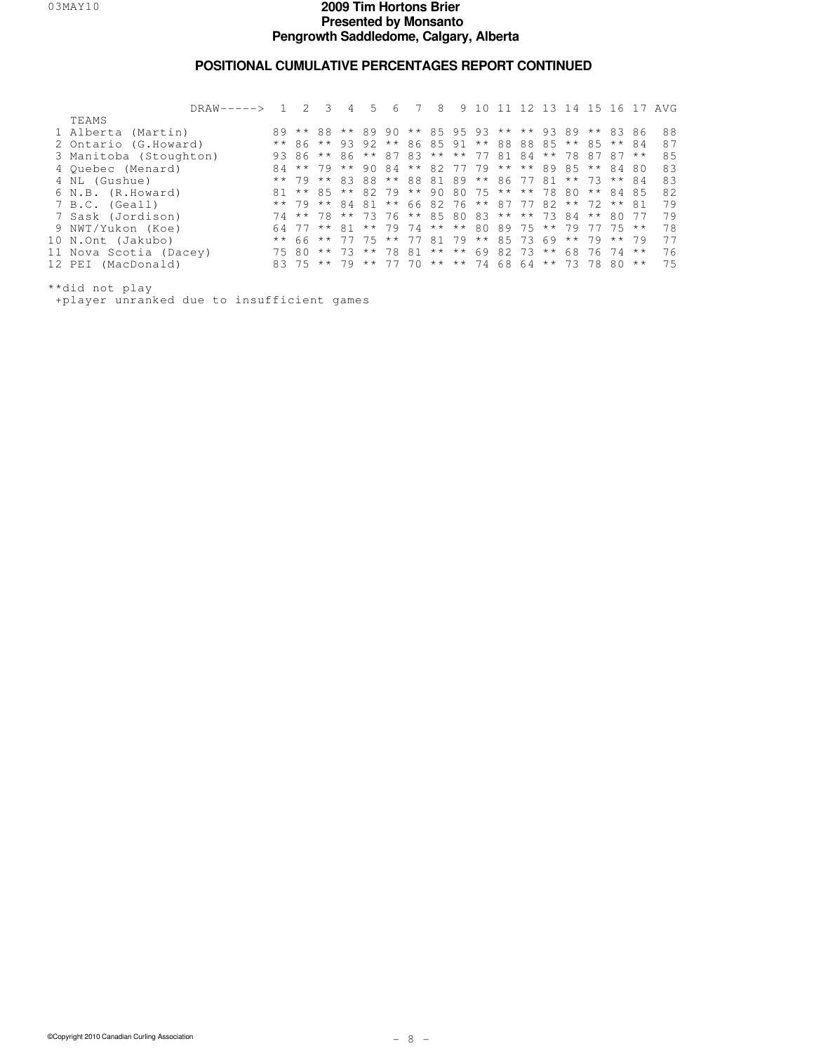### **POSITIONAL CUMULATIVE PERCENTAGES REPORT CONTINUED**

| $DRAW-----$            |               | $\mathcal{L}$ | 4                                                  | 5. | 6 | 8                             | 9 1 | $\cap$ |  | 12 13 14 15 16 17 |       |          |              | AVG |
|------------------------|---------------|---------------|----------------------------------------------------|----|---|-------------------------------|-----|--------|--|-------------------|-------|----------|--------------|-----|
| TEAMS                  |               |               |                                                    |    |   |                               |     |        |  |                   |       |          |              |     |
| 1 Alberta (Martin)     |               |               | 89 ** 88 ** 89 90 ** 85 95 93 ** ** 93 89 ** 83 86 |    |   |                               |     |        |  |                   |       |          |              | 88  |
| 2 Ontario (G.Howard)   |               |               | ** 86 ** 93 92 ** 86 85 91 ** 88 88 85 ** 85 ** 84 |    |   |                               |     |        |  |                   |       |          |              | 87  |
| 3 Manitoba (Stoughton) |               |               | 93 86 ** 86 ** 87 83 ** ** 77 81 84 ** 78 87 87 ** |    |   |                               |     |        |  |                   |       |          |              | 85  |
| 4 Ouebec (Menard)      |               |               | 84 ** 79 ** 90 84 ** 82 77 79 ** ** 89 85 ** 84 80 |    |   |                               |     |        |  |                   |       |          |              | 83  |
| 4 NL (Gushue)          |               |               | ** 79 ** 83 88 ** 88 81 89 ** 86 77 81 ** 73 ** 84 |    |   |                               |     |        |  |                   |       |          |              | 83  |
| 6 N.B. (R.Howard)      |               |               | 81 ** 85 ** 82 79 ** 90 80 75 ** ** 78 80          |    |   |                               |     |        |  |                   |       | ** 84 85 |              | 82  |
| 7 B.C. (Geall)         |               |               | ** 79 ** 84 81 ** 66 82 76 ** 87 77 82 ** 72 ** 81 |    |   |                               |     |        |  |                   |       |          |              | 79  |
| 7 Sask (Jordison)      |               |               | 74 ** 78 ** 73 76 ** 85 80 83 ** ** 73 84 ** 80    |    |   |                               |     |        |  |                   |       |          | - 77         | 79  |
| 9 NWT/Yukon (Koe)      |               |               | 64 77 ** 81                                        |    |   | ** 79 74 ** ** 80 89 75 ** 79 |     |        |  |                   | 77 75 |          | $\star\star$ | 78  |
| 10 N.Ont (Jakubo)      | $\star \star$ |               | 66 ** 77 75 ** 77 81 79 ** 85 73 69 ** 79 ** 79    |    |   |                               |     |        |  |                   |       |          |              | 77  |
| 11 Nova Scotia (Dacey) |               | 7580          | ** 73 ** 78 81 ** ** 69 82 73 ** 68 76 74          |    |   |                               |     |        |  |                   |       |          | $\star\star$ | 76  |
| 12 PEI (MacDonald)     |               |               | 83 75 ** 79 ** 77 70 ** ** 74 68 64 ** 73 78 80 ** |    |   |                               |     |        |  |                   |       |          |              | 75  |
|                        |               |               |                                                    |    |   |                               |     |        |  |                   |       |          |              |     |

\*\*did not play +player unranked due to insufficient games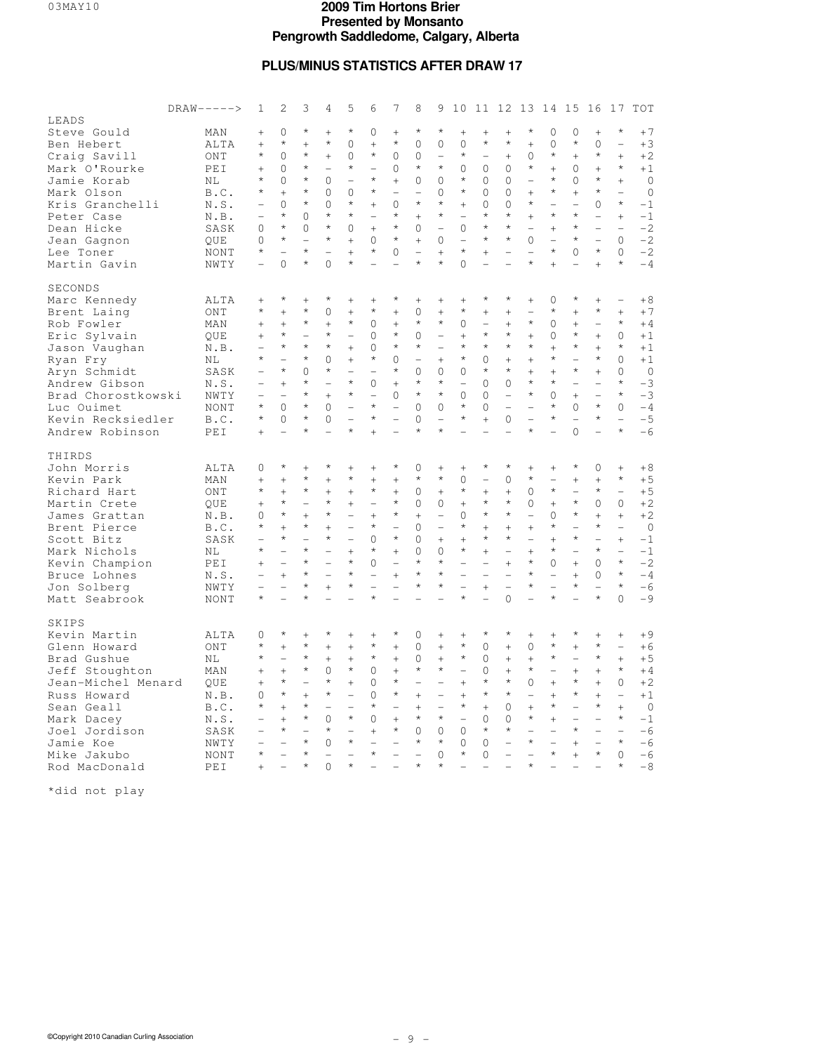### **PLUS/MINUS STATISTICS AFTER DRAW 17**

|                    | $DRAW----2$ | 1                        | $\overline{2}$           | 3                        | 4                        | 5                        | 6                        | 7                        | 8                        | 9                        |                          |                                     |                          | 10 11 12 13 14 15 16     |                                    |                          |                          | 17                       | TOT          |
|--------------------|-------------|--------------------------|--------------------------|--------------------------|--------------------------|--------------------------|--------------------------|--------------------------|--------------------------|--------------------------|--------------------------|-------------------------------------|--------------------------|--------------------------|------------------------------------|--------------------------|--------------------------|--------------------------|--------------|
| LEADS              |             |                          |                          |                          |                          |                          |                          |                          |                          |                          |                          |                                     |                          |                          |                                    |                          |                          |                          |              |
| Steve Gould        | MAN         | $^{+}$                   | $\Omega$                 | $\star$                  | $^{+}$                   | $\star$                  | $\Omega$                 | $^{+}$                   | $\star$                  | $^\star$                 | $^{+}$                   | $^{+}$                              | $^{+}$                   | $\star$                  | $\Omega$                           | 0                        | $^{+}$                   | $^{\star}$               | $+7$         |
| Ben Hebert         | ALTA        | $^{+}$                   | $\star$                  | $^{+}$                   | $\star$                  | $\Omega$                 | $^{+}$                   | $\star$                  | $\Omega$                 | $\Omega$                 | $\Omega$                 | $\star$                             | $\star$                  | $^{+}$                   | $\Omega$                           | $\star$                  | $\Omega$                 | $\overline{a}$           | $+3$         |
| Craig Savill       | ONT         | $\star$                  | $\Omega$                 | $\star$                  | $\ddot{}$                | $\Omega$                 | $\star$                  | $\Omega$                 | $\Omega$                 | $\overline{\phantom{0}}$ | $\star$                  | $\overline{\phantom{0}}$            | $^{+}$                   | $\Omega$                 | $\star$                            | $\ddot{}$                | $\star$                  | $\ddot{}$                | $+2$         |
| Mark O'Rourke      | PEI         | $\ddot{}$                | $\Omega$                 | $\star$                  | $\overline{\phantom{0}}$ | $^{\star}$               | $\overline{\phantom{0}}$ | $\Omega$                 | $^\star$                 | $\star$                  | $\Omega$                 | $\Omega$                            | $\Omega$                 | $\star$                  | $^{+}$                             | $\Omega$                 | $^{+}$                   | $\star$                  | $+1$         |
| Jamie Korab        | NL          | $\star$                  | $\mathbf 0$              | $\star$                  | $\mathbf{0}$             | ÷                        | $\star$                  | $^{+}$                   | $\Omega$                 | 0                        | $\star$                  | $\circ$                             | 0                        | ÷                        | $\star$                            | $\mathbf{0}$             | $\star$                  | $\ddot{}$                | $\circ$      |
| Mark Olson         | B.C.        | $\star$                  | $^{+}$                   | $\star$                  | 0                        | 0                        | $\star$                  | $\overline{\phantom{0}}$ | ÷                        | 0                        | $\star$                  | 0                                   | 0                        | $^{+}$                   | $\star$                            | $^{+}$                   | $\star$                  | $\overline{a}$           | $\mathbf{0}$ |
| Kris Granchelli    | N.S.        |                          | $\Omega$                 | $\star$                  | $\Omega$                 | $\star$                  | $^{+}$                   | $\Omega$                 | $\star$                  | $\star$                  | $^{+}$                   | $\Omega$                            | $\Omega$                 | $\star$                  | $\overline{\phantom{0}}$           | $\overline{\phantom{0}}$ | $\Omega$                 | $\star$                  | $-1$         |
| Peter Case         | N.B.        |                          | $\star$                  | 0                        | $\star$                  | $^{\star}$               | $\overline{a}$           | $\star$                  | $^{+}$                   | $\star$                  | ÷                        | $\star$                             | $^{\star}$               | $\ddot{}$                | $\star$                            | $\star$                  | $\overline{a}$           | $\ddot{}$                | $-1$         |
| Dean Hicke         |             | 0                        | $\star$                  | 0                        | $\star$                  | 0                        | $^{+}$                   | $\star$                  | 0                        | $\overline{\phantom{0}}$ | 0                        | $\star$                             | $\star$                  | $\overline{\phantom{a}}$ |                                    | $\star$                  | $\overline{\phantom{0}}$ | $\equiv$                 | $-2$         |
|                    | SASK        | $\Omega$                 | $\star$                  | $\overline{\phantom{0}}$ | $^{\star}$               | $+$                      | $\Omega$                 | $^\star$                 |                          | $\Omega$                 | $\overline{\phantom{0}}$ | $^{\star}$                          | $^{\star}$               | $\Omega$                 | $^{+}$<br>$\overline{\phantom{0}}$ | $\star$                  | $\overline{a}$           | $\Omega$                 | $-2$         |
| Jean Gagnon        | OUE         | $^{\star}$               |                          | $\star$                  |                          |                          | $\star$                  |                          | $^{+}$                   |                          | $\star$                  |                                     |                          |                          | $\star$                            | $\Omega$                 | $\star$                  | $\Omega$                 |              |
| Lee Toner          | NONT        |                          |                          | $\star$                  |                          | $\ddot{}$<br>$\star$     |                          | $\Omega$                 |                          | $^{+}$<br>$\star$        |                          | $^{+}$                              |                          | $\star$                  |                                    |                          |                          | $\star$                  | $-2$         |
| Martin Gavin       | NWTY        | $\overline{\phantom{0}}$ | $\Omega$                 |                          | $\Omega$                 |                          | ۳                        |                          |                          |                          | $\Omega$                 |                                     |                          |                          | $\ddot{}$                          | $\overline{a}$           | $\ddot{}$                |                          | $-4$         |
| SECONDS            |             |                          |                          |                          |                          |                          |                          |                          |                          |                          |                          |                                     |                          |                          |                                    |                          |                          |                          |              |
|                    | ALTA        | $^{+}$                   | $\star$                  | $^{+}$                   | $\star$                  | $^{+}$                   | $^{+}$                   | $\star$                  | $^{+}$                   | $\! + \!$                | $^{+}$                   | $^{\star}$                          | $^{\star}$               | $^{+}$                   | $\mathbf{0}$                       | $\star$                  | $^{+}$                   | $\overline{\phantom{0}}$ | $+8$         |
| Marc Kennedy       |             | $\star$                  | $^{+}$                   | $^{\star}$               | $\mathbf{0}$             |                          | $\star$                  |                          | 0                        | $^{+}$                   | $\star$                  |                                     |                          | $\overline{\phantom{0}}$ | $\star$                            |                          | $\star$                  | $^{+}$                   | $+7$         |
| Brent Laing        | ONT         |                          |                          | $\star$                  |                          | $^{+}$<br>$\star$        |                          | $^{+}$                   | $\star$                  | $\star$                  |                          | $^{+}$                              | $^{+}$                   | $\star$                  |                                    | $^{+}$                   |                          | $\star$                  |              |
| Rob Fowler         | MAN         | $^{+}$                   | $^{+}$<br>$\star$        |                          | $^{+}$<br>$^{\star}$     |                          | 0                        | $^{+}$<br>$\star$        |                          |                          | 0                        | $\overline{\phantom{0}}$<br>$\star$ | $^{+}$<br>$^{\star}$     |                          | 0                                  | $^{+}$<br>$\star$        | $\qquad \qquad -$        |                          | $+4$         |
| Eric Sylvain       | OUE         | $^{+}$                   |                          |                          |                          | $\overline{a}$           | $\Omega$                 |                          | $\Omega$                 | $\qquad \qquad -$        | $^{+}$                   |                                     |                          | $+$                      | $\mathbf{0}$                       |                          | $^{+}$                   | $\Omega$                 | $+1$         |
| Jason Vaughan      | N.B.        | $\overline{a}$           | $\star$                  | $^{\star}$               | $\star$                  | $^{+}$                   | 0                        | $\star$                  | $\star$                  | $\overline{\phantom{0}}$ | $\star$                  | $\star$                             | $^{\star}$               | $\star$                  | $^{+}$                             | $\star$                  | $^{+}$                   | $\star$                  | $+1$         |
| Ryan Fry           | NT.         | $\star$                  | $\overline{\phantom{a}}$ | $^{\star}$               | $\Omega$                 | $+$                      | $\star$                  | $\Omega$                 | $\overline{\phantom{0}}$ | $^{+}$                   | $\star$                  | $\Omega$                            | $^{+}$                   | $+$                      | $^{\star}$                         | $\overline{\phantom{0}}$ | $\star$                  | $\Omega$                 | $+1$         |
| Aryn Schmidt       | SASK        |                          | $\star$                  | $\Omega$                 | $\star$                  |                          | $\overline{\phantom{0}}$ | $^\star$                 | $\Omega$                 | $\Omega$                 | $\Omega$                 | $\star$                             | $\star$                  | $+$                      | $^{+}$                             | $\star$                  | $^{+}$                   | $\Omega$                 | $\Omega$     |
| Andrew Gibson      | N.S.        |                          | $^{+}$                   | $\star$                  | $\overline{a}$           | $\star$                  | 0                        | $^{+}$                   | $\star$                  | $\star$                  | $\overline{\phantom{0}}$ | $\Omega$                            | $\Omega$                 | $\star$                  | $^{\star}$                         | $\overline{\phantom{0}}$ |                          | $\star$                  | $-3$         |
| Brad Chorostkowski | NWTY        | $\overline{\phantom{0}}$ | $\overline{\phantom{0}}$ | $\star$                  | $\ddot{}$                | $\star$                  | $\overline{\phantom{0}}$ | 0                        | $\star$                  | $\star$                  | $\Omega$                 | $\Omega$                            | $\overline{\phantom{a}}$ | $\star$                  | $\mathbf{0}$                       | $^{+}$                   | $\equiv$                 | $\star$                  | $-3$         |
| Luc Ouimet         | <b>NONT</b> | $\star$                  | $\Omega$                 | $\star$                  | $\Omega$                 | $\overline{\phantom{0}}$ | $\star$                  | $\overline{\phantom{0}}$ | $\Omega$                 | $\Omega$                 | $\star$                  | $\Omega$                            | $\overline{\phantom{0}}$ |                          | $\star$                            | $\Omega$                 | $\star$                  | $\Omega$                 | $-4$         |
| Kevin Recksiedler  | B.C.        | $\star$                  | $\mathbf 0$              | $\star$                  | 0                        | $\overline{\phantom{0}}$ | $\star$                  |                          | $\Omega$                 | $\equiv$                 | $\star$                  | $^{+}$                              | 0                        | $\overline{\phantom{0}}$ | $\star$                            | $\overline{\phantom{0}}$ | $\star$                  | $\equiv$                 | $-5$         |
| Andrew Robinson    | PEI         | $^{+}$                   |                          | $\star$                  |                          | $\star$                  | $^{+}$                   |                          | $\star$                  | $\star$                  |                          |                                     |                          | $\star$                  |                                    | $\Omega$                 |                          | $\star$                  | $-6$         |
|                    |             |                          |                          |                          |                          |                          |                          |                          |                          |                          |                          |                                     |                          |                          |                                    |                          |                          |                          |              |
| THIRDS             |             |                          |                          |                          |                          |                          |                          |                          |                          |                          |                          |                                     |                          |                          |                                    |                          |                          |                          |              |
| John Morris        | ALTA        | 0                        | $\star$                  | $^{+}$                   | $^{\star}$               | $^{+}$                   | $\! + \!$                | $^{\star}$               | 0                        | $\! + \!\!\!\!$          | $^{+}$                   | $^\star$                            | $\star$                  | $^{+}$                   | $^{+}$                             | $^\star$                 | $\mathbf{0}$             | $^{+}$                   | $+8$         |
| Kevin Park         | MAN         | $^{+}$                   | $+$                      | $^{\star}$               | $\ddot{}$                | $^{\star}$               | $^{+}$                   | $\ddot{}$                | $\star$                  | $\star$                  | $\Omega$                 |                                     | $\Omega$                 | $\star$                  | $\overline{\phantom{0}}$           | $\ddot{}$                | $^{+}$                   | $\star$                  | $+5$         |
| Richard Hart       | ONT         | $\star$                  | $^{+}$                   | $\star$                  | $+$                      | $+$                      | $\star$                  | $^{+}$                   | 0                        | $^{+}$                   | $\star$                  | $^{+}$                              | $+$                      | $\Omega$                 | $^{\star}$                         | $\overline{\phantom{0}}$ | $\star$                  | $\overline{\phantom{0}}$ | $+5$         |
| Martin Crete       | OUE         | $^{+}$                   | $\star$                  |                          | $\star$                  | $^{+}$                   | $\overline{\phantom{0}}$ | $\star$                  | $\Omega$                 | $\Omega$                 | $^{+}$                   | $\star$                             | $\star$                  | $\Omega$                 | $^{+}$                             | $\star$                  | $\Omega$                 | $\Omega$                 | $+2$         |
| James Grattan      | N.B.        | $\Omega$                 | $\star$                  | $^{+}$                   | $\star$                  | $\overline{\phantom{0}}$ | $^{+}$                   | $^{\star}$               | $^{+}$                   | $\overline{a}$           | 0                        | $\star$                             | $\star$                  |                          | $\mathbf 0$                        | $\star$                  | $^{+}$                   | $\ddot{}$                | $+2$         |
| Brent Pierce       | B.C.        | $\star$                  | $^{+}$                   | $\star$                  | $^{+}$                   | $\overline{\phantom{0}}$ | $\star$                  | $\overline{a}$           | $\Omega$                 | $\overline{\phantom{0}}$ | $\star$                  | $^{+}$                              | $+$                      | $\ddot{}$                | $\star$                            | $\overline{\phantom{0}}$ | $\star$                  | $\overline{\phantom{0}}$ | $\mathbf{0}$ |
| Scott Bitz         | SASK        |                          | $\star$                  | $\overline{a}$           | $\star$                  | $\overline{a}$           | $\mathbf{0}$             | $\star$                  | $\mathbf{0}$             | $^{+}$                   | $^{+}$                   | $\star$                             | $\star$                  | $\overline{\phantom{0}}$ | $^{+}$                             | $\star$                  | $\equiv$                 | $^{+}$                   | $-1$         |
| Mark Nichols       | NL          | $\star$                  |                          | $\star$                  |                          | $\ddot{}$                | $\star$                  | $^{+}$                   | $\Omega$                 | $\Omega$                 | $\star$                  | $^{+}$                              | $\overline{\phantom{0}}$ | $\ddot{}$                | $\star$                            |                          | $\star$                  | $\overline{\phantom{0}}$ | $-1$         |
| Kevin Champion     | PEI         | $^{+}$                   | $\overline{a}$           | $\star$                  | $\overline{\phantom{0}}$ | $\star$                  | 0                        | $\overline{\phantom{0}}$ | $\star$                  | $\star$                  |                          |                                     | $+$                      | $\star$                  | $\mathbf{0}$                       | $^{+}$                   | $\Omega$                 | $\star$                  | $-2$         |
| Bruce Lohnes       | N.S.        |                          | $^{+}$                   | $\star$                  | $\overline{a}$           | $\star$                  | $\equiv$                 | $^{+}$                   |                          | $\star$                  | $\equiv$                 | $\equiv$                            | $\overline{\phantom{0}}$ | $\star$                  | $\equiv$                           | $^{+}$                   | $\mathbf{0}$             | $\star$                  | $-4$         |
| Jon Solberg        | NWTY        |                          | $\overline{\phantom{0}}$ | $\star$                  | $^{+}$                   | $\star$                  | $\overline{\phantom{0}}$ |                          | $\star$                  | $\star$                  | $\overline{a}$           | $^{+}$                              | $\overline{a}$           | $\star$                  | $\overline{\phantom{0}}$           | $\star$                  | $\overline{\phantom{0}}$ | $\star$                  | $-6$         |
| Matt Seabrook      | NONT        | $^{\star}$               |                          | $\star$                  |                          |                          | $\star$                  |                          |                          |                          | $\star$                  |                                     | $\Omega$                 |                          | $\star$                            |                          | $\star$                  | $\Omega$                 | $-9$         |
|                    |             |                          |                          |                          |                          |                          |                          |                          |                          |                          |                          |                                     |                          |                          |                                    |                          |                          |                          |              |
| SKIPS              |             |                          |                          |                          |                          |                          |                          |                          |                          |                          |                          |                                     |                          |                          |                                    |                          |                          |                          |              |
| Kevin Martin       | ALTA        | $\Omega$                 | $\star$                  | $+$                      | $\star$                  | $^{+}$                   | $^{+}$                   | $^{\star}$               | $\Omega$                 | $^{+}$                   | $^{+}$                   | $\star$                             | $\star$                  | $+$                      | $+$                                | $\star$                  | $^{+}$                   | $^{+}$                   | $+9$         |
| Glenn Howard       | ONT         | $\star$                  | $^{+}$                   | $\star$                  | $\ddot{}$                | $^{+}$                   | $\star$                  | $^{+}$                   | 0                        | $^{+}$                   | $\star$                  | 0                                   | $\ddot{}$                | $\mathbf 0$              | $\star$                            | $\ddot{}$                | $\star$                  | $\overline{\phantom{0}}$ | $+6$         |
| Brad Gushue        | NL          | $\star$                  | $\overline{\phantom{0}}$ | $\star$                  | $\ddot{}$                | $\ddot{}$                | $\star$                  | $^{+}$                   | $\Omega$                 | $^{+}$                   | $\star$                  | $\Omega$                            | $^{+}$                   | $\ddot{}$                | $\star$                            | $\overline{\phantom{0}}$ | $\star$                  | $\ddot{}$                | $+5$         |
| Jeff Stoughton     | MAN         | $^{+}$                   | $^{+}$                   | $\star$                  | 0                        | $\star$                  | $\mathbf{0}$             | $^{+}$                   | $\star$                  | $\star$                  | $\overline{\phantom{0}}$ | $\Omega$                            | $^{+}$                   | $\star$                  | $\qquad \qquad -$                  | $^{+}$                   | $^{+}$                   | $\star$                  | $+4$         |
| Jean-Michel Menard | QUE         | $^{+}$                   | $\star$                  | $\overline{\phantom{0}}$ | $\star$                  | $\ddot{}$                | $\mathbf{0}$             | $\star$                  | $\overline{a}$           | $\qquad \qquad -$        | $^{+}$                   | $\star$                             | $\star$                  | $\mathbf{0}$             | $^{+}$                             | $\star$                  | $^{+}$                   | 0                        | $+2$         |
| Russ Howard        | N.B.        | 0                        | $\star$                  | $\ddot{}$                | $\star$                  | $\qquad \qquad -$        | 0                        | $\star$                  | $^{+}$                   | $\overline{\phantom{0}}$ | $^{+}$                   | $\star$                             | $\star$                  | $\overline{\phantom{0}}$ | $^{+}$                             | $\star$                  | $^{+}$                   | $\overline{\phantom{0}}$ | $+1$         |
| Sean Geall         | B.C.        | $\star$                  | $^{+}$                   | $\star$                  | $\overline{\phantom{0}}$ | $\overline{a}$           | $\star$                  | $\overline{\phantom{0}}$ | $^{+}$                   | $\overline{a}$           | $\star$                  | $^{+}$                              | $\mathbf 0$              | $^{+}$                   | $\star$                            | $\overline{a}$           | $\star$                  | $\ddot{}$                | $\circ$      |
| Mark Dacey         | N.S.        |                          | $^{+}$                   | $\star$                  | $\Omega$                 | $\star$                  | $\Omega$                 | $^{+}$                   | $\star$                  | $\star$                  | $\overline{a}$           | $\Omega$                            | $\Omega$                 | $\star$                  | $^{+}$                             | $\overline{\phantom{0}}$ | $\overline{\phantom{0}}$ | $\star$                  | $-1$         |
| Joel Jordison      | SASK        |                          | $\star$                  |                          | $\star$                  | $\overline{\phantom{0}}$ | $^{+}$                   | $\star$                  | $\Omega$                 | $\Omega$                 | $\Omega$                 | $\star$                             | $\star$                  |                          |                                    | $\star$                  | $\overline{\phantom{0}}$ | $\overline{a}$           | $-6$         |
| Jamie Koe          | NWTY        |                          |                          | $\star$                  | $\Omega$                 | $\star$                  | $\overline{\phantom{0}}$ |                          | $\star$                  | $\star$                  | $\Omega$                 | $\Omega$                            | $\overline{a}$           | $\star$                  | $\overline{\phantom{0}}$           | $\ddot{}$                | $\overline{\phantom{0}}$ | $\star$                  | $-6$         |
| Mike Jakubo        | NONT        | $\star$                  | $\overline{a}$           | $\star$                  | $\overline{a}$           | $\overline{\phantom{0}}$ | $\star$                  |                          |                          | $\mathbf 0$              | $\star$                  | 0                                   | $\overline{a}$           | L.                       | $\star$                            | $^{+}$                   | $\star$                  | $\Omega$                 | $-6$         |
| Rod MacDonald      | PEI         | $+$                      |                          | $\star$                  | $\Omega$                 | $\star$                  |                          |                          | $\star$                  | $\star$                  |                          |                                     |                          | $\star$                  |                                    |                          |                          | $\star$                  | $-8$         |
|                    |             |                          |                          |                          |                          |                          |                          |                          |                          |                          |                          |                                     |                          |                          |                                    |                          |                          |                          |              |

\*did not play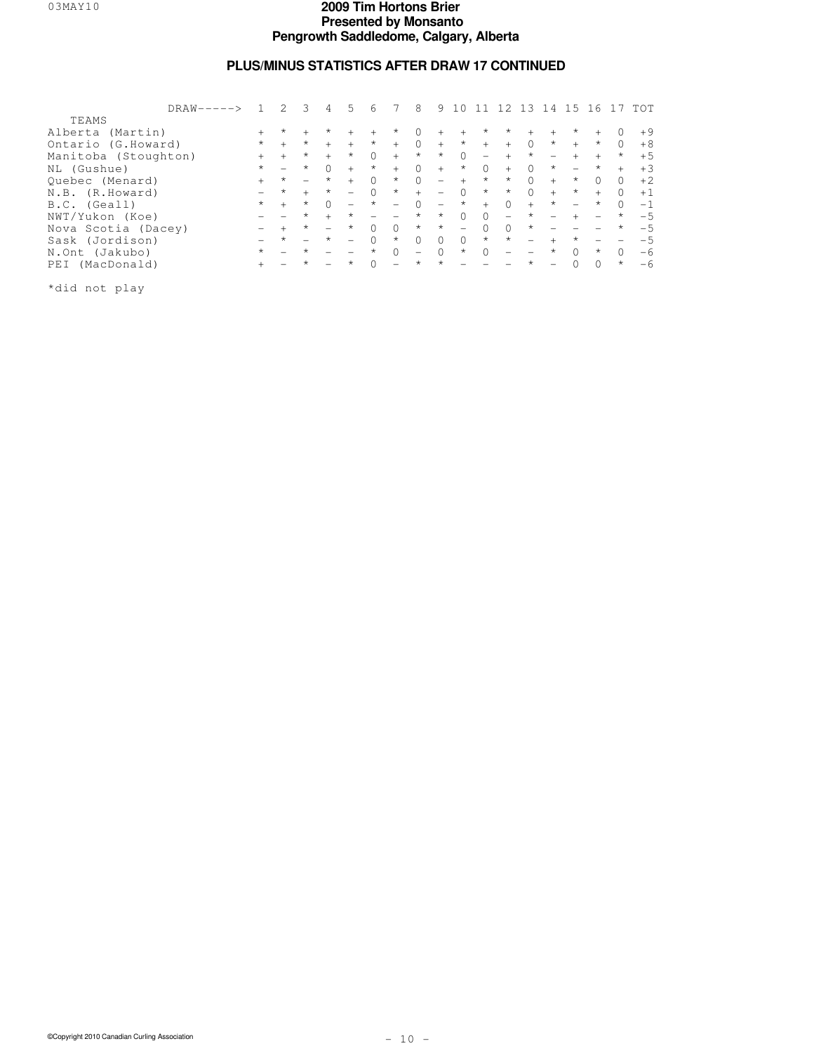# **PLUS/MINUS STATISTICS AFTER DRAW 17 CONTINUED**

|                      | $DRAW-----$ |         |         | 3                        | 4                        | 5                        | 6                        |                          | 8                 | 9.                       |                          |                          |                          | 13                | 4                        | 15                       | -6                       |          | TOT   |
|----------------------|-------------|---------|---------|--------------------------|--------------------------|--------------------------|--------------------------|--------------------------|-------------------|--------------------------|--------------------------|--------------------------|--------------------------|-------------------|--------------------------|--------------------------|--------------------------|----------|-------|
| <b>TEAMS</b>         |             |         |         |                          |                          |                          |                          |                          |                   |                          |                          |                          |                          |                   |                          |                          |                          |          |       |
| Alberta (Martin)     |             |         | $\star$ |                          | $^\star$                 | $+$                      | $+$                      | $\star$                  | $\Omega$          | $+$                      | $+$                      | $\star$                  | *                        | $+$               | $+$                      | *                        | $+$                      | 0        | $+9$  |
| Ontario (G.Howard)   |             | $\star$ | $+$     | $\star$                  | $+$                      | $+$                      | $\star$                  | $+$                      | $\Omega$          | $+$                      | $\star$                  | $+$                      | $+$                      | $\Omega$          | $\star$                  | $+$                      | $\star$                  | $\Omega$ | $+8$  |
| Manitoba (Stoughton) |             |         | $+$     | $\star$                  | $+$                      | $^{\star}$               | $\cap$                   | $+$                      | $\star$           | $\star$                  | $\Omega$                 | $\overline{\phantom{0}}$ | $+$                      | $\star$           |                          | $+$                      | $+$                      | $\star$  | $+5$  |
| NL (Gushue)          |             | $\star$ |         | $\star$                  | $\Omega$                 | $+$                      | $\star$                  | $+$                      | $\Omega$          | $+$                      | $\star$                  | $\Omega$                 | $+$                      | $\Omega$          | $\star$                  | $\overline{\phantom{0}}$ | $\star$                  | $+$      | $+3$  |
| Ouebec (Menard)      |             | $^{+}$  | $\star$ | $\overline{\phantom{0}}$ | $\star$                  | $+$                      | $\Omega$                 | $^{\star}$               | $\Omega$          | $\overline{\phantom{m}}$ | $+$                      | $\star$                  | $^{\star}$               | $\Omega$          | $+$                      | $\star$                  | $\cap$                   | $\Omega$ | $+2.$ |
| N.B. (R.Howard)      |             |         | $\star$ | $+$                      | $\star$                  | $\overline{\phantom{0}}$ | $\Omega$                 | $\star$                  | $+$               | $\overline{\phantom{m}}$ | $\bigcirc$               | $\star$                  | $\star$                  | $\bigcap$         | $+$                      | $^{\star}$               | $+$                      | $\Omega$ | $+1$  |
| B.C. (Geall)         |             | $\star$ | $+$     | $\star$                  | $\cap$                   |                          | $\star$                  | $\overline{\phantom{0}}$ | $\Omega$          | $\overline{\phantom{m}}$ | $\star$                  | $+$                      | $\Omega$                 | $+$               | $\star$                  | $\overline{\phantom{0}}$ | $\star$                  | $\Omega$ | $-1$  |
| NWT/Yukon (Koe)      |             |         |         | $\star$                  | $+$                      | $\star$                  | $\overline{\phantom{0}}$ | $\overline{\phantom{0}}$ | $\star$           | $\star$                  | $\bigcirc$               | $\Omega$                 | $\qquad \qquad -$        | $\star$           | $\overline{\phantom{a}}$ | $+$                      | $\overline{\phantom{a}}$ | $\star$  | $-5$  |
| Nova Scotia (Dacey)  |             |         |         | $\star$                  | $\overline{\phantom{m}}$ | $^{\star}$               | $\cap$                   | $\Omega$                 | $\star$           | $\star$                  | $\overline{\phantom{0}}$ | $\Omega$                 | $\Omega$                 | $\star$           |                          |                          |                          | $\star$  | $-5$  |
| Sask (Jordison)      |             |         | $\star$ |                          | $\star$                  | $\equiv$                 | $\bigcap$                | $\star$                  | $\Omega$          | $\Omega$                 | $\Omega$                 | $\star$                  | $\star$                  |                   | $+$                      | $^{\star}$               |                          |          | $-5$  |
| N.Ont (Jakubo)       |             | $\star$ |         | $\star$                  |                          |                          | $\star$                  | $\Omega$                 | $\qquad \qquad -$ | $\Omega$                 | $\star$                  | $\Omega$                 | $\overline{\phantom{a}}$ | $\qquad \qquad -$ | $\star$                  | $\Omega$                 | $\star$                  | $\Omega$ | $-6$  |
| PEI (MacDonald)      |             |         |         | $\star$                  |                          | $\star$                  | $\cap$                   | $\overline{\phantom{0}}$ | $\star$           | $\star$                  | $\sim$                   | $\sim$                   | $\overline{\phantom{a}}$ | $\star$           | $\overline{\phantom{0}}$ | 0                        | $\cap$                   | $\star$  | $-6$  |
| *did not play        |             |         |         |                          |                          |                          |                          |                          |                   |                          |                          |                          |                          |                   |                          |                          |                          |          |       |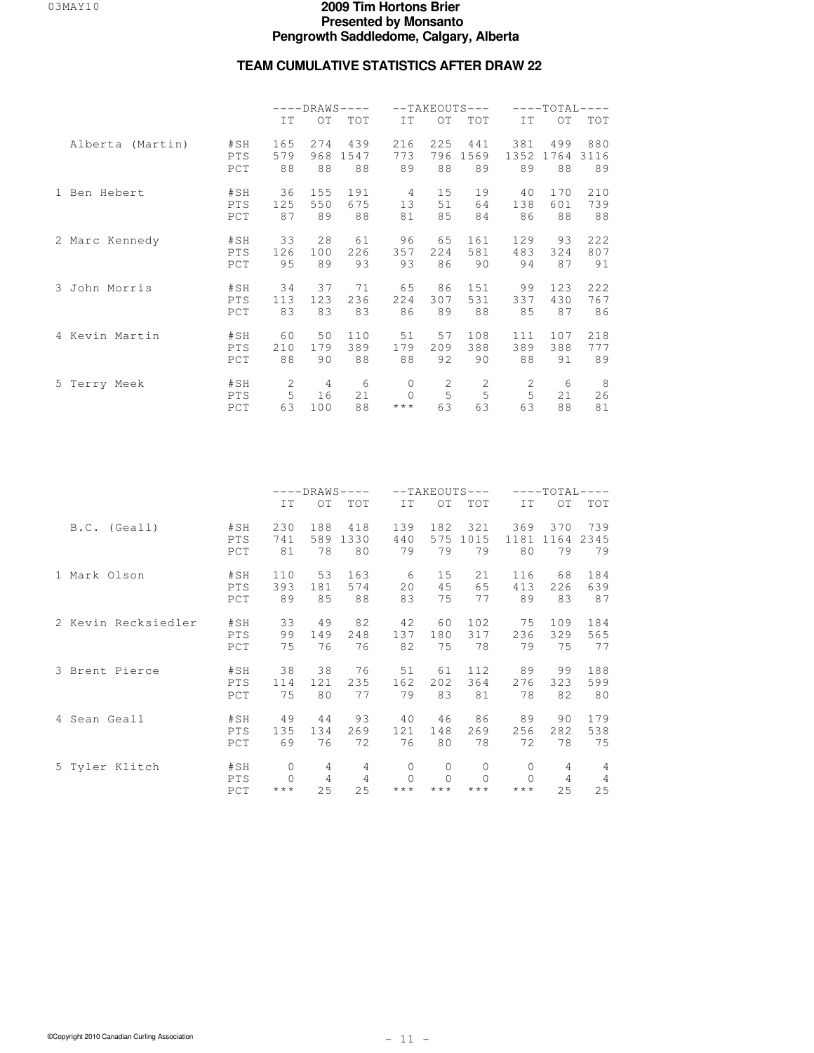## **TEAM CUMULATIVE STATISTICS AFTER DRAW 22**

|                  |            | $---DRAWS---$ |     |            |          | $--TAKEOUTS---$ |      | $---TOTAI---$ |      |            |
|------------------|------------|---------------|-----|------------|----------|-----------------|------|---------------|------|------------|
|                  |            | IT            | OT  | <b>TOT</b> | IT       | OT              | TOT  | IT            | OT   | <b>TOT</b> |
| Alberta (Martin) | #SH        | 165           | 274 | 439        | 216      | 225             | 441  | 381           | 499  | 880        |
|                  | <b>PTS</b> | 579           | 968 | 1547       | 773      | 796             | 1569 | 1352          | 1764 | 3116       |
|                  | PCT        | 88            | 88  | 88         | 89       | 88              | 89   | 89            | 88   | 89         |
| 1 Ben Hebert     | #SH        | 36            | 155 | 191        | 4        | 15              | 19   | 40            | 170  | 210        |
|                  | <b>PTS</b> | 125           | 550 | 675        | 13       | 51              | 64   | 138           | 601  | 739        |
|                  | PCT        | 87            | 89  | 88         | 81       | 85              | 84   | 86            | 88   | 88         |
| 2 Marc Kennedy   | #SH        | 33            | 28  | 61         | 96       | 65              | 161  | 129           | 93   | 222        |
|                  | <b>PTS</b> | 126           | 100 | 226        | 357      | 224             | 581  | 483           | 324  | 807        |
|                  | PCT        | 95            | 89  | 93         | 93       | 86              | 90   | 94            | 87   | 91         |
| 3 John Morris    | #SH        | 34            | 37  | 71         | 65       | 86              | 151  | 99            | 123  | 222        |
|                  | <b>PTS</b> | 113           | 123 | 236        | 224      | 307             | 531  | 337           | 430  | 767        |
|                  | PCT        | 83            | 83  | 83         | 86       | 89              | 88   | 85            | 87   | 86         |
| 4 Kevin Martin   | #SH        | 60            | 50  | 110        | 51       | 57              | 108  | 111           | 107  | 218        |
|                  | <b>PTS</b> | 210           | 179 | 389        | 179      | 209             | 388  | 389           | 388  | 777        |
|                  | PCT        | 88            | 90  | 88         | 88       | 92              | 90   | 88            | 91   | 89         |
| 5 Terry Meek     | #SH        | 2             | 4   | 6          | 0        | 2               | 2    | 2             | 6    | 8          |
|                  | <b>PTS</b> | 5             | 16  | 21         | $\Omega$ | 5               | 5    | 5             | 21   | 26         |
|                  | PCT        | 63            | 100 | 88         | $***$    | 63              | 63   | 63            | 88   | 81         |

|                     |                   | $---DRANS---$                      |                           |                           |                                             | $--TAKEOUTS---$              |                                          | $---TOTAI-$                                    | $---$                     |                           |
|---------------------|-------------------|------------------------------------|---------------------------|---------------------------|---------------------------------------------|------------------------------|------------------------------------------|------------------------------------------------|---------------------------|---------------------------|
|                     |                   | IT                                 | OT                        | TOT                       | IT.                                         | ОT                           | TOT                                      | IT.                                            | ОT                        | TOT                       |
| B.C. (Geall)        | #SH               | 230                                | 188                       | 418                       | 139                                         | 182                          | 321                                      | 369                                            | 370                       | 739                       |
|                     | PTS               | 741                                | 589                       | 1330                      | 440                                         | 575                          | 1015                                     | 1181                                           | 1164                      | 2345                      |
|                     | PCT               | 81                                 | 78                        | 80                        | 79                                          | 79                           | 79                                       | 80                                             | 79                        | 79                        |
| 1 Mark Olson        | #SH               | 110                                | 53                        | 163                       | 6                                           | 15                           | 21                                       | 116                                            | 68                        | 184                       |
|                     | PTS               | 393                                | 181                       | 574                       | 20                                          | 45                           | 65                                       | 413                                            | 226                       | 639                       |
|                     | PCT               | 89                                 | 85                        | 88                        | 83                                          | 75                           | 77                                       | 89                                             | 83                        | 87                        |
| 2 Kevin Recksiedler | #SH               | 33                                 | 49                        | 82                        | 42                                          | 60                           | 102.                                     | 75                                             | 109                       | 184                       |
|                     | PTS               | 99                                 | 149                       | 248                       | 137                                         | 180                          | 317                                      | 236                                            | 329                       | 565                       |
|                     | PCT               | 75                                 | 76                        | 76                        | 82                                          | 75                           | 78                                       | 79                                             | 75                        | 77                        |
| 3 Brent Pierce      | #SH               | 38                                 | 38                        | 76                        | 51                                          | 61                           | 112.                                     | 89                                             | 99                        | 188                       |
|                     | PTS               | 114                                | 121                       | 235                       | 162                                         | 202                          | 364                                      | 276                                            | 323                       | 599                       |
|                     | PCT               | 75                                 | 80                        | 77                        | 79                                          | 83                           | 81                                       | 78                                             | 82                        | 80                        |
| 4 Sean Geall        | #SH               | 49                                 | 44                        | 93                        | 40                                          | 46                           | 86                                       | 89                                             | 90                        | 179                       |
|                     | PTS               | 135                                | 134                       | 269                       | 121                                         | 148                          | 269                                      | 256                                            | 282                       | 538                       |
|                     | PCT               | 69                                 | 76                        | 72                        | 76                                          | 80                           | 78                                       | 72                                             | 78                        | 75                        |
| 5 Tyler Klitch      | #SH<br>PTS<br>PCT | 0<br>$\Omega$<br>$\star\star\star$ | 4<br>$\overline{4}$<br>25 | 4<br>$\overline{4}$<br>25 | $\mathbf{0}$<br>$\cap$<br>$\star\star\star$ | 0<br>$\star$ $\star$ $\star$ | 0<br>$\Omega$<br>$\star$ $\star$ $\star$ | $\mathbf{0}$<br>$\bigcap$<br>$\star\star\star$ | 4<br>$\overline{4}$<br>25 | 4<br>$\overline{4}$<br>25 |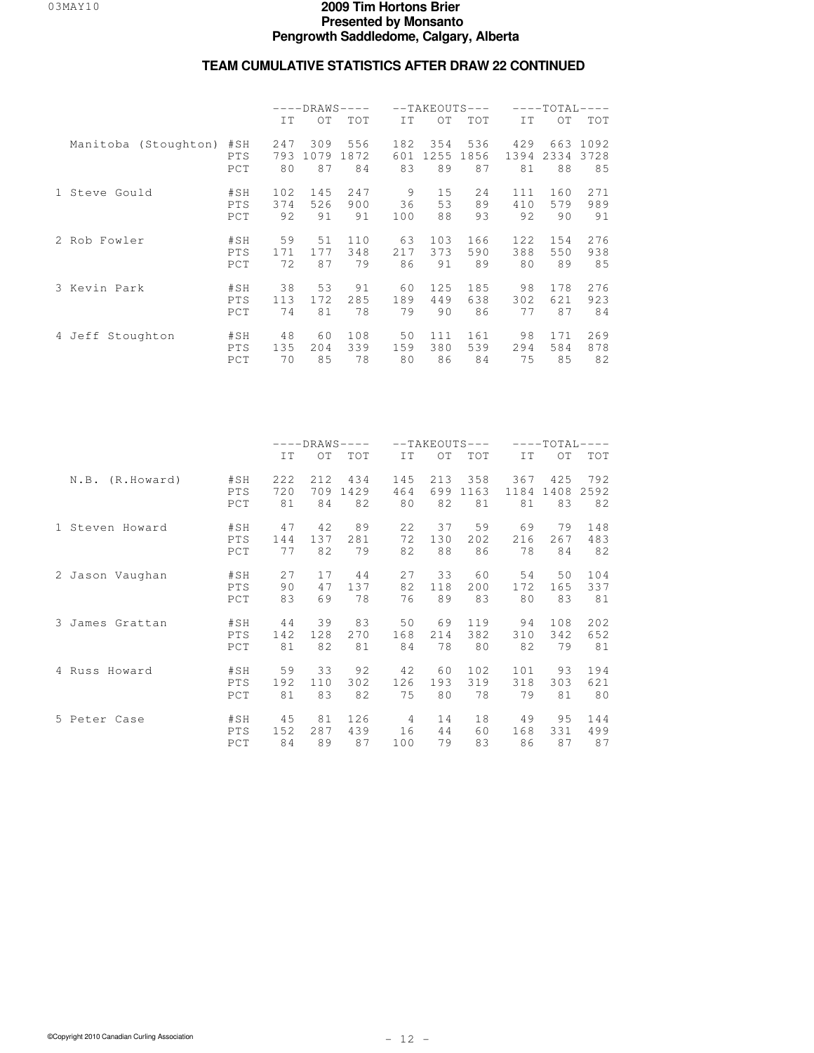|                      |                          | $---DRAWS---$    |                   |                   | $--TAKEOUTS---$  |                   |                   | $---TOTAL-$       | $---$             |                    |
|----------------------|--------------------------|------------------|-------------------|-------------------|------------------|-------------------|-------------------|-------------------|-------------------|--------------------|
|                      |                          | IT               | ОT                | TOT               | IT               | OT.               | <b>TOT</b>        | IT                | $\Omega$          | <b>TOT</b>         |
| Manitoba (Stoughton) | #SH<br><b>PTS</b><br>PCT | 247<br>793<br>80 | 309<br>1079<br>87 | 556<br>1872<br>84 | 182<br>601<br>83 | 354<br>1255<br>89 | 536<br>1856<br>87 | 429<br>1394<br>81 | 663<br>2334<br>88 | 1092<br>3728<br>85 |
| 1 Steve Gould        | #SH<br>PTS<br>PCT        | 102<br>374<br>92 | 145<br>526<br>91  | 247<br>900<br>91  | 9<br>36<br>100   | 15<br>53<br>88    | 24<br>89<br>93    | 111<br>410<br>92  | 160<br>579<br>90  | 271<br>989<br>91   |
| 2 Rob Fowler         | #SH<br><b>PTS</b><br>PCT | 59<br>171<br>72  | 51<br>177<br>87   | 110<br>348<br>79  | 63<br>217<br>86  | 103<br>373<br>91  | 166<br>590<br>89  | 122<br>388<br>80  | 154<br>550<br>89  | 276<br>938<br>85   |
| 3 Kevin Park         | #SH<br><b>PTS</b><br>PCT | 38<br>113<br>74  | 53<br>172<br>81   | 91<br>285<br>78   | 60<br>189<br>79  | 125<br>449<br>90  | 185<br>638<br>86  | 98<br>302<br>77   | 178<br>621<br>87  | 276<br>923<br>84   |
| 4 Jeff Stoughton     | #SH<br><b>PTS</b><br>PCT | 48<br>135<br>70  | 60<br>204<br>85   | 108<br>339<br>78  | 50<br>159<br>80  | 111<br>380<br>86  | 161<br>539<br>84  | 98<br>294<br>75   | 171<br>584<br>85  | 269<br>878<br>82   |

|                    |                   | $---DRAWS---$    |                  |                   |                  |                  | $--TAKEOUTS---$   | $---TOTAL---$     |                   |                   |  |
|--------------------|-------------------|------------------|------------------|-------------------|------------------|------------------|-------------------|-------------------|-------------------|-------------------|--|
|                    |                   | IT               | OT               | <b>TOT</b>        | IT               | OT               | <b>TOT</b>        | IT                | OT.               | <b>TOT</b>        |  |
| N.B.<br>(R.Howard) | #SH<br>PTS<br>PCT | 222<br>720<br>81 | 212<br>709<br>84 | 434<br>1429<br>82 | 145<br>464<br>80 | 213<br>699<br>82 | 358<br>1163<br>81 | 367<br>1184<br>81 | 425<br>1408<br>83 | 792<br>2592<br>82 |  |
| 1 Steven Howard    | #SH               | 47               | 42               | 89                | 22               | 37               | 59                | 69                | 79                | 148               |  |
|                    | PTS               | 144              | 137              | 281               | 72               | 130              | 202               | 216               | 267               | 483               |  |
|                    | PCT               | 77               | 82               | 79                | 82               | 88               | 86                | 78                | 84                | 82                |  |
| 2 Jason Vaughan    | #SH               | 27               | 17               | 44                | 27               | 33               | 60                | 54                | 50                | 104               |  |
|                    | PTS               | 90               | 47               | 137               | 82               | 118              | 200               | 172               | 165               | 337               |  |
|                    | PCT               | 83               | 69               | 78                | 76               | 89               | 83                | 80                | 83                | 81                |  |
| 3 James Grattan    | #SH               | 44               | 39               | 83                | 50               | 69               | 119               | 94                | 108               | 202               |  |
|                    | PTS               | 142              | 128              | 270               | 168              | 214              | 382               | 310               | 342               | 652               |  |
|                    | PCT               | 81               | 82               | 81                | 84               | 78               | 80                | 82                | 79                | 81                |  |
| 4 Russ Howard      | #SH               | 59               | 33               | 92                | 42               | 60               | 102               | 101               | 93                | 194               |  |
|                    | PTS               | 192              | 110              | 302               | 126              | 193              | 319               | 318               | 303               | 621               |  |
|                    | PCT               | 81               | 83               | 82                | 75               | 80               | 78                | 79                | 81                | 80                |  |
| 5 Peter Case       | #SH               | 45               | 81               | 126               | 4                | 14               | 18                | 49                | 95                | 144               |  |
|                    | PTS               | 152              | 287              | 439               | 16               | 44               | 60                | 168               | 331               | 499               |  |
|                    | PCT               | 84               | 89               | 87                | 100              | 79               | 83                | 86                | 87                | 87                |  |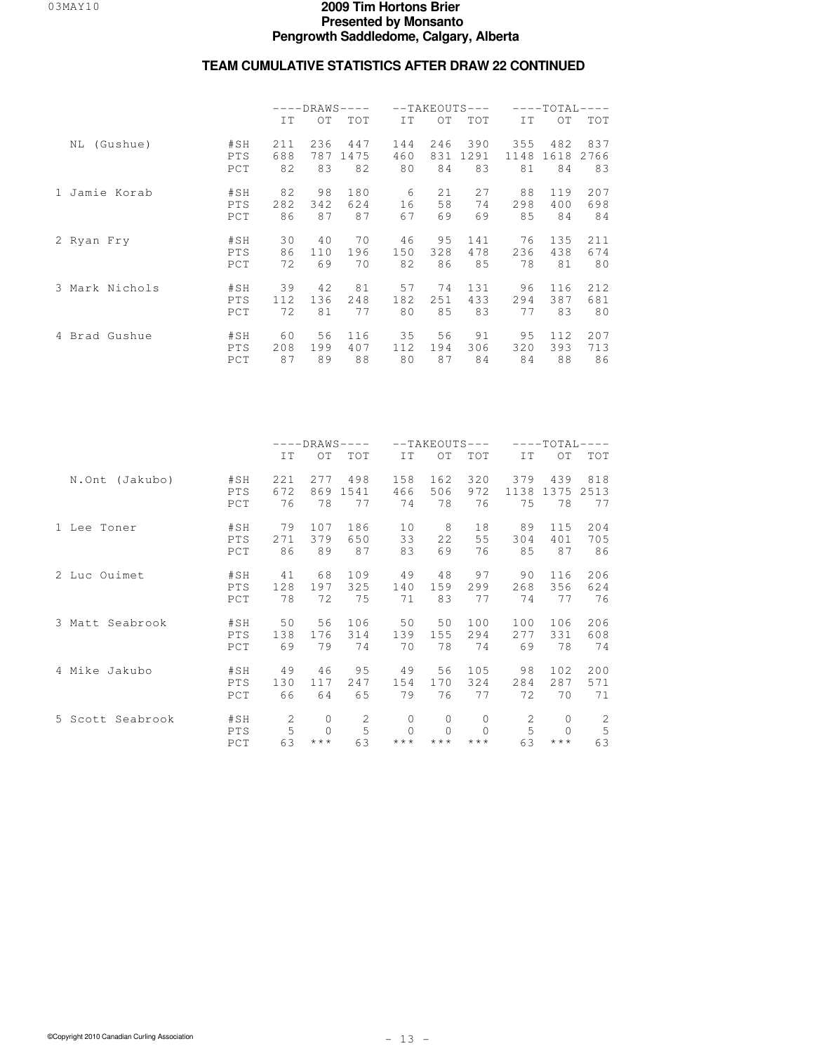|                |            | $---DRAWS-$<br>$---$ |     |      |     |     | $--TAKEOUTS---$ | ––––TOTAL- |      |      |  |
|----------------|------------|----------------------|-----|------|-----|-----|-----------------|------------|------|------|--|
|                |            | IT                   | OT  | TOT  | IT  | OT  | TOT             | IT         | OT   | TOT  |  |
| NL (Gushue)    | #SH        | 211                  | 236 | 447  | 144 | 246 | 390             | 355        | 482  | 837  |  |
|                | PTS        | 688                  | 787 | 1475 | 460 | 831 | 1291            | 1148       | 1618 | 2766 |  |
|                | PCT        | 82                   | 83  | 82   | 80  | 84  | 83              | 81         | 84   | 83   |  |
| 1 Jamie Korab  | #SH        | 82                   | 98  | 180  | 6   | 21  | 27              | 88         | 119  | 207  |  |
|                | PTS        | 282                  | 342 | 624  | 16  | 58  | 74              | 298        | 400  | 698  |  |
|                | PCT        | 86                   | 87  | 87   | 67  | 69  | 69              | 85         | 84   | 84   |  |
| 2 Ryan Fry     | #SH        | 30                   | 40  | 70   | 46  | 95  | 141             | 76         | 135  | 211  |  |
|                | PTS        | 86                   | 110 | 196  | 150 | 328 | 478             | 236        | 438  | 674  |  |
|                | PCT        | 72                   | 69  | 70   | 82  | 86  | 85              | 78         | 81   | 80   |  |
| 3 Mark Nichols | #SH        | 39                   | 42  | 81   | 57  | 74  | 131             | 96         | 116  | 212  |  |
|                | PTS        | 112                  | 136 | 248  | 182 | 251 | 433             | 294        | 387  | 681  |  |
|                | PCT        | 72                   | 81  | 77   | 80  | 85  | 83              | 77         | 83   | 80   |  |
| 4 Brad Gushue  | #SH        | 60                   | 56  | 116  | 35  | 56  | 91              | 95         | 112  | 207  |  |
|                | <b>PTS</b> | 208                  | 199 | 407  | 112 | 194 | 306             | 320        | 393  | 713  |  |
|                | PCT        | 87                   | 89  | 88   | 80  | 87  | 84              | 84         | 88   | 86   |  |

|                  |            | $---DRAWS---$ |          |            |          | $--TAKEOUTS---$ |            | $---TOTAL---$ |              |             |  |
|------------------|------------|---------------|----------|------------|----------|-----------------|------------|---------------|--------------|-------------|--|
|                  |            | IT            | OT       | <b>TOT</b> | IT       | OT              | <b>TOT</b> | IT            | ОT           | <b>TOT</b>  |  |
| N.Ont (Jakubo)   | #SH        | 221           | 277      | 498        | 158      | 162             | 320        | 379           | 439          | 818         |  |
|                  | PTS        | 672           | 869      | 1541       | 466      | 506             | 972        | 1138          | 1375         | 2513        |  |
|                  | PCT        | 76            | 78       | 77         | 74       | 78              | 76         | 75            | 78           | 77          |  |
| 1 Lee Toner      | #SH        | 79            | 107      | 186        | 10       | 8               | 18         | 89            | 115          | 204         |  |
|                  | <b>PTS</b> | 271           | 379      | 650        | 33       | 22              | 55         | 304           | 401          | 705         |  |
|                  | PCT        | 86            | 89       | 87         | 83       | 69              | 76         | 85            | 87           | 86          |  |
| 2 Luc Ouimet     | #SH        | 41            | 68       | 109        | 49       | 48              | 97         | 90            | 116          | 206         |  |
|                  | PTS        | 128           | 197      | 325        | 140      | 159             | 299        | 268           | 356          | 624         |  |
|                  | PCT        | 78            | 72       | 75         | 71       | 83              | 77         | 74            | 77           | 76          |  |
| 3 Matt Seabrook  | #SH        | 50            | 56       | 106        | 50       | 50              | 100        | 100           | 106          | 206         |  |
|                  | PTS        | 138           | 176      | 314        | 139      | 155             | 294        | 277           | 331          | 608         |  |
|                  | PCT        | 69            | 79       | 74         | 70       | 78              | 74         | 69            | 78           | 74          |  |
| 4 Mike Jakubo    | #SH        | 49            | 46       | 95         | 49       | 56              | 105        | 98            | 102          | 200         |  |
|                  | PTS        | 130           | 117      | 247        | 154      | 170             | 324        | 284           | 287          | 571         |  |
|                  | PCT        | 66            | 64       | 65         | 79       | 76              | 77         | 72            | 70           | 71          |  |
| 5 Scott Seabrook | #SH        | 2             | $\Omega$ | 2          | $\Omega$ | 0               | $\Omega$   | 2             | $\mathbf{0}$ | 2           |  |
|                  | PTS        | 5             | $\Omega$ | 5          | $\Omega$ | $\Omega$        | $\Omega$   | 5             | $\Omega$     | $\mathsf S$ |  |
|                  | PCT        | 63            | ***      | 63         | $***$    | $***$           | $***$      | 63            | $***$        | 63          |  |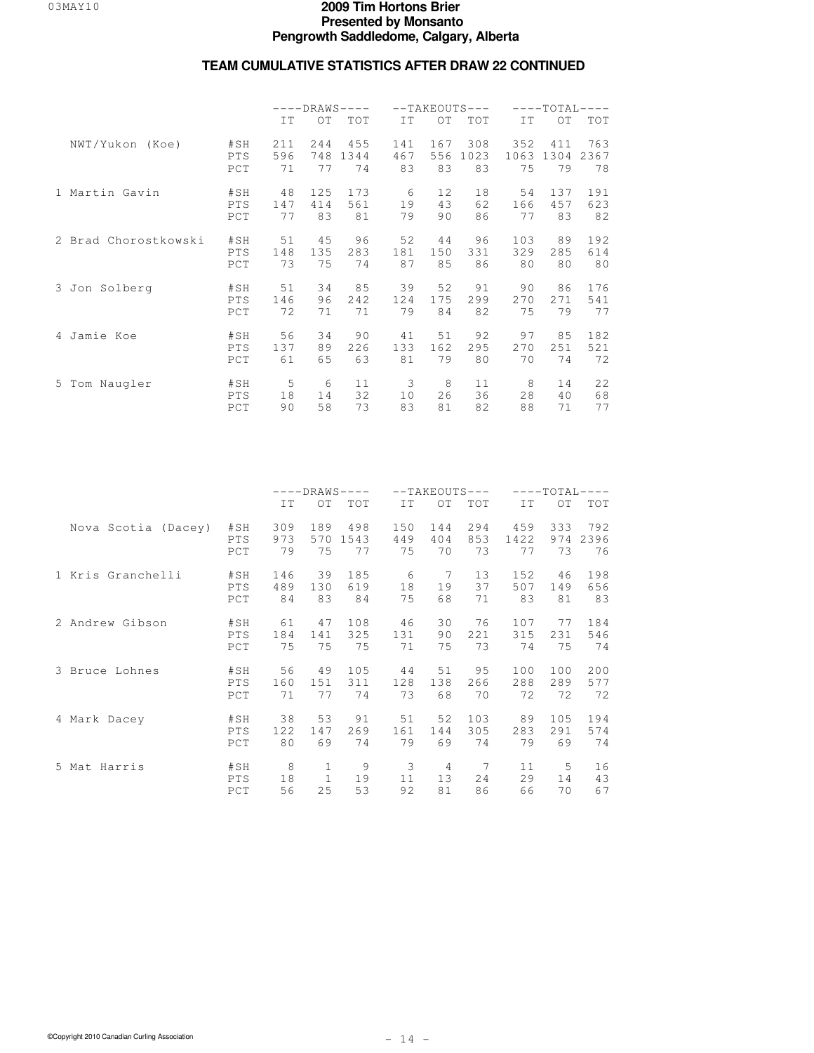|                      |            | $---DRAWS---$ |           |      |     | $--TAKEOUTS---$ |      | $---TOTAI -$<br>$---$ |      |            |  |
|----------------------|------------|---------------|-----------|------|-----|-----------------|------|-----------------------|------|------------|--|
|                      |            | IT            | OT<br>TOT |      | IT  | O <sub>T</sub>  | TOT  | IT                    | OT   | <b>TOT</b> |  |
| NWT/Yukon (Koe)      | #SH        | 211           | 244       | 455  | 141 | 167             | 308  | 352                   | 411  | 763        |  |
|                      | PTS        | 596           | 748       | 1344 | 467 | 556             | 1023 | 1063                  | 1304 | 2367       |  |
|                      | PCT        | 71            | 77        | 74   | 83  | 83              | 83   | 75                    | 79   | 78         |  |
| 1 Martin Gavin       | #SH        | 48            | 125       | 173  | 6   | 12              | 18   | 54                    | 137  | 191        |  |
|                      | PTS        | 147           | 414       | 561  | 19  | 43              | 62   | 166                   | 457  | 623        |  |
|                      | PCT        | 77            | 83        | 81   | 79  | 90              | 86   | 77                    | 83   | 82         |  |
| 2 Brad Chorostkowski | #SH        | 51            | 45        | 96   | 52  | 44              | 96   | 103                   | 89   | 192        |  |
|                      | <b>PTS</b> | 148           | 135       | 283  | 181 | 150             | 331  | 329                   | 285  | 614        |  |
|                      | PCT        | 73            | 75        | 74   | 87  | 85              | 86   | 80                    | 80   | 80         |  |
| 3 Jon Solberg        | #SH        | 51            | 34        | 85   | 39  | 52              | 91   | 90                    | 86   | 176        |  |
|                      | <b>PTS</b> | 146           | 96        | 242  | 124 | 175             | 299  | 270                   | 271  | 541        |  |
|                      | PCT        | 72            | 71        | 71   | 79  | 84              | 82   | 75                    | 79   | 77         |  |
| 4 Jamie Koe          | #SH        | 56            | 34        | 90   | 41  | 51              | 92   | 97                    | 85   | 182        |  |
|                      | PTS        | 137           | 89        | 226  | 133 | 162             | 295  | 270                   | 251  | 521        |  |
|                      | PCT        | 61            | 65        | 63   | 81  | 79              | 80   | 70                    | 74   | 72         |  |
| 5 Tom Naugler        | #SH        | 5             | 6         | 11   | 3   | 8               | 11   | 8                     | 14   | 22         |  |
|                      | PTS        | 18            | 14        | 32   | 10  | 26              | 36   | 28                    | 40   | 68         |  |
|                      | PCT        | 90            | 58        | 73   | 83  | 81              | 82   | 88                    | 71   | 77         |  |

|                     |     | $---DRAWS---$ |              |            |     | $--TAKEOUTS---$ |     | $---TOTAL-$ |                 |            |  |
|---------------------|-----|---------------|--------------|------------|-----|-----------------|-----|-------------|-----------------|------------|--|
|                     |     | IT            | OT           | <b>TOT</b> | IT  | OT              | TOT | IT.         | $\overline{O}T$ | <b>TOT</b> |  |
| Nova Scotia (Dacey) | #SH | 309           | 189          | 498        | 150 | 144             | 294 | 459         | 333             | 792        |  |
|                     | PTS | 973           | 570          | 1543       | 449 | 404             | 853 | 1422        | 974             | 2396       |  |
|                     | PCT | 79            | 75           | 77         | 75  | 70              | 73  | 77          | 73              | 76         |  |
| 1 Kris Granchelli   | #SH | 146           | 39           | 185        | 6   | 7               | 13  | 152         | 46              | 198        |  |
|                     | PTS | 489           | 130          | 619        | 18  | 19              | 37  | 507         | 149             | 656        |  |
|                     | PCT | 84            | 83           | 84         | 75  | 68              | 71  | 83          | 81              | 83         |  |
| 2 Andrew Gibson     | #SH | 61            | 47           | 108        | 46  | 30              | 76  | 107         | 77              | 184        |  |
|                     | PTS | 184           | 141          | 325        | 131 | 90              | 221 | 315         | 231             | 546        |  |
|                     | PCT | 75            | 75           | 75         | 71  | 75              | 73  | 74          | 75              | 74         |  |
| 3 Bruce Lohnes      | #SH | 56            | 49           | 105        | 44  | 51              | 95  | 100         | 100             | 200        |  |
|                     | PTS | 160           | 151          | 311        | 128 | 138             | 266 | 288         | 289             | 577        |  |
|                     | PCT | 71            | 77           | 74         | 73  | 68              | 70  | 72          | 72              | 72         |  |
| 4 Mark Dacey        | #SH | 38            | 53           | 91         | 51  | 52              | 103 | 89          | 105             | 194        |  |
|                     | PTS | 122           | 147          | 269        | 161 | 144             | 305 | 283         | 291             | 574        |  |
|                     | PCT | 80            | 69           | 74         | 79  | 69              | 74  | 79          | 69              | 74         |  |
| 5 Mat Harris        | #SH | 8             | $\mathbf{1}$ | 9          | 3   | -4              | 7   | 11          | 5               | 16         |  |
|                     | PTS | 18            | $\mathbf{1}$ | 19         | 11  | 1.3             | 24  | 29          | 14              | 43         |  |
|                     | PCT | 56            | 25           | 53         | 92  | 81              | 86  | 66          | 70              | 67         |  |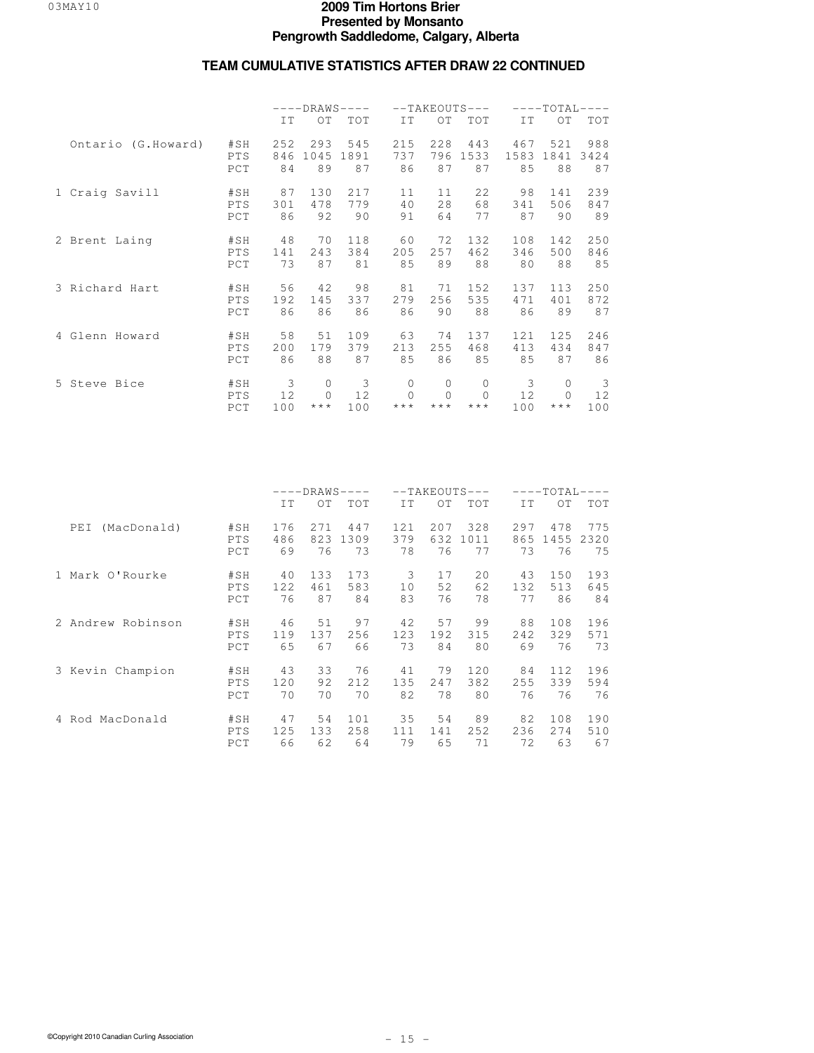|                    |                          | $---DRAWS---$  |                        |                 |                                                |                                    | $--TAKEOUTS---$                               | $---TOTAI---$   |                                                      |                |  |
|--------------------|--------------------------|----------------|------------------------|-----------------|------------------------------------------------|------------------------------------|-----------------------------------------------|-----------------|------------------------------------------------------|----------------|--|
|                    |                          | TT <sub></sub> | $\bigcirc$ T           | TOT             | IT                                             | OT                                 | <b>TOT</b>                                    | IT              | O <sub>T</sub>                                       | TOT            |  |
| Ontario (G.Howard) | #SH                      | 252            | 293                    | 545             | 215                                            | 228                                | 443                                           | 467             | 521                                                  | 988            |  |
|                    | PTS                      | 846            | 1045                   | 1891            | 737                                            | 796                                | 1533                                          | 1583            | 1841                                                 | 3424           |  |
|                    | PCT                      | 84             | 89                     | 87              | 86                                             | 87                                 | 87                                            | 85              | 88                                                   | 87             |  |
| 1 Craig Savill     | #SH                      | 87             | 130                    | 217             | 11                                             | 11                                 | 22                                            | 98              | 141                                                  | 239            |  |
|                    | <b>PTS</b>               | 301            | 478                    | 779             | 40                                             | 28                                 | 68                                            | 341             | 506                                                  | 847            |  |
|                    | PCT                      | 86             | 92                     | 90              | 91                                             | 64                                 | 77                                            | 87              | 90                                                   | 89             |  |
| 2 Brent Laing      | #SH                      | 48             | 70                     | 118             | 60                                             | 72                                 | 132                                           | 108             | 142                                                  | 250            |  |
|                    | PTS                      | 141            | 243                    | 384             | 205                                            | 257                                | 462                                           | 346             | 500                                                  | 846            |  |
|                    | PCT                      | 73             | 87                     | 81              | 85                                             | 89                                 | 88                                            | 80              | 88                                                   | 85             |  |
| 3 Richard Hart     | #SH                      | 56             | 42                     | 98              | 81                                             | 71                                 | 152                                           | 137             | 113                                                  | 250            |  |
|                    | PTS                      | 192            | 145                    | 337             | 279                                            | 256                                | 535                                           | 471             | 401                                                  | 872            |  |
|                    | PCT                      | 86             | 86                     | 86              | 86                                             | 90                                 | 88                                            | 86              | 89                                                   | 87             |  |
| 4 Glenn Howard     | #SH                      | 58             | 51                     | 109             | 63                                             | 74                                 | 137                                           | 121             | 125                                                  | 246            |  |
|                    | PTS                      | 200            | 179                    | 379             | 213                                            | 255                                | 468                                           | 413             | 434                                                  | 847            |  |
|                    | PCT                      | 86             | 88                     | 87              | 85                                             | 86                                 | 85                                            | 85              | 87                                                   | 86             |  |
| 5 Steve Bice       | #SH<br><b>PTS</b><br>PCT | 3<br>12<br>100 | 0<br>$\Omega$<br>$***$ | 3<br>12.<br>100 | $\circ$<br>$\Omega$<br>$\star$ $\star$ $\star$ | $\circ$<br>$\star$ $\star$ $\star$ | $\mathbf{0}$<br>$\Omega$<br>$\star\star\star$ | 3<br>12.<br>100 | $\mathbf{0}$<br>$\bigcap$<br>$\star$ $\star$ $\star$ | 3<br>12<br>100 |  |

|                    |                   | $---DRAWS---$    |                   |                   |                   | $--TAKEOUTS---$  |                   |                  |                   |                   |  |
|--------------------|-------------------|------------------|-------------------|-------------------|-------------------|------------------|-------------------|------------------|-------------------|-------------------|--|
|                    |                   | IT               | ОT                | TOT               | IT                | OT               | <b>TOT</b>        | IT               | OT                | <b>TOT</b>        |  |
| (MacDonald)<br>PEI | #SH<br>PTS<br>PCT | 176<br>486<br>69 | 2.71<br>823<br>76 | 447<br>1309<br>73 | 12.1<br>379<br>78 | 207<br>632<br>76 | 328<br>1011<br>77 | 297<br>865<br>73 | 478<br>1455<br>76 | 775<br>2320<br>75 |  |
| 1 Mark O'Rourke    | #SH               | 40               | 133               | 173               | 3                 | 17               | 20                | 43               | 150               | 193               |  |
|                    | PTS               | 122              | 461               | 583               | 10                | 52               | 62                | 132              | 513               | 645               |  |
|                    | PCT               | 76               | 87                | 84                | 83                | 76               | 78                | 77               | 86                | 84                |  |
| 2 Andrew Robinson  | #SH               | 46               | 51                | 97                | 42                | 57               | 99                | 88               | 108               | 196               |  |
|                    | PTS               | 119              | 137               | 256               | 123               | 192              | 315               | 242              | 329               | 571               |  |
|                    | PCT               | 65               | 67                | 66                | 73                | 84               | 80                | 69               | 76                | 73                |  |
| 3 Kevin Champion   | #SH               | 43               | 33                | 76                | 41                | 79               | 120               | 84               | 112.              | 196               |  |
|                    | PTS               | 120              | 92                | 2.12              | 135               | 2.47             | 382               | 255              | 339               | 594               |  |
|                    | PCT               | 70               | 70                | 70                | 82                | 78               | 80                | 76               | 76                | 76                |  |
| 4 Rod MacDonald    | #SH               | 47               | 54                | 101               | 35                | 54               | 89                | 82               | 108               | 190               |  |
|                    | <b>PTS</b>        | 125              | 133               | 258               | 111               | 141              | 252               | 236              | 2.74              | 510               |  |
|                    | PCT               | 66               | 62                | 64                | 79                | 65               | 71                | 72               | 63                | 67                |  |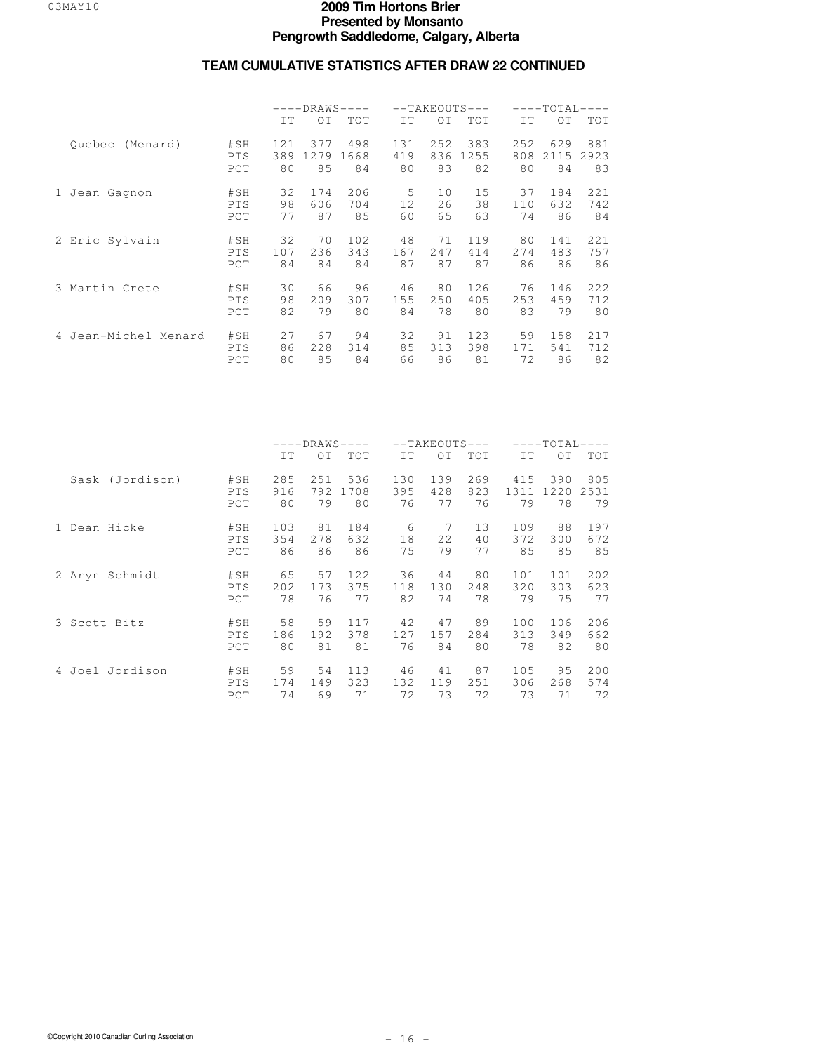|                      |                   | $---DRAWS-$<br>$---$ |            |            |           | $--TAKEOUTS---$ |            | $---TOTAL-$<br>$---$ |            |            |  |
|----------------------|-------------------|----------------------|------------|------------|-----------|-----------------|------------|----------------------|------------|------------|--|
|                      |                   | IT                   | OT         | <b>TOT</b> | IT        | OT              | TOT        | IT                   | OT         | <b>TOT</b> |  |
| (Menard)<br>Quebec   | #SH               | 121                  | 377        | 498        | 131       | 252             | 383        | 252                  | 629        | 881        |  |
|                      | PTS<br>PCT        | 389<br>80            | 1279<br>85 | 1668<br>84 | 419<br>80 | 836<br>83       | 1255<br>82 | 808<br>80            | 2115<br>84 | 2923<br>83 |  |
| 1 Jean Gagnon        | #SH               | 32                   | 174        | 206        | 5         | 10              | 15         | 37                   | 184        | 221        |  |
|                      | PTS<br>PCT        | 98<br>77             | 606<br>87  | 704<br>85  | 12<br>60  | 26<br>65        | 38<br>63   | 110<br>74            | 632<br>86  | 742<br>84  |  |
| 2 Eric Sylvain       | #SH               | 32                   | 70         | 102        | 48        | 71              | 119        | 80                   | 141        | 221        |  |
|                      | PTS<br>PCT        | 107<br>84            | 236<br>84  | 343<br>84  | 167<br>87 | 2.47<br>87      | 414<br>87  | 274<br>86            | 483<br>86  | 757<br>86  |  |
| 3 Martin Crete       | #SH               | 30                   | 66         | 96         | 46        | 80              | 126        | 76                   | 146        | 222        |  |
|                      | PTS<br>PCT        | 98<br>82             | 209<br>79  | 307<br>80  | 155<br>84 | 250<br>78       | 405<br>80  | 253<br>83            | 459<br>79  | 712<br>80  |  |
| 4 Jean-Michel Menard | #SH               | 27                   | 67         | 94         | 32        | 91              | 123        | 59                   | 158        | 217        |  |
|                      | <b>PTS</b><br>PCT | 86<br>80             | 228<br>85  | 314<br>84  | 85<br>66  | 313<br>86       | 398<br>81  | 171<br>72            | 541<br>86  | 712<br>82  |  |

|                 |            | $---DRAWS-$<br>$\qquad \qquad - -$ |      |      |     | $--TAKEOUTS---$ |     | $---TOTAI-$ |      |            |  |
|-----------------|------------|------------------------------------|------|------|-----|-----------------|-----|-------------|------|------------|--|
|                 |            | IT                                 | OT   | TOT  | IT  | OT              | TOT | IT          | OT.  | <b>TOT</b> |  |
| Sask (Jordison) | #SH        | 285                                | 251  | 536  | 130 | 139             | 269 | 415         | 390  | 805        |  |
|                 | PTS        | 916                                | 792  | 1708 | 395 | 428             | 823 | 1311        | 1220 | 2531       |  |
|                 | PCT        | 80                                 | 79   | 80   | 76  | 77              | 76  | 79          | 78   | 79         |  |
| 1 Dean Hicke    | #SH        | 103                                | 81   | 184  | 6   | 7               | 13  | 109         | 88   | 197        |  |
|                 | PTS        | 354                                | 2.78 | 632  | 18  | 22              | 40  | 372         | 300  | 672        |  |
|                 | PCT        | 86                                 | 86   | 86   | 75  | 79              | 77  | 85          | 85   | 85         |  |
| 2 Aryn Schmidt  | #SH        | 65                                 | 57   | 122  | 36  | 44              | 80  | 101         | 101  | 202        |  |
|                 | PTS        | 202                                | 173  | 375  | 118 | 130             | 248 | 320         | 303  | 623        |  |
|                 | PCT        | 78                                 | 76   | 77   | 82  | 74              | 78  | 79          | 75   | 77         |  |
| 3 Scott Bitz    | #SH        | 58                                 | 59   | 117  | 42  | 47              | 89  | 100         | 106  | 206        |  |
|                 | PTS        | 186                                | 192  | 378  | 127 | 157             | 284 | 313         | 349  | 662        |  |
|                 | PCT        | 80                                 | 81   | 81   | 76  | 84              | 80  | 78          | 82   | 80         |  |
| 4 Joel Jordison | #SH        | 59                                 | 54   | 113  | 46  | 41              | 87  | 105         | 95   | 200        |  |
|                 | <b>PTS</b> | 174                                | 149  | 323  | 132 | 119             | 251 | 306         | 268  | 574        |  |
|                 | PCT        | 74                                 | 69   | 71   | 72  | 73              | 72  | 73          | 71   | 72         |  |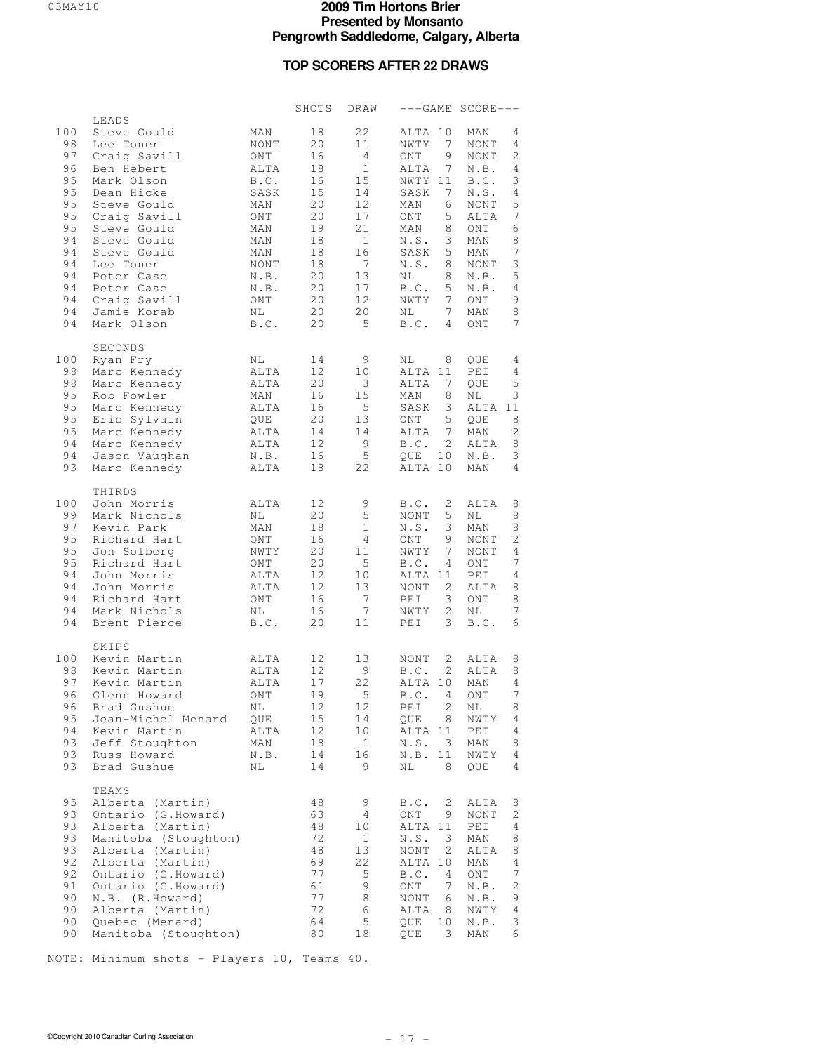### **TOP SCORERS AFTER 22 DRAWS**

|                                                                                                     |                                                                                                                                                                                                                                                                     |                                                                                                                                   | SHOTS                                                                                              | DRAW                                                                                                                             |                                                                                                                                                                                                                                                       | ---GAME SCORE---                                                                                                                                                                                                          |
|-----------------------------------------------------------------------------------------------------|---------------------------------------------------------------------------------------------------------------------------------------------------------------------------------------------------------------------------------------------------------------------|-----------------------------------------------------------------------------------------------------------------------------------|----------------------------------------------------------------------------------------------------|----------------------------------------------------------------------------------------------------------------------------------|-------------------------------------------------------------------------------------------------------------------------------------------------------------------------------------------------------------------------------------------------------|---------------------------------------------------------------------------------------------------------------------------------------------------------------------------------------------------------------------------|
| 100<br>98<br>97<br>96<br>95<br>95<br>95<br>95<br>95<br>94<br>94<br>94<br>94<br>94<br>94<br>94<br>94 | LEADS<br>Steve Gould<br>Lee Toner<br>Craig Savill<br>Ben Hebert<br>Mark Olson<br>Dean Hicke<br>Steve Gould<br>Craig Savill<br>Steve Gould<br>Steve Gould<br>Steve Gould<br>Lee Toner<br>Peter Case<br>Peter Case<br>Craig Savill<br>Jamie Korab<br>Mark Olson       | MAN<br>NONT<br>ONT<br>ALTA<br>B.C.<br>SASK<br>MAN<br>ONT<br>MAN<br>MAN<br>MAN<br><b>NONT</b><br>N.B.<br>N.B.<br>ONT<br>ΝL<br>B.C. | 18<br>20<br>16<br>18<br>16<br>15<br>20<br>20<br>19<br>18<br>18<br>18<br>20<br>20<br>20<br>20<br>20 | 22<br>11<br>$\overline{4}$<br>$\mathbf{1}$<br>15<br>14<br>12<br>17<br>21<br>$\mathbf{1}$<br>16<br>7<br>13<br>17<br>12<br>20<br>5 | ALTA 10<br>NWTY<br>7<br>9<br>ONT<br>$7^{\circ}$<br>ALTA<br>NWTY 11<br>SASK<br>7<br>MAN<br>6<br>ONT<br>5<br>MAN<br>8<br>N.S.<br>3<br>5<br>SASK<br>N.S.<br>8<br>ΝL<br>8<br>B.C.<br>5<br>$7^{\circ}$<br>NWTY<br>$7^{\circ}$<br>NL<br>B.C.<br>$4^{\circ}$ | MAN<br>4<br><b>NONT</b><br>4<br>2<br>NONT<br>N.B.<br>4<br>3<br>B.C.<br>N.S.<br>4<br>5<br>NONT<br>7<br>ALTA<br>6<br>ONT<br>8<br>MAN<br>7<br>MAN<br>3<br>NONT<br>5<br>N.B.<br>N.B.<br>4<br>9<br>ONT<br>8<br>MAN<br>7<br>ONT |
| 100<br>98<br>98<br>95<br>95<br>95<br>95<br>94<br>94<br>93                                           | SECONDS<br>Ryan Fry<br>Marc Kennedy<br>Marc Kennedy<br>Rob Fowler<br>Marc Kennedy<br>Eric Sylvain<br>Marc Kennedy<br>Marc Kennedy<br>Jason Vaughan<br>Marc Kennedy                                                                                                  | ΝL<br>ALTA<br>ALTA<br>MAN<br>ALTA<br>QUE<br>ALTA<br>ALTA<br>N.B.<br>ALTA                                                          | 14<br>12<br>20<br>16<br>16<br>20<br>14<br>12<br>16<br>18                                           | 9<br>10<br>3<br>15<br>5<br>13<br>14<br>- 9<br>5<br>22                                                                            | ΝL<br>8<br>ALTA 11<br>ALTA<br>7<br>MAN<br>8<br>3<br>SASK<br>5<br>ONT<br>ALTA<br>$7^{\circ}$<br>$\overline{2}$<br>B.C.<br>QUE<br>10<br>ALTA 10                                                                                                         | QUE<br>4<br>PEI<br>4<br>$\overline{5}$<br>QUE<br>3<br>ΝL<br>ALTA 11<br>8<br>QUE<br>2<br>MAN<br>8<br>ALTA<br>3<br>N.B.<br>4<br>MAN                                                                                         |
| 100<br>99<br>97<br>95<br>95<br>95<br>94<br>94<br>94<br>94<br>94                                     | THIRDS<br>John Morris<br>Mark Nichols<br>Kevin Park<br>Richard Hart<br>Jon Solberg<br>Richard Hart<br>John Morris<br>John Morris<br>Richard Hart<br>Mark Nichols<br>Brent Pierce                                                                                    | ALTA<br>NL<br>MAN<br>ONT<br>NWTY<br>ONT<br>ALTA<br>ALTA<br>ONT<br>NL<br>B.C.                                                      | 12<br>20<br>18<br>16<br>20<br>20<br>12<br>$12 \overline{ }$<br>16<br>16<br>20                      | 9<br>5<br>$\mathbf{1}$<br>4<br>11<br>5<br>10<br>13<br>7<br>$7\phantom{.0}$<br>11                                                 | 2<br>B.C.<br>NONT<br>5<br>N.S.<br>3<br>9<br>ONT<br>NWTY<br>$7^{\circ}$<br>B.C.<br>$\overline{4}$<br>ALTA 11<br>2<br>NONT<br>PEI<br>3<br>$\mathbf{2}$<br>NWTY<br>PEI<br>3                                                                              | ALTA<br>8<br>8<br>ΝL<br>8<br>MAN<br>2<br>NONT<br>NONT<br>4<br>7<br>ONT<br>PEI<br>4<br>8<br>ALTA<br>ONT<br>8<br>7<br>ΝL<br>B.C.<br>6                                                                                       |
| 100<br>98<br>97<br>96<br>96<br>95<br>94<br>93<br>93<br>93                                           | SKIPS<br>Kevin Martin<br>Kevin Martin<br>Kevin Martin<br>Glenn Howard<br>Brad Gushue<br>Jean-Michel Menard<br>Kevin Martin<br>Jeff Stoughton<br>Russ Howard<br>Brad Gushue                                                                                          | ALTA<br>ALTA<br>ALTA<br>ONT<br>ΝL<br>QUE<br>ALTA<br>MAN<br>N.B.<br>ΝL                                                             | 12<br>12<br>17<br>19<br>12<br>15<br>12<br>18<br>14<br>14                                           | 13<br>9<br>22<br>5<br>$1\,2$<br>14<br>10<br>$\mathbf{1}$<br>16<br>9                                                              | 2<br>NONT<br>B.C.<br>$\overline{2}$<br>ALTA 10<br>B.C.<br>4<br>2<br>PEI<br>8<br>QUE<br>ALTA 11<br>N.S.<br>3<br>N.B.<br>11<br>ΝL<br>8                                                                                                                  | ALTA<br>8<br>8<br>ALTA<br>$\overline{4}$<br>MAN<br>7<br>ONT<br>ΝL<br>8<br>$\texttt{NWT}\,{\bf Y}$<br>4<br>PEI<br>4<br>MAN<br>8<br>NWTY<br>4<br>QUE<br>4                                                                   |
| 95<br>93<br>93<br>93<br>93<br>92<br>92<br>91<br>90<br>90<br>90<br>90                                | TEAMS<br>Alberta (Martin)<br>Ontario (G.Howard)<br>Alberta (Martin)<br>Manitoba (Stoughton)<br>Alberta (Martin)<br>Alberta (Martin)<br>Ontario (G. Howard)<br>Ontario (G. Howard)<br>N.B. (R.Howard)<br>Alberta (Martin)<br>Quebec (Menard)<br>Manitoba (Stoughton) |                                                                                                                                   | 48<br>63<br>48<br>72<br>48<br>69<br>77<br>61<br>77<br>72<br>64<br>80                               | 9<br>4<br>10<br>1<br>13<br>22<br>$\mathsf S$<br>9<br>8<br>6<br>5<br>18                                                           | B.C.<br>2<br>ONT<br>9<br>ALTA 11<br>N.S.<br>3<br>2<br>NONT<br>ALTA 10<br>B.C.<br>4<br>ONT<br>7<br>NONT<br>6<br>ALTA<br>8<br>10<br>QUE<br>3<br>QUE                                                                                                     | ALTA<br>8<br>NONT<br>2<br>PEI<br>4<br>MAN<br>8<br>ALTA<br>8<br>MAN<br>4<br>ONT<br>7<br>N.B.<br>2<br>N.B.<br>9<br>NWTY<br>4<br>N.B.<br>3<br>MAN<br>6                                                                       |

NOTE: Minimum shots - Players 10, Teams 40.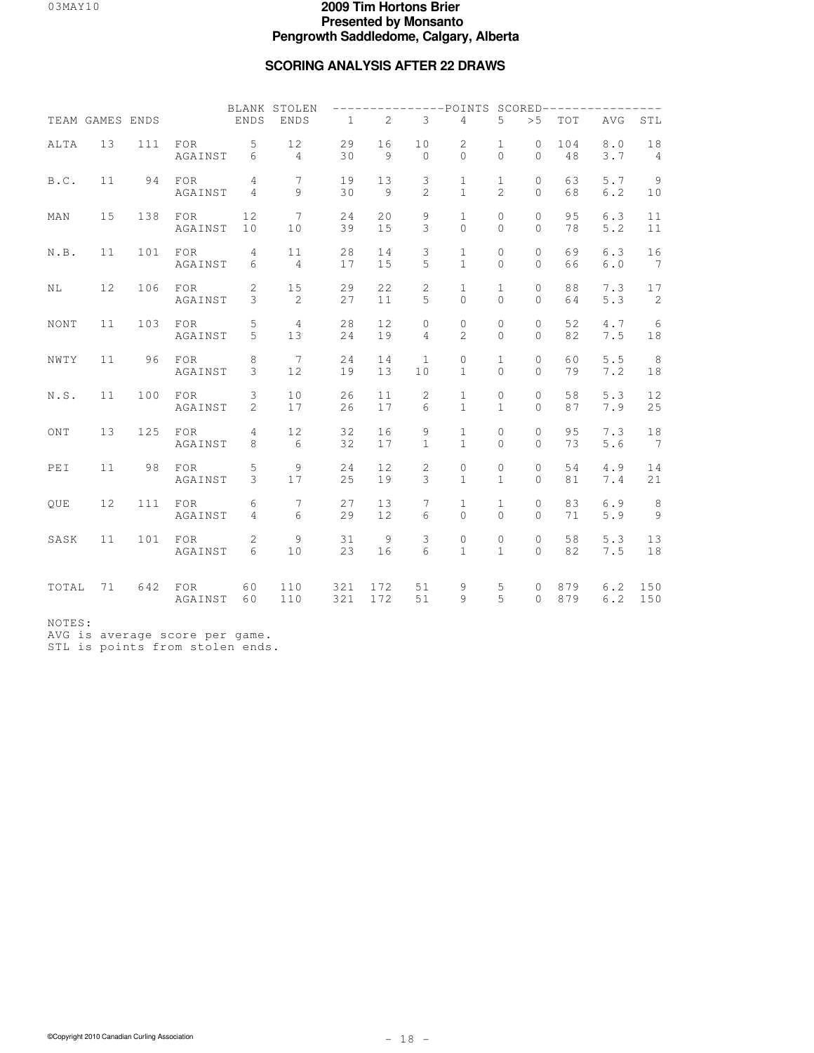### **SCORING ANALYSIS AFTER 22 DRAWS**

|                     | TEAM GAMES ENDS |     |                         | ENDS                             | BLANK STOLEN<br><b>ENDS</b> | $\mathbf{1}$ | 2                    | 3                   | $---POTNTS$<br>4                    | 5                              | > 5                        | TOT        | $SCORED------------$<br>AVG | STL                                |
|---------------------|-----------------|-----|-------------------------|----------------------------------|-----------------------------|--------------|----------------------|---------------------|-------------------------------------|--------------------------------|----------------------------|------------|-----------------------------|------------------------------------|
| ALTA                | 13              | 111 | FOR<br>AGAINST          | 5<br>6                           | 12<br>$\overline{4}$        | 29<br>30     | 16<br>$\overline{9}$ | 10<br>$\mathbf{0}$  | 2<br>$\mathbf 0$                    | $\mathbf{1}$<br>$\Omega$       | $\circ$<br>0               | 104<br>48  | 8.0<br>3.7                  | 18<br>$\overline{4}$               |
| B.C.                | 11              | 94  | FOR<br>AGAINST          | $\overline{4}$<br>$\overline{4}$ | $7\phantom{.0}$<br>$\circ$  | 19<br>30     | 13<br>$\overline{9}$ | 3<br>$\overline{2}$ | $\mathbf 1$<br>$\mathbf{1}$         | $\mathbf{1}$<br>$\overline{a}$ | $\Omega$<br>$\Omega$       | 63<br>68   | 5.7<br>6.2                  | $\overline{9}$<br>10               |
| MAN                 | 15              | 138 | <b>FOR</b><br>AGAINST   | 12<br>10                         | 7<br>10                     | 24<br>39     | 20<br>15             | 9<br>3              | $\mathbf{1}$<br>$\Omega$            | $\circ$<br>$\Omega$            | $\circ$<br>$\Omega$        | 95<br>78   | 6.3<br>5.2                  | 11<br>$1\,1$                       |
| $N$ . $\mathbb B$ . | 11              | 101 | FOR<br>AGAINST          | $\overline{4}$<br>6              | 11<br>$\overline{4}$        | 28<br>17     | 14<br>15             | 3<br>5              | $\mathbf{1}$<br>$\mathbf{1}$        | 0<br>$\Omega$                  | 0<br>$\Omega$              | 69<br>66   | 6.3<br>6.0                  | 16<br>$7\phantom{.0}\phantom{.0}7$ |
| NL.                 | 12              | 106 | FOR<br>AGAINST          | $\overline{c}$<br>3              | 15<br>2                     | 29<br>27     | 22<br>11             | $\mathbf{2}$<br>5   | $\mathbf{1}$<br>$\Omega$            | $\mathbf{1}$<br>$\Omega$       | $\circ$<br>$\Omega$        | 88<br>64   | 7.3<br>5.3                  | 17<br>2                            |
| NONT                | 11              | 103 | FOR<br>AGAINST          | 5<br>5                           | $\overline{4}$<br>13        | 28<br>24     | 12<br>19             | 0<br>$\overline{4}$ | $\circ$<br>$\overline{2}$           | $\mathbf{0}$<br>$\Omega$       | 0<br>$\Omega$              | 52<br>82   | 4.7<br>7.5                  | 6<br>$1\,8$                        |
| NWTY                | 11              | 96  | FOR<br>AGAINST          | $\,8\,$<br>3                     | 7<br>12                     | 24<br>19     | 14<br>13             | $\mathbf{1}$<br>10  | 0<br>$\mathbf{1}$                   | $\mathbf{1}$<br>$\Omega$       | $\mathbf 0$<br>$\Omega$    | 60<br>79   | 5.5<br>7.2                  | 8<br>18                            |
| N.S.                | 11              | 100 | FOR<br>AGAINST          | 3<br>$\overline{2}$              | 10<br>17                    | 26<br>26     | 11<br>17             | $\overline{c}$<br>6 | $\mathbf{1}$<br>$\mathbf{1}$        | $\mathbf{0}$<br>$\mathbf{1}$   | $\circ$<br>$\Omega$        | 58<br>87   | 5.3<br>7.9                  | 12<br>25                           |
| ONT                 | 13              | 125 | <b>FOR</b><br>AGAINST   | $\overline{4}$<br>8              | 12<br>6                     | 32<br>32     | 16<br>17             | 9<br>1              | $\mathbf{1}$<br>$\mathbf{1}$        | 0<br>$\Omega$                  | 0<br>$\Omega$              | 95<br>73   | 7.3<br>5.6                  | 18<br>$\overline{7}$               |
| PEI                 | 11              | 98  | $_{\rm FOR}$<br>AGAINST | $\mathsf S$<br>3                 | $\mathcal{Q}$<br>17         | 24<br>25     | 12<br>19             | $\mathbf{2}$<br>3   | $\mathsf{O}\xspace$<br>$\mathbf{1}$ | $\mathbb O$<br>$\mathbf{1}$    | $\circledcirc$<br>$\Omega$ | 54<br>81   | 4.9<br>7.4                  | 14<br>21                           |
| OUE                 | 12              | 111 | FOR<br>AGAINST          | 6<br>$\overline{4}$              | 7<br>6                      | 27<br>29     | 13<br>12             | 7<br>6              | $\mathbf{1}$<br>$\mathbf 0$         | $\mathbf{1}$<br>$\Omega$       | 0<br>0                     | 83<br>71   | 6.9<br>$5.9$                | 8<br>$\overline{9}$                |
| SASK                | 11              | 101 | FOR<br>AGAINST          | 2<br>6                           | 9<br>10                     | 31<br>23     | 9<br>16              | 3<br>6              | 0<br>$\mathbf{1}$                   | $\mathbf{0}$<br>$\mathbf{1}$   | $\mathbf{0}$<br>$\Omega$   | 58<br>82   | 5.3<br>7.5                  | 13<br>18                           |
| TOTAL               | 71              | 642 | FOR<br>AGAINST          | 60<br>60                         | 110<br>110                  | 321<br>321   | 172<br>172           | 51<br>51            | 9<br>9                              | 5<br>5                         | 0<br>$\Omega$              | 879<br>879 | 6.2<br>6.2                  | 150<br>150                         |

NOTES:

AVG is average score per game.

STL is points from stolen ends.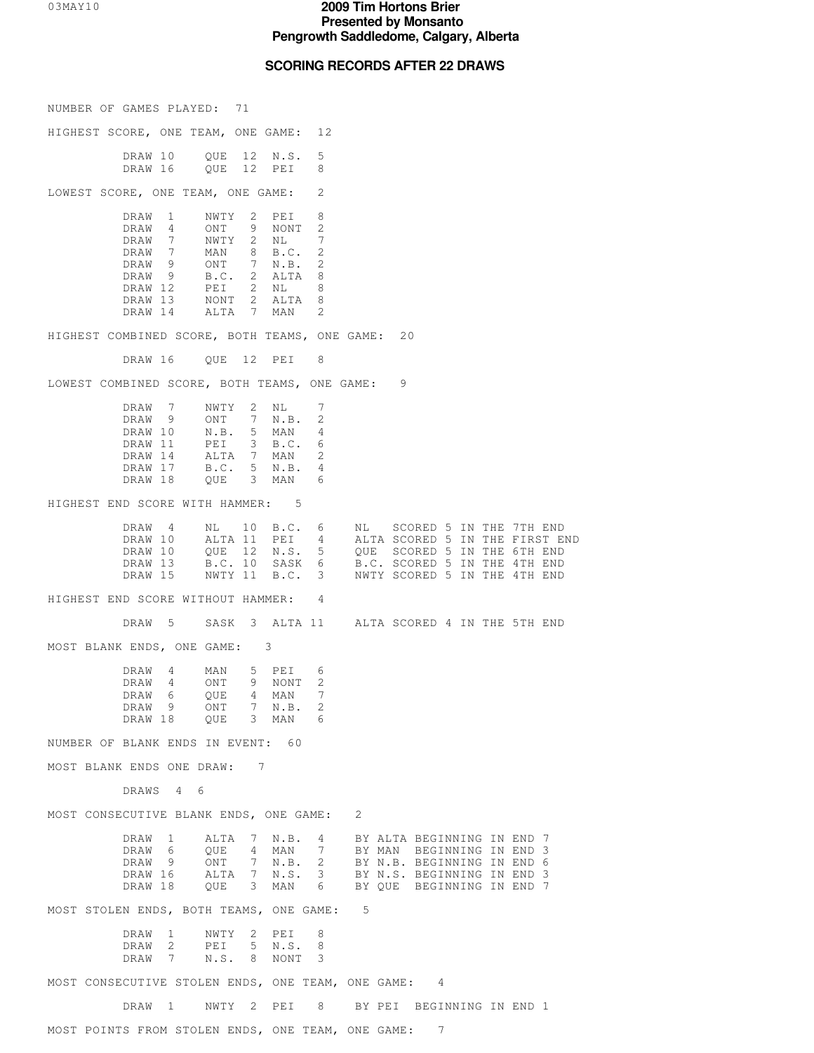# **SCORING RECORDS AFTER 22 DRAWS**

| NUMBER OF GAMES PLAYED: 71                                                                                                                                                                                                                                          |                                                                                                                                                                                                                              |
|---------------------------------------------------------------------------------------------------------------------------------------------------------------------------------------------------------------------------------------------------------------------|------------------------------------------------------------------------------------------------------------------------------------------------------------------------------------------------------------------------------|
| HIGHEST SCORE, ONE TEAM, ONE GAME: 12                                                                                                                                                                                                                               |                                                                                                                                                                                                                              |
| QUE 12 N.S.<br>5<br>DRAW 10<br>DRAW 16 QUE 12 PEI<br>8                                                                                                                                                                                                              |                                                                                                                                                                                                                              |
| 2<br>LOWEST SCORE, ONE TEAM, ONE GAME:                                                                                                                                                                                                                              |                                                                                                                                                                                                                              |
| 8<br>DRAW 1<br>NWTY 2 PEI<br>2<br>DRAW 4<br>ONT 9 NONT<br>7<br>DRAW 7<br>NWTY 2 NL<br>DRAW 7<br>MAN 8 B.C.<br>2<br>ONT 7 N.B.<br>2<br>DRAW 9<br>B.C. 2 ALTA<br>8<br>DRAW 9<br>8<br>DRAW 12<br>PEI 2 NL<br>DRAW 13<br>NONT 2 ALTA<br>8<br>2<br>DRAW 14<br>ALTA 7 MAN |                                                                                                                                                                                                                              |
| HIGHEST COMBINED SCORE, BOTH TEAMS, ONE GAME: 20                                                                                                                                                                                                                    |                                                                                                                                                                                                                              |
|                                                                                                                                                                                                                                                                     |                                                                                                                                                                                                                              |
| LOWEST COMBINED SCORE, BOTH TEAMS, ONE GAME: 9                                                                                                                                                                                                                      |                                                                                                                                                                                                                              |
| DRAW 7<br>NWTY 2 NL<br>7<br>ONT 7 N.B.<br>DRAW 9<br>2<br>$N.B.$ 5 MAN<br>DRAW 10<br>4<br>PEI 3 B.C.<br>DRAW 11<br>6<br>2<br>DRAW 14<br>ALTA 7 MAN<br>B.C. 5 N.B.<br>DRAW 17<br>4<br>QUE 3 MAN<br>DRAW 18<br>6                                                       |                                                                                                                                                                                                                              |
| HIGHEST END SCORE WITH HAMMER: 5                                                                                                                                                                                                                                    |                                                                                                                                                                                                                              |
| DRAW 4<br>DRAW 10 ALTA 11 PEI 4<br>DRAW 10<br>DRAW 13<br>DRAW 15                                                                                                                                                                                                    | NL 10 B.C. 6 NL SCORED 5 IN THE 7TH END<br>ALTA 11 PEI 4 ALTA SCORED 5 IN THE FIRST END<br>QUE 12 N.S. 5 QUE SCORED 5 IN THE 6TH END B.C. 10 SASK 6 B.C. SCORED 5 IN THE 4TH END NWTY 11 B.C. 3 NWTY SCORED 5 IN THE 4TH END |
| HIGHEST END SCORE WITHOUT HAMMER: 4                                                                                                                                                                                                                                 |                                                                                                                                                                                                                              |
| DRAW 5                                                                                                                                                                                                                                                              | SASK 3 ALTA 11 ALTA SCORED 4 IN THE 5TH END                                                                                                                                                                                  |
| MOST BLANK ENDS, ONE GAME: 3                                                                                                                                                                                                                                        |                                                                                                                                                                                                                              |
| DRAW 4<br>MAN<br>5 PEI<br>6<br>ONT 9 NONT<br>DRAW 4<br>2<br>DRAW 6<br>4 MAN<br>QUE<br>ONT 7 N.B.<br>DRAW 9<br>2<br>QUE 3 MAN<br>DRAW 18<br>6                                                                                                                        |                                                                                                                                                                                                                              |
| NUMBER OF BLANK ENDS IN EVENT: 60                                                                                                                                                                                                                                   |                                                                                                                                                                                                                              |
| MOST BLANK ENDS ONE DRAW: 7                                                                                                                                                                                                                                         |                                                                                                                                                                                                                              |
| DRAWS 4 6                                                                                                                                                                                                                                                           |                                                                                                                                                                                                                              |
| MOST CONSECUTIVE BLANK ENDS, ONE GAME: 2                                                                                                                                                                                                                            |                                                                                                                                                                                                                              |
| DRAW 1<br>QUE 4 MAN 7<br>DRAW 6<br>DRAW 9 ONT 7 N.B. 2 BY N.B. BEGINNING IN END 6<br>DRAW 16 ALTA 7 N.S. 3 BY N.S. BEGINNING IN END 3<br>DRAW 18                                                                                                                    | ALTA 7 N.B. 4 BY ALTA BEGINNING IN END 7<br>QUE 4 MAN 7 BY MAN BEGINNING IN END 3<br>QUE 3 MAN 6 BY QUE BEGINNING IN END 7                                                                                                   |
| MOST STOLEN ENDS, BOTH TEAMS, ONE GAME: 5                                                                                                                                                                                                                           |                                                                                                                                                                                                                              |
| DRAW 1<br>NWTY 2 PEI<br>8<br>DRAW 2<br>PEI 5 N.S.<br>8<br>N.S. 8 NONT<br>3<br>DRAW 7                                                                                                                                                                                |                                                                                                                                                                                                                              |
| MOST CONSECUTIVE STOLEN ENDS, ONE TEAM, ONE GAME: 4                                                                                                                                                                                                                 |                                                                                                                                                                                                                              |
| DRAW 1                                                                                                                                                                                                                                                              | NWTY 2 PEI 8 BY PEI BEGINNING IN END 1                                                                                                                                                                                       |
| MOST POINTS FROM STOLEN ENDS, ONE TEAM, ONE GAME: 7                                                                                                                                                                                                                 |                                                                                                                                                                                                                              |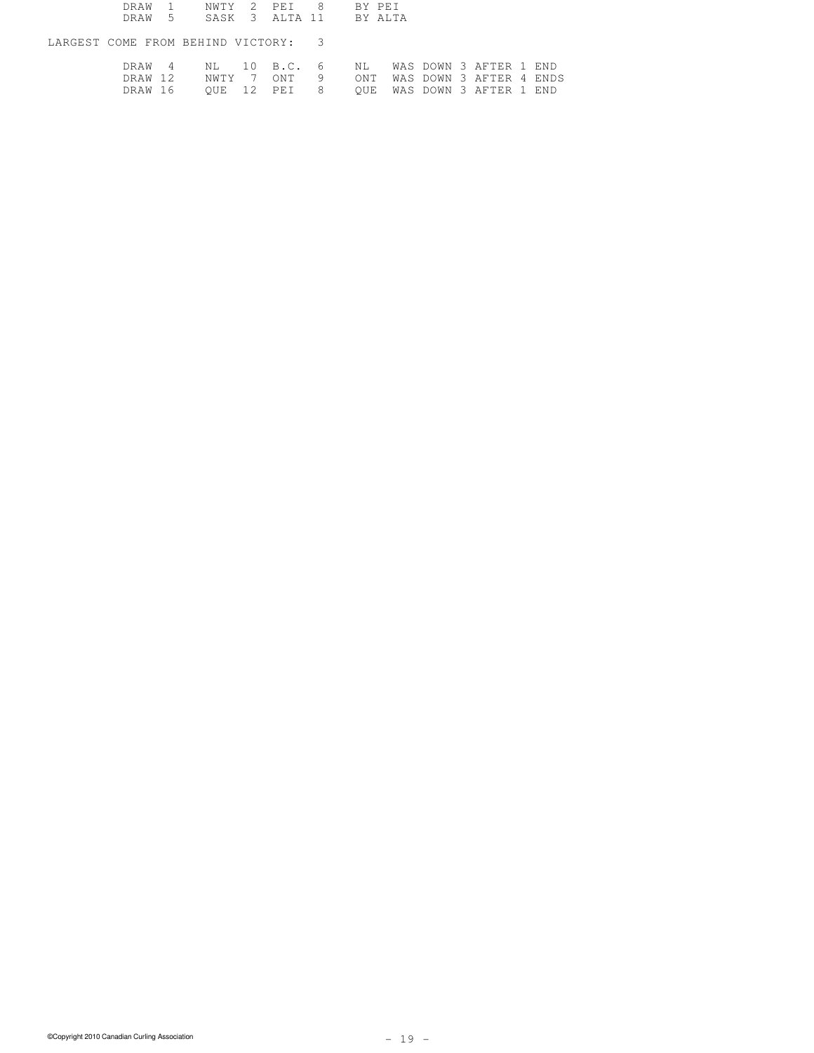|         |  | DRAW 1 NWTY 2 PEI 8 BY PEI                                                                        |  |  |  |                                         |  |
|---------|--|---------------------------------------------------------------------------------------------------|--|--|--|-----------------------------------------|--|
|         |  | DRAW 5 SASK 3 ALTA 11 BY ALTA                                                                     |  |  |  |                                         |  |
|         |  | LARGEST COME FROM BEHIND VICTORY: 3                                                               |  |  |  |                                         |  |
| DRAW 16 |  | DRAW 4 NL 10 B.C. 6 NL WAS DOWN 3 AFTER 1 END<br>DRAW 12 NWTY 7 ONT 9 ONT WAS DOWN 3 AFTER 4 ENDS |  |  |  | OUE 12 PEI 8 OUE WAS DOWN 3 AFTER 1 END |  |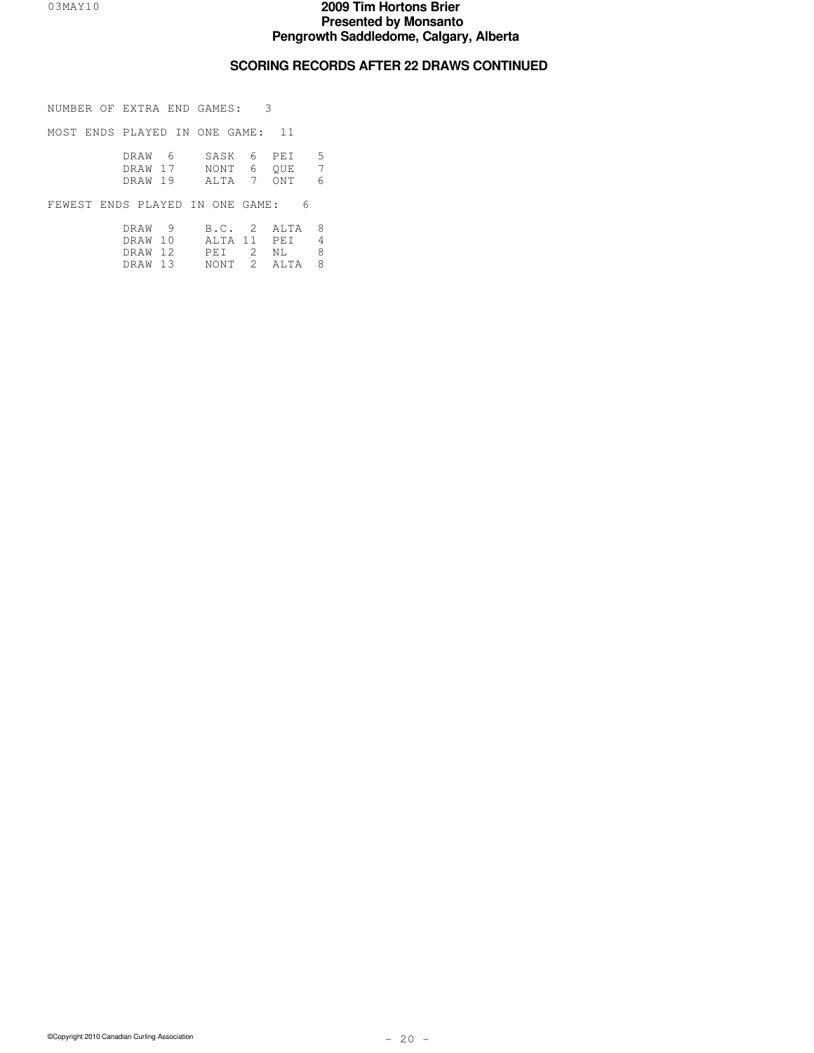### **SCORING RECORDS AFTER 22 DRAWS CONTINUED**

NUMBER OF EXTRA END GAMES: 3

MOST ENDS PLAYED IN ONE GAME: 11

 DRAW 6 SASK 6 PEI 5 DRAW 17 NONT 6 QUE 7 DRAW 19 ALTA 7 ONT 6

FEWEST ENDS PLAYED IN ONE GAME: 6

|  | DRAW 9 B.C. 2 ALTA 8  |  |  |
|--|-----------------------|--|--|
|  | DRAW 10 ALTA 11 PET 4 |  |  |
|  | DRAW 12 PET 2 NI. 8   |  |  |
|  | DRAW 13 NONT 2 ALTA 8 |  |  |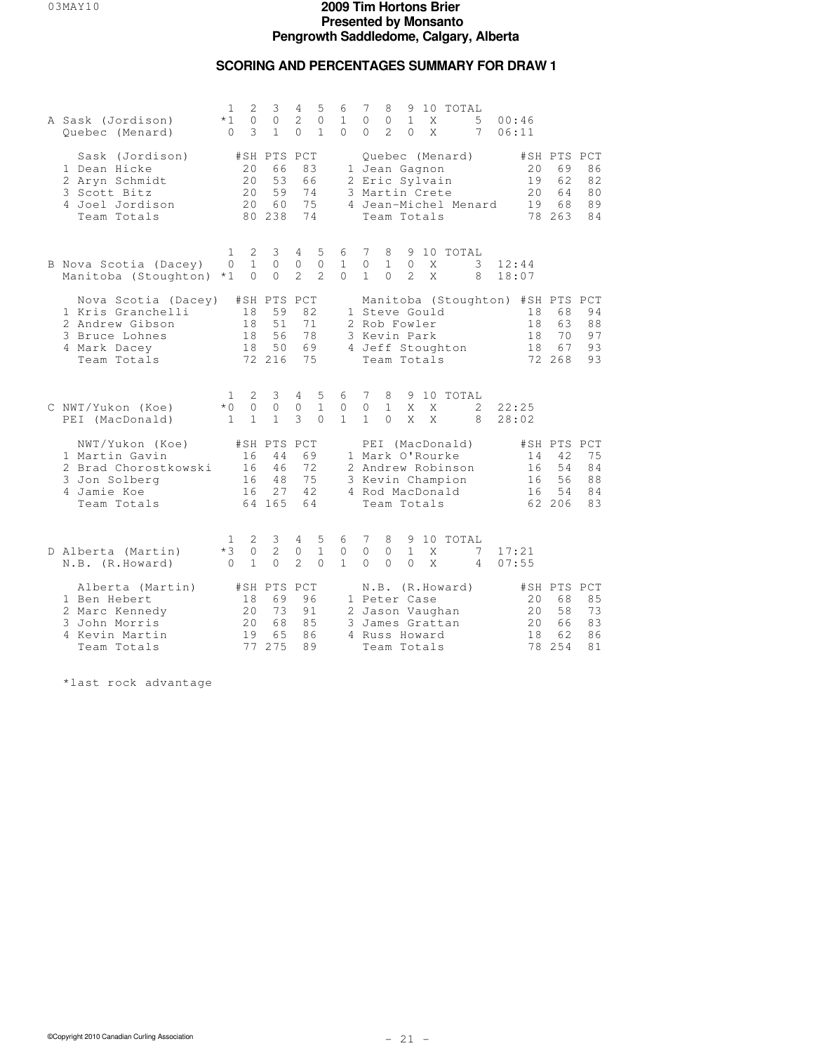## **SCORING AND PERCENTAGES SUMMARY FOR DRAW 1**

| A Sask (Jordison)<br>Quebec (Menard)                                                                         | 1<br>2<br>$\circ$<br>$*1$<br>3<br>$\mathbf{0}$                    | 3<br>$\circ$<br>$\mathbf{1}$                   | 5<br>4<br>2<br>$\Omega$<br>$\Omega$<br>$\mathbf{1}$ | 6<br>$\mathbf{1}$<br>$\Omega$ | 10 TOTAL<br>7<br>8<br>9<br>$\Omega$<br>$\mathbf{0}$<br>$\mathbf{1}$<br>5<br>X<br>00:46<br>$\mathcal{L}$<br>$\Omega$<br>$\Omega$<br>X<br>7<br>06:11                                     |                            |
|--------------------------------------------------------------------------------------------------------------|-------------------------------------------------------------------|------------------------------------------------|-----------------------------------------------------|-------------------------------|----------------------------------------------------------------------------------------------------------------------------------------------------------------------------------------|----------------------------|
| Sask (Jordison)<br>1 Dean Hicke<br>2 Aryn Schmidt<br>3 Scott Bitz<br>4 Joel Jordison<br>Team Totals          | 20<br>20<br>20<br>2.0                                             | #SH PTS PCT<br>66<br>53<br>59<br>60<br>80 238  | 83<br>66<br>74<br>75<br>74                          |                               | Quebec (Menard)<br>#SH PTS PCT<br>20<br>69<br>1 Jean Gagnon<br>2 Eric Sylvain<br>19<br>62<br>3 Martin Crete<br>64<br>20<br>68<br>4 Jean-Michel Menard<br>19<br>Team Totals<br>78 263   | 86<br>82<br>80<br>89<br>84 |
| B Nova Scotia (Dacey)<br>Manitoba (Stoughton)                                                                | 2<br>1<br>$\mathbf{1}$<br>$\Omega$<br>$\Omega$<br>$*1$            | 3<br>$\Omega$<br>$\circ$                       | 5<br>4<br>$\circ$<br>$\circ$<br>$\overline{2}$<br>2 | 6<br>$\mathbf{1}$<br>$\Omega$ | 7<br>8<br>9 10 TOTAL<br>$\circ$<br>$\mathbf{1}$<br>$\Omega$<br>X<br>3<br>12:44<br>$\mathcal{L}$<br>$\mathbf{1}$<br>$\Omega$<br>X<br>8<br>18:07                                         |                            |
| Nova Scotia (Dacey)<br>1 Kris Granchelli<br>2 Andrew Gibson<br>3 Bruce Lohnes<br>4 Mark Dacey<br>Team Totals | 18<br>18<br>18<br>18                                              | #SH PTS PCT<br>59<br>51<br>56<br>50<br>72 216  | 82<br>71<br>78<br>69<br>75                          |                               | Manitoba (Stoughton) #SH PTS PCT<br>1 Steve Gould<br>18<br>68<br>2 Rob Fowler<br>18<br>63<br>3 Kevin Park<br>18<br>70<br>4 Jeff Stoughton<br>67<br>18<br>Team Totals<br>72 268         | 94<br>88<br>97<br>93<br>93 |
| C NWT/Yukon (Koe)<br>PEI (MacDonald)                                                                         | 2<br>1<br>$\overline{0}$<br>$*$ 0<br>$\mathbf{1}$<br>$\mathbf{1}$ | 3<br>$\mathbf 0$<br>$\mathbf{1}$               | 4<br>5<br>$\mathbf{1}$<br>$\circ$<br>3<br>$\Omega$  | 6<br>$\circ$<br>$\mathbf{1}$  | 9 10 TOTAL<br>7<br>8<br>$\circ$<br>$\mathbf{1}$<br>22:25<br>X<br>X<br>2<br>$\mathbf{1}$<br>$\Omega$<br>X<br>X<br>8<br>28:02                                                            |                            |
| NWT/Yukon (Koe)<br>1 Martin Gavin<br>2 Brad Chorostkowski<br>3 Jon Solberg<br>4 Jamie Koe<br>Team Totals     | 16<br>16<br>16<br>16                                              | #SH PTS PCT<br>44<br>46<br>48<br>2.7<br>64 165 | 69<br>72<br>75<br>42.<br>64                         |                               | PEI (MacDonald)<br>#SH PTS PCT<br>1 Mark O'Rourke<br>14<br>42<br>54<br>2 Andrew Robinson<br>16<br>3 Kevin Champion<br>56<br>16<br>4 Rod MacDonald<br>54<br>16<br>62 206<br>Team Totals | 75<br>84<br>88<br>84<br>83 |
| D Alberta (Martin)<br>N.B. (R.Howard)                                                                        | 2<br>ı.<br>$*3$<br>$\circ$<br>$\mathbf 1$<br>$\Omega$             | 3<br>2<br>$\circ$                              | 4<br>5<br>$\mathbf{1}$<br>0<br>2<br>$\Omega$        | 6<br>$\circ$<br>$\mathbf{1}$  | 10 TOTAL<br>7<br>8<br>9<br>$\circ$<br>$\mathbf{1}$<br>$\mathbf{0}$<br>X<br>17:21<br>7<br>$\Omega$<br>$\Omega$<br>$\Omega$<br>X<br>4<br>07:55                                           |                            |
| Alberta (Martin)<br>1 Ben Hebert<br>2 Marc Kennedy<br>3 John Morris<br>4 Kevin Martin<br>Team Totals         | 18<br>20<br>20<br>19<br>77                                        | #SH PTS PCT<br>69<br>73<br>68<br>65<br>275     | 96<br>91<br>85<br>86<br>89                          |                               | N.B. (R.Howard)<br>#SH PTS PCT<br>1 Peter Case<br>20<br>68<br>58<br>20<br>2 Jason Vaughan<br>3 James Grattan<br>2.0<br>66<br>4 Russ Howard<br>18<br>62<br>78<br>254<br>Team Totals     | 85<br>73<br>83<br>86<br>81 |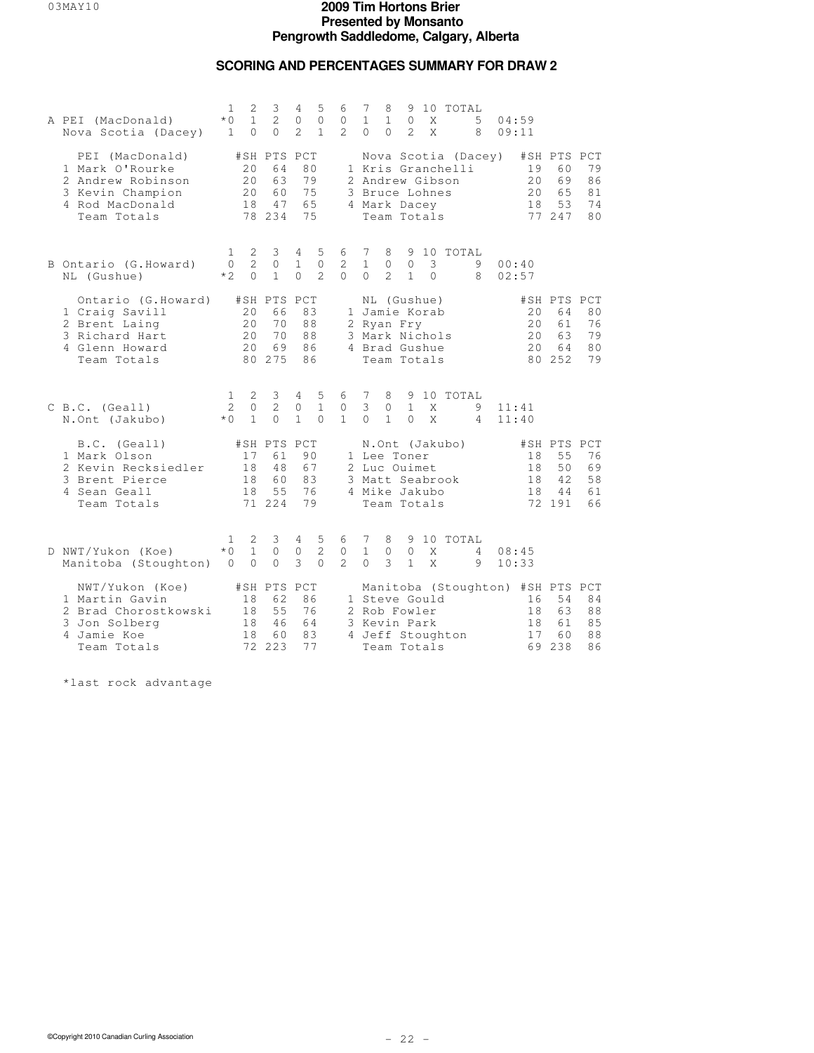## **SCORING AND PERCENTAGES SUMMARY FOR DRAW 2**

| A PEI (MacDonald)<br>Nova Scotia (Dacey)                                                                      | 1<br>$*$ 0<br>$\mathbf{1}$      | 2<br>$\mathbf{1}$<br>$\Omega$   | 3<br>2<br>$\Omega$                            | 4<br>0<br>$\mathfrak{D}$                   | 5<br>$\circ$<br>$\mathbf{1}$       | 6<br>0<br>$\overline{2}$            | 7<br>$\mathbf{1}$<br>$\Omega$                                   | 8<br>$\mathbf{1}$<br>$\Omega$ | 9<br>$\circ$<br>$\mathfrak{D}$ | X<br>$\mathsf{X}$ | 10 TOTAL                                 | 5<br>8 | 04:59<br>09:11 |                            |                                                                 |                                        |
|---------------------------------------------------------------------------------------------------------------|---------------------------------|---------------------------------|-----------------------------------------------|--------------------------------------------|------------------------------------|-------------------------------------|-----------------------------------------------------------------|-------------------------------|--------------------------------|-------------------|------------------------------------------|--------|----------------|----------------------------|-----------------------------------------------------------------|----------------------------------------|
| PEI (MacDonald)<br>1 Mark O'Rourke<br>2 Andrew Robinson<br>3 Kevin Champion<br>4 Rod MacDonald<br>Team Totals |                                 | 20<br>20<br>20<br>18            | #SH PTS PCT<br>64<br>63<br>60<br>47<br>78 234 | 80<br>79<br>75<br>65<br>75                 |                                    |                                     | 2 Andrew Gibson<br>3 Bruce Lohnes<br>4 Mark Dacey               |                               | Team Totals                    |                   | Nova Scotia (Dacey)<br>1 Kris Granchelli |        |                | 19<br>20<br>20<br>18       | #SH PTS PCT<br>60<br>69<br>65<br>53<br>77 247                   | 79<br>86<br>81<br>74<br>8 <sub>0</sub> |
| B Ontario (G.Howard)<br>NL (Gushue)                                                                           | $\mathbf{1}$<br>$\circ$<br>$*2$ | 2<br>$\overline{2}$<br>$\Omega$ | 3<br>0<br>$\mathbf{1}$                        | $\overline{4}$<br>$\mathbf{1}$<br>$\Omega$ | 5<br>$\mathbf{0}$<br>$\mathcal{L}$ | 6<br>2<br>$\Omega$                  | $7\phantom{.0}$<br>$\mathbf{1}$<br>$\Omega$                     | 8<br>$\circ$<br>2             | $\circ$<br>$\mathbf{1}$        | 3<br>$\Omega$     | 9 10 TOTAL                               | 9<br>8 | 00:40<br>02:57 |                            |                                                                 |                                        |
| Ontario (G.Howard)<br>1 Craig Savill<br>2 Brent Laing<br>3 Richard Hart<br>4 Glenn Howard<br>Team Totals      |                                 | 20<br>20<br>20<br>20            | #SH PTS PCT<br>66<br>70<br>70<br>69<br>80 275 | 83<br>88<br>88<br>86<br>86                 |                                    |                                     | 1 Jamie Korab<br>2 Ryan Fry<br>3 Mark Nichols<br>4 Brad Gushue  |                               | NL (Gushue)<br>Team Totals     |                   |                                          |        |                | 20<br>20<br>20<br>20       | #SH PTS PCT<br>64<br>61<br>63<br>64<br>80 252                   | 80<br>76<br>79<br>80<br>79             |
| C B.C. (Geall)<br>N.Ont (Jakubo)                                                                              | 1<br>2<br>$*$ $\cap$            | 2<br>$\Omega$<br>$\mathbf{1}$   | 3<br>2<br>$\Omega$                            | 4<br>0<br>$\mathbf{1}$                     | 5<br>$\mathbf{1}$<br>$\Omega$      | 6<br>$\mathbf{0}$<br>$\mathbf{1}$   | 7<br>3<br>$\Omega$                                              | 8<br>$\circ$<br>$\mathbf{1}$  | $\mathbf{1}$<br>$\Omega$       | X<br>X            | 9 10 TOTAL                               | 9<br>4 | 11:41<br>11:40 |                            |                                                                 |                                        |
| $B.C.$ (Geall)<br>1 Mark Olson<br>2 Kevin Recksiedler<br>3 Brent Pierce<br>4 Sean Geall<br>Team Totals        |                                 | 17<br>18<br>18<br>18            | #SH PTS PCT<br>61<br>48<br>60<br>55<br>71 224 | 90<br>67<br>83<br>76<br>79                 |                                    |                                     | 1 Lee Toner<br>2 Luc Ouimet<br>3 Matt Seabrook<br>4 Mike Jakubo |                               | Team Totals                    |                   | N.Ont (Jakubo)                           |        |                | 18<br>18<br>18<br>18       | #SH PTS PCT<br>55<br>50<br>42<br>44<br>72 191                   | 76<br>69<br>58<br>61<br>66             |
| D NWT/Yukon (Koe)<br>Manitoba (Stoughton)                                                                     | 1.<br>$*0$<br>$\overline{0}$    | 2<br>$\mathbf{1}$<br>$\circ$    | 3<br>$\circ$<br>$\circ$                       | 4<br>0<br>3                                | 5<br>2<br>$\Omega$                 | 6<br>$\mathbf{0}$<br>$\mathfrak{D}$ | 7<br>$\mathbf{1}$<br>$\Omega$                                   | 8<br>$\circ$<br>3             | 9<br>$\circ$<br>$\mathbf{1}$   | X<br>X            | 10 TOTAL                                 | 4<br>9 | 08:45<br>10:33 |                            |                                                                 |                                        |
| NWT/Yukon (Koe)<br>1 Martin Gavin<br>2 Brad Chorostkowski<br>3 Jon Solberg<br>4 Jamie Koe<br>Team Totals      |                                 | 18<br>18<br>18<br>18<br>72      | #SH PTS<br>62<br>55<br>46<br>60<br>223        | PCT<br>86<br>76<br>64<br>83<br>77          |                                    |                                     | 1 Steve Gould<br>2 Rob Fowler<br>3 Kevin Park                   |                               | Team Totals                    |                   | 4 Jeff Stoughton                         |        |                | 16<br>18<br>18<br>17<br>69 | Manitoba (Stoughton) #SH PTS PCT<br>54<br>63<br>61<br>60<br>238 | 84<br>88<br>8.5<br>88<br>86            |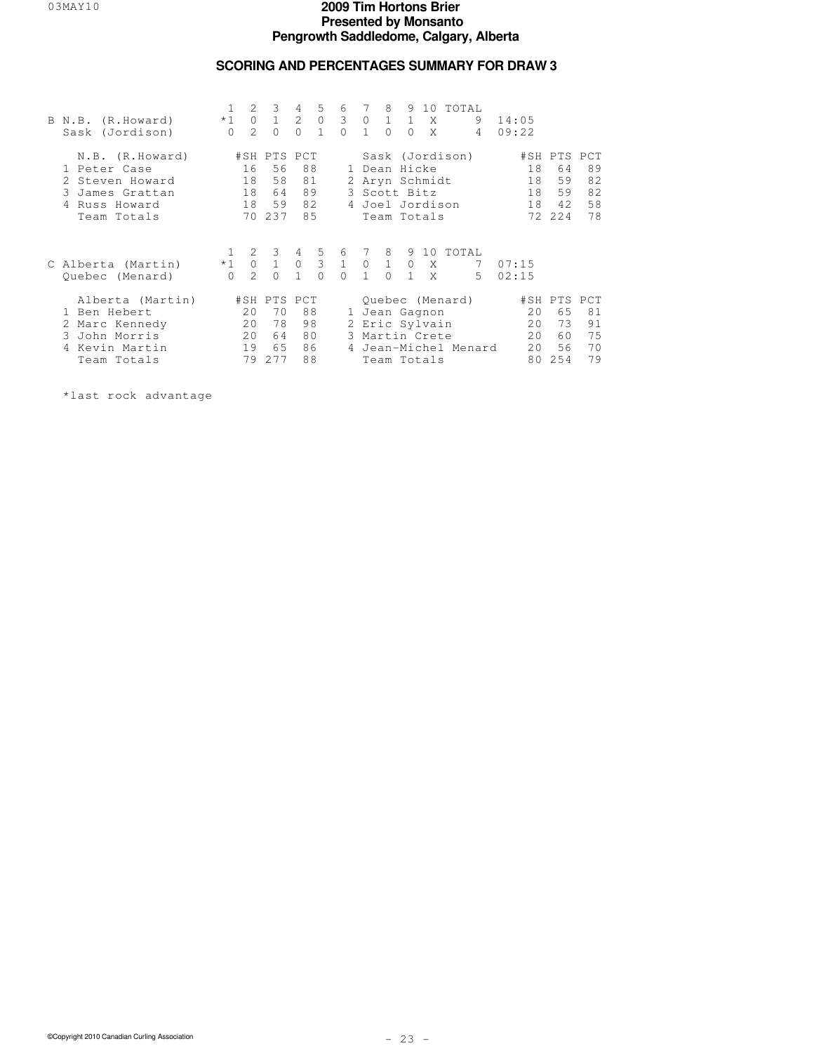### **SCORING AND PERCENTAGES SUMMARY FOR DRAW 3**

| B N.B. (R.Howard)<br>Sask (Jordison)                                                                  | $\mathbf{1}$<br>$\Omega$ | 2<br>$\mathcal{L}$         | $\overline{3}$<br>$*1$ 0 1<br>$\Omega$                  | $\overline{4}$<br>$\Omega$ | 5 <sup>5</sup><br>$2 \quad 0$<br>$\overline{1}$ | 6<br>3 0 1 1 X<br>$\Omega$ | 7<br>$\overline{1}$ | 8<br>$\Omega$ | $\bigcirc$ | X                                                                | 9 10 TOTAL<br>9<br>$\overline{4}$                    | 14:05<br>09:22             |                                               |                            |
|-------------------------------------------------------------------------------------------------------|--------------------------|----------------------------|---------------------------------------------------------|----------------------------|-------------------------------------------------|----------------------------|---------------------|---------------|------------|------------------------------------------------------------------|------------------------------------------------------|----------------------------|-----------------------------------------------|----------------------------|
| N.B. (R.Howard)<br>1 Peter Case<br>2 Steven Howard<br>3 James Grattan<br>4 Russ Howard<br>Team Totals |                          | 16<br>18<br>18<br>18       | #SH PTS PCT<br>56<br>58<br>64<br>59<br>70 237           | 88<br>81<br>89<br>82<br>85 |                                                 |                            |                     |               |            | 1 Dean Hicke<br>3 Scott Bitz<br>Team Totals                      | Sask (Jordison)<br>2 Aryn Schmidt<br>4 Joel Jordison | 18<br>18<br>18<br>18       | #SH PTS PCT<br>64<br>59<br>59<br>42<br>72 224 | 89<br>82<br>82<br>58<br>78 |
| C Alberta (Martin)<br>Ouebec (Menard)                                                                 | $\Omega$                 | $\mathcal{L}$              | $1 \quad 2 \quad 3$<br>*1 0 1 0 3 1 0 1 0 X<br>$\Omega$ | 4<br>$\mathbf{1}$          | $5 -$<br>$\Omega$                               | $0 \quad 1$                |                     |               |            | $0 \t 1 \t X$                                                    | 6 7 8 9 10 TOTAL<br>7<br>$5 -$                       | 07:15<br>02:15             |                                               |                            |
| Alberta (Martin)<br>1 Ben Hebert<br>2 Marc Kennedy<br>3 John Morris<br>4 Kevin Martin<br>Team Totals  |                          | 20<br>20<br>20<br>19<br>79 | #SH PTS PCT<br>70<br>78<br>64<br>65<br>277              | 88<br>98<br>86<br>88       | 80                                              |                            |                     |               |            | 1 Jean Gagnon<br>2 Eric Sylvain<br>3 Martin Crete<br>Team Totals | Ouebec (Menard)<br>4 Jean-Michel Menard              | 20<br>20<br>20<br>20<br>80 | #SH PTS PCT<br>65<br>73<br>60<br>56<br>254    | 81<br>91<br>75<br>70<br>79 |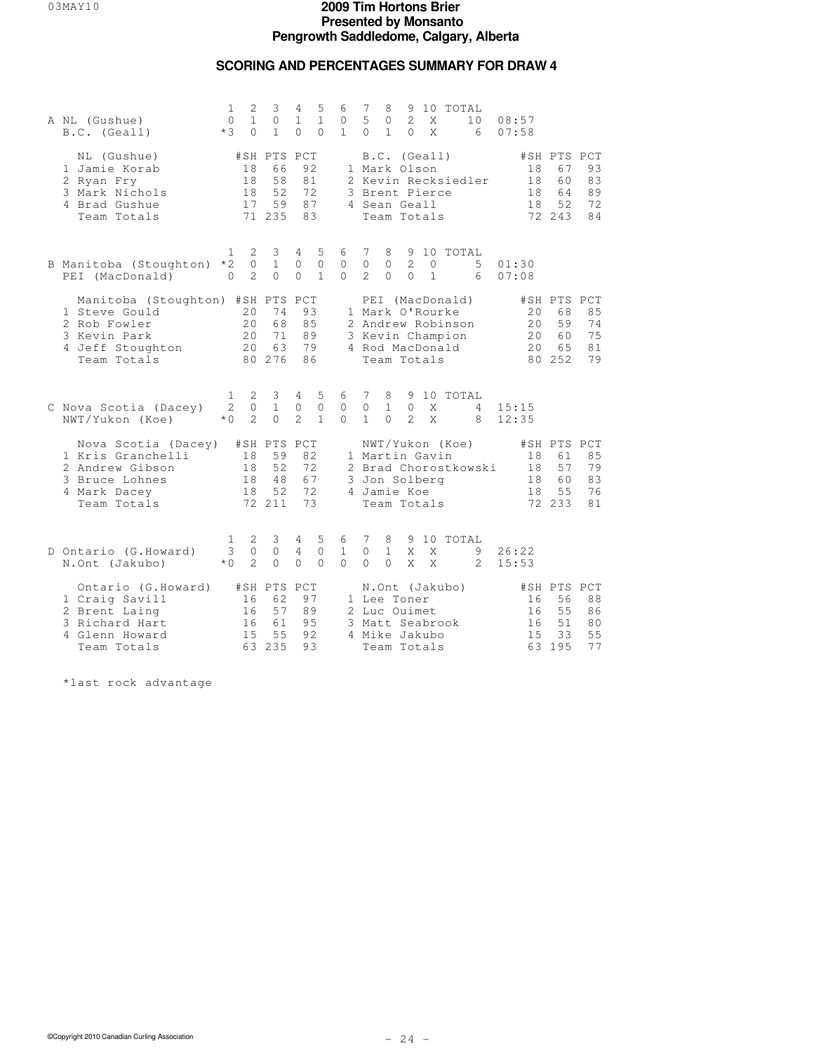## **SCORING AND PERCENTAGES SUMMARY FOR DRAW 4**

| A NL (Gushue)<br>B.C. (Geall)                                                                                        | 1<br>$\mathbf{0}$<br>$*3$ | 2<br>$\mathbf{1}$<br>$\Omega$   | 3<br>$\circ$<br>$\mathbf{1}$                  | 4<br>$\mathbf{1}$<br>$\Omega$   | 5<br>$\mathbf{1}$<br>$\Omega$     | 6<br>0<br>$\mathbf{1}$        | 7<br>5<br>$\Omega$           | 8<br>0<br>$\mathbf{1}$        | 9<br>2<br>$\Omega$                                                            | Χ<br>X                  | 10 TOTAL                                                                                       | 10<br>6                        | 08:57<br>07:58 |                            |                                               |                            |
|----------------------------------------------------------------------------------------------------------------------|---------------------------|---------------------------------|-----------------------------------------------|---------------------------------|-----------------------------------|-------------------------------|------------------------------|-------------------------------|-------------------------------------------------------------------------------|-------------------------|------------------------------------------------------------------------------------------------|--------------------------------|----------------|----------------------------|-----------------------------------------------|----------------------------|
| NL (Gushue)<br>1 Jamie Korab<br>2 Ryan Fry<br>3 Mark Nichols<br>4 Brad Gushue<br>Team Totals                         |                           | 18<br>18<br>18<br>17            | #SH PTS PCT<br>66<br>58<br>52<br>59<br>71 235 | 92<br>81<br>72<br>87<br>83      |                                   |                               |                              |                               | B.C. (Geall)<br>1 Mark Olson<br>3 Brent Pierce<br>4 Sean Geall<br>Team Totals |                         |                                                                                                | 2 Kevin Recksiedler            |                | 18<br>18<br>18<br>18       | #SH PTS PCT<br>67<br>60<br>64<br>52<br>72 243 | 93<br>83<br>89<br>72<br>84 |
| B Manitoba (Stoughton)<br>PEI (MacDonald)                                                                            | 1<br>$*2$<br>$\Omega$     | 2<br>$\circ$<br>2               | 3<br>$\mathbf{1}$<br>$\Omega$                 | $\overline{4}$<br>0<br>$\Omega$ | 5<br>$\mathbf{0}$<br>$\mathbf{1}$ | 6<br>$\mathbf{0}$<br>$\Omega$ | 7<br>0<br>$\mathcal{L}$      | 8<br>0<br>$\circ$             | 2<br>$\mathbf{0}$                                                             | $\circ$<br>$\mathbf{1}$ |                                                                                                | 9 10 TOTAL<br>5<br>6           | 01:30<br>07:08 |                            |                                               |                            |
| Manitoba (Stoughton) #SH PTS PCT<br>1 Steve Gould<br>2 Rob Fowler<br>3 Kevin Park<br>4 Jeff Stoughton<br>Team Totals |                           | 20<br>20<br>20<br>20            | 74<br>68<br>71<br>63<br>80 276                | 93<br>85<br>89<br>79<br>86      |                                   |                               |                              |                               | Team Totals                                                                   |                         | PEI (MacDonald)<br>1 Mark O'Rourke<br>2 Andrew Robinson<br>3 Kevin Champion<br>4 Rod MacDonald |                                |                | 20<br>20<br>20<br>20       | #SH PTS PCT<br>68<br>59<br>60<br>65<br>80 252 | 85<br>74<br>75<br>81<br>79 |
| C Nova Scotia (Dacey)<br>NWT/Yukon (Koe)                                                                             | 1<br>2<br>$*$ 0           | 2<br>$\Omega$<br>$\mathfrak{D}$ | 3<br>$\mathbf{1}$<br>$\Omega$                 | 4<br>0<br>2                     | 5<br>$\circ$<br>$\mathbf{1}$      | 6<br>$\mathbf{0}$<br>$\Omega$ | 7<br>$\circ$<br>$\mathbf{1}$ | 8<br>$\mathbf{1}$<br>$\Omega$ | 9<br>$\mathbf{0}$<br>$\mathcal{L}$                                            | Χ<br>X                  |                                                                                                | 10 TOTAL<br>4<br>8             | 15:15<br>12:35 |                            |                                               |                            |
| Nova Scotia (Dacey)<br>1 Kris Granchelli<br>2 Andrew Gibson<br>3 Bruce Lohnes<br>4 Mark Dacey<br>Team Totals         |                           | 18<br>18<br>18<br>18            | #SH PTS PCT<br>59<br>52<br>48<br>52<br>72 211 | 82<br>72<br>67<br>72<br>73      |                                   |                               |                              |                               | 1 Martin Gavin<br>3 Jon Solberg<br>4 Jamie Koe<br>Team Totals                 |                         | NWT/Yukon (Koe)                                                                                | 2 Brad Chorostkowski           |                | 18<br>18<br>18<br>18       | #SH PTS PCT<br>61<br>57<br>60<br>55<br>72 233 | 85<br>79<br>83<br>76<br>81 |
| D Ontario (G.Howard)<br>N.Ont (Jakubo)                                                                               | 1<br>3<br>$*$ 0           | 2<br>$\circ$<br>$\overline{2}$  | 3<br>$\circ$<br>$\circ$                       | 4<br>4<br>$\Omega$              | 5<br>$\mathbf{0}$<br>$\Omega$     | 6<br>$\mathbf{1}$<br>$\Omega$ | 7<br>0<br>$\Omega$           | 8<br>$\mathbf{1}$<br>$\Omega$ | 9<br>X<br>X                                                                   | X<br>X                  |                                                                                                | 10 TOTAL<br>9<br>$\mathcal{L}$ | 26:22<br>15:53 |                            |                                               |                            |
| Ontario (G.Howard)<br>1 Craig Savill<br>2 Brent Laing<br>3 Richard Hart<br>4 Glenn Howard<br>Team Totals             |                           | 16<br>16<br>16<br>15<br>63      | #SH PTS PCT<br>62<br>57<br>61<br>55<br>235    | 97<br>89<br>9.5<br>92<br>93     |                                   |                               |                              |                               | 1 Lee Toner<br>2 Luc Ouimet<br>4 Mike Jakubo<br>Team Totals                   |                         | N.Ont (Jakubo)<br>3 Matt Seabrook                                                              |                                |                | 16<br>16<br>16<br>15<br>63 | #SH PTS PCT<br>56<br>55<br>51<br>33<br>195    | 88<br>86<br>80<br>55<br>77 |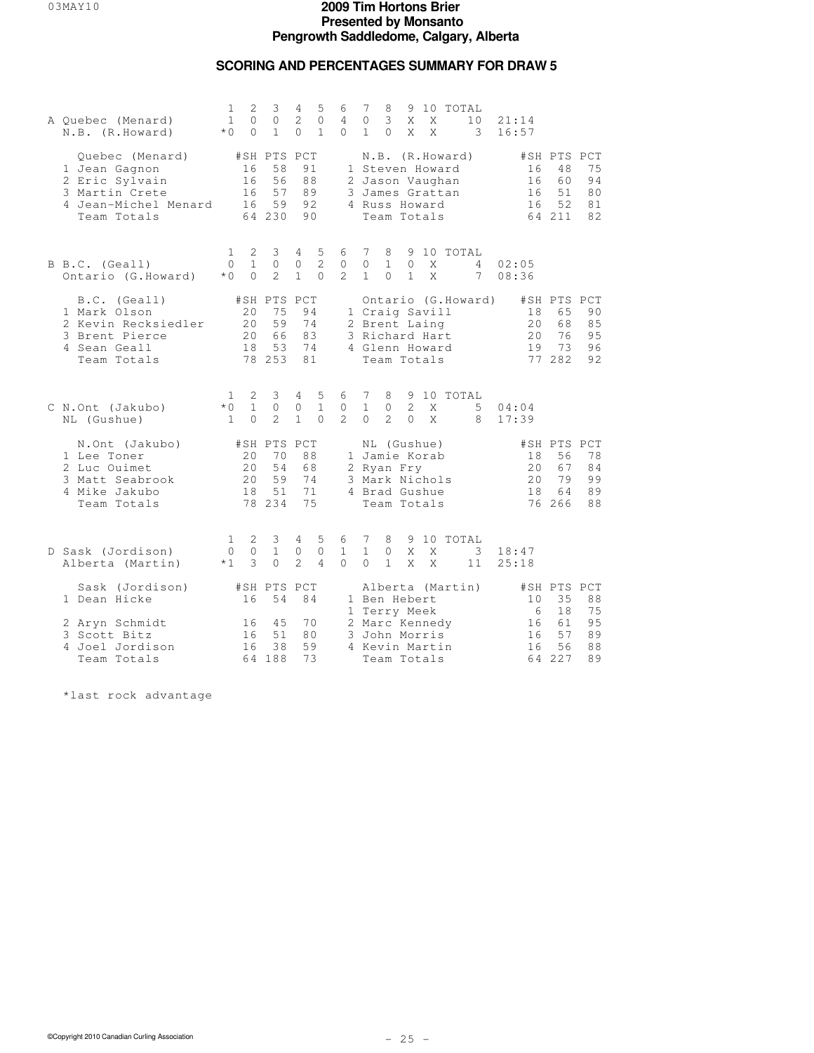### **SCORING AND PERCENTAGES SUMMARY FOR DRAW 5**

| A Quebec (Menard)<br>N.B. (R.Howard)                                                                        | $\mathbf{1}$<br>$\mathbf{1}$<br>$*0$  | $\overline{2}$<br>0<br>$\Omega$ | 3<br>$\circ$<br>$\mathbf{1}$                  | 4<br>$\overline{c}$<br>$\Omega$     | 5<br>0<br>$\mathbf{1}$        | 6<br>4<br>$\Omega$                  | 7<br>0<br>$\mathbf{1}$        | 8<br>3<br>$\Omega$             | Χ<br>X                          | 9 10<br>X<br>X                                                                        | TOTAL            | 10<br>3            | 21:14<br>16:57             |                                               |                            |
|-------------------------------------------------------------------------------------------------------------|---------------------------------------|---------------------------------|-----------------------------------------------|-------------------------------------|-------------------------------|-------------------------------------|-------------------------------|--------------------------------|---------------------------------|---------------------------------------------------------------------------------------|------------------|--------------------|----------------------------|-----------------------------------------------|----------------------------|
| Quebec (Menard)<br>1 Jean Gagnon<br>2 Eric Sylvain<br>3 Martin Crete<br>4 Jean-Michel Menard<br>Team Totals |                                       | 16<br>16<br>16<br>16            | #SH PTS PCT<br>58<br>56<br>57<br>59<br>64 230 | 91<br>88<br>89<br>92<br>90          |                               |                                     |                               |                                |                                 | 1 Steven Howard<br>2 Jason Vaughan<br>3 James Grattan<br>4 Russ Howard<br>Team Totals | N.B. (R.Howard)  |                    | 16<br>16<br>16<br>16       | #SH PTS PCT<br>48<br>60<br>51<br>52<br>64 211 | 75<br>94<br>80<br>81<br>82 |
| B B.C. (Geall)<br>Ontario (G.Howard)                                                                        | $\mathbf{1}$<br>$\Omega$<br>$*$ 0     | 2<br>$\mathbf{1}$<br>$\Omega$   | 3<br>$\circ$<br>$\mathcal{L}$                 | $\overline{4}$<br>0<br>$\mathbf{1}$ | 5<br>$\mathbf{2}$<br>$\Omega$ | 6<br>0<br>$\mathfrak{D}$            | 7<br>$\circ$<br>$\mathbf{1}$  | 8<br>$\mathbf{1}$<br>$\Omega$  | $\circ$<br>$\mathbf{1}$         | X<br>X                                                                                | 9 10 TOTAL       | 4<br>7             | 02:05<br>08:36             |                                               |                            |
| B.C. (Geall)<br>1 Mark Olson<br>2 Kevin Recksiedler<br>3 Brent Pierce<br>4 Sean Geall<br>Team Totals        |                                       | 20<br>20<br>20<br>18            | #SH PTS PCT<br>75<br>59<br>66<br>53<br>78 253 | 94<br>74<br>83<br>74<br>81          |                               |                                     |                               |                                |                                 | 1 Craig Savill<br>2 Brent Laing<br>3 Richard Hart<br>4 Glenn Howard<br>Team Totals    |                  | Ontario (G.Howard) | 18<br>20<br>20<br>19       | #SH PTS PCT<br>65<br>68<br>76<br>73<br>77 282 | 90<br>85<br>95<br>96<br>92 |
| C N.Ont (Jakubo)<br>NL (Gushue)                                                                             | $\mathbf{1}$<br>$*$ 0<br>$\mathbf{1}$ | 2<br>$\mathbf{1}$<br>$\Omega$   | 3<br>$\Omega$<br>$\overline{2}$               | 4<br>0<br>$\mathbf{1}$              | 5<br>$\mathbf{1}$<br>$\Omega$ | 6<br>$\mathbf{0}$<br>$\overline{2}$ | 7<br>$\mathbf{1}$<br>$\Omega$ | 8<br>$\circ$<br>$\overline{c}$ | 9<br>$\overline{2}$<br>$\Omega$ | X<br>X                                                                                | 10 TOTAL         | 5<br>8             | 04:04<br>17:39             |                                               |                            |
| N.Ont (Jakubo)<br>1 Lee Toner<br>2 Luc Ouimet<br>3 Matt Seabrook<br>4 Mike Jakubo<br>Team Totals            |                                       | 20<br>20<br>20<br>18            | #SH PTS PCT<br>70<br>54<br>59<br>51<br>78 234 | 88<br>68<br>74<br>71<br>75          |                               |                                     |                               | 2 Ryan Fry                     |                                 | NL (Gushue)<br>1 Jamie Korab<br>3 Mark Nichols<br>4 Brad Gushue<br>Team Totals        |                  |                    | 18<br>20<br>20<br>18<br>76 | #SH PTS PCT<br>56<br>67<br>79<br>64<br>266    | 78<br>84<br>99<br>89<br>88 |
| D Sask (Jordison)<br>Alberta (Martin)                                                                       | 1<br>$\mathbf{0}$<br>$*1$             | 2<br>$\circ$<br>3               | 3<br>$\mathbf{1}$<br>$\Omega$                 | 4<br>0<br>$\overline{2}$            | 5<br>$\mathbf{0}$<br>4        | 6<br>$\mathbf{1}$<br>$\Omega$       | 7<br>$\mathbf{1}$<br>$\Omega$ | 8<br>$\circ$<br>$\mathbf{1}$   | Χ<br>X                          | Χ<br>X                                                                                | 9 10 TOTAL       | 3<br>11            | 18:47<br>25:18             |                                               |                            |
| Sask (Jordison)<br>1 Dean Hicke                                                                             |                                       | 16                              | #SH PTS PCT<br>54                             | 84                                  |                               |                                     |                               | 1 Ben Hebert                   |                                 |                                                                                       | Alberta (Martin) |                    | 10                         | #SH PTS PCT<br>35                             | 88                         |
| 2 Aryn Schmidt<br>3 Scott Bitz<br>4 Joel Jordison<br>Team Totals                                            |                                       | 16<br>16<br>16                  | 45<br>51<br>38<br>64 188                      | 70<br>80<br>59<br>73                |                               |                                     |                               | 1 Terry Meek                   |                                 | 2 Marc Kennedy<br>3 John Morris<br>4 Kevin Martin<br>Team Totals                      |                  |                    | 6<br>16<br>16<br>16<br>64  | 18<br>61<br>57<br>56<br>227                   | 75<br>95<br>89<br>88<br>89 |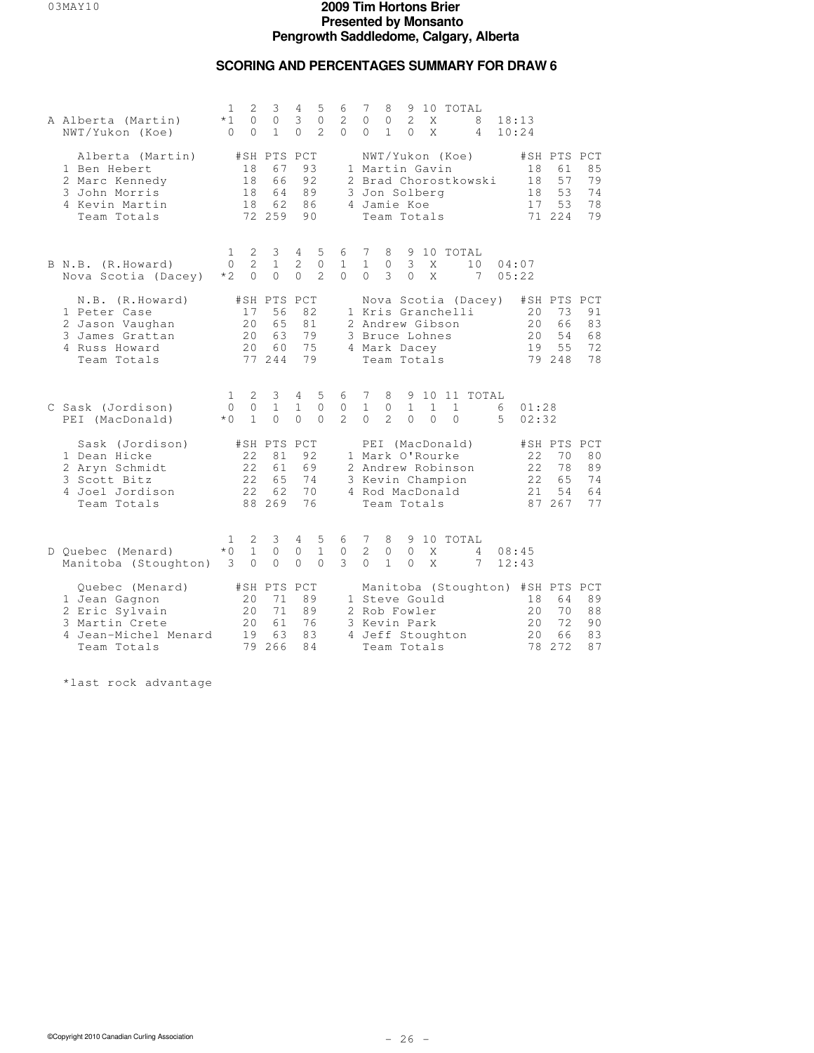## **SCORING AND PERCENTAGES SUMMARY FOR DRAW 6**

| A Alberta (Martin)<br>NWT/Yukon (Koe)                                                                       | 1<br>$*1$<br>$\Omega$                  | 2<br>$\Omega$<br>$\Omega$       | 3<br>$\circ$<br>$\mathbf{1}$                  | 4<br>3<br>$\Omega$                            | 5<br>$\mathbf{0}$<br>$\mathfrak{D}$ | 6<br>2<br>$\Omega$              | 7<br>$\Omega$<br>$\Omega$                         | 8<br>$\circ$<br>$\mathbf{1}$       | 9<br>$\mathcal{L}$<br>$\Omega$ | X<br>X                   | 10 TOTAL                                                 | 8<br>4               | 18:13<br>10:24 |                            |                                                                 |                            |
|-------------------------------------------------------------------------------------------------------------|----------------------------------------|---------------------------------|-----------------------------------------------|-----------------------------------------------|-------------------------------------|---------------------------------|---------------------------------------------------|------------------------------------|--------------------------------|--------------------------|----------------------------------------------------------|----------------------|----------------|----------------------------|-----------------------------------------------------------------|----------------------------|
| Alberta (Martin)<br>1 Ben Hebert<br>2 Marc Kennedy<br>3 John Morris<br>4 Kevin Martin<br>Team Totals        |                                        | 18<br>18<br>18<br>18            | #SH PTS PCT<br>67<br>66<br>64<br>62<br>72 259 | 93<br>92<br>89<br>86<br>90                    |                                     |                                 | 1 Martin Gavin<br>3 Jon Solberg<br>4 Jamie Koe    | Team Totals                        |                                |                          | NWT/Yukon (Koe)                                          | 2 Brad Chorostkowski |                | 18<br>18<br>18<br>17       | #SH PTS PCT<br>61<br>57<br>53<br>53<br>71 224                   | 85<br>79<br>74<br>78<br>79 |
| B N.B. (R.Howard)<br>Nova Scotia (Dacey)                                                                    | 1<br>$\Omega$<br>$*2$                  | 2<br>$\overline{2}$<br>$\Omega$ | $\mathcal{E}$<br>$\mathbf{1}$<br>$\circ$      | $4\overline{ }$<br>$\overline{2}$<br>$\Omega$ | 5<br>$\mathbf{0}$<br>2              | 6 7<br>$\mathbf{1}$<br>$\Omega$ | $\mathbf{1}$<br>$\Omega$                          | 8<br>$\circ$<br>3                  | 3<br>$\Omega$                  | X<br>X                   | 9 10 TOTAL                                               | 10<br>7              | 05:22          | 04:07                      |                                                                 |                            |
| N.B. (R.Howard)<br>1 Peter Case<br>2 Jason Vaughan<br>3 James Grattan<br>4 Russ Howard<br>Team Totals       |                                        | 17<br>20<br>20<br>20            | #SH PTS PCT<br>56<br>65<br>63<br>60<br>77 244 | 82<br>81<br>79<br>75<br>79                    |                                     |                                 | 2 Andrew Gibson<br>3 Bruce Lohnes<br>4 Mark Dacey | Team Totals                        |                                |                          | 1 Kris Granchelli                                        | Nova Scotia (Dacey)  |                | 20<br>2.0<br>2.0<br>19     | #SH PTS PCT<br>73<br>66<br>54<br>55<br>79 248                   | 91<br>83<br>68<br>72<br>78 |
| C Sask (Jordison)<br>PEI (MacDonald)                                                                        | 1<br>$\circ$<br>$*$ 0                  | 2<br>$\circ$<br>$\mathbf{1}$    | 3<br>$\mathbf{1}$<br>$\Omega$                 | $4\overline{ }$<br>$\mathbf{1}$<br>$\Omega$   | 5<br>$\circ$<br>$\Omega$            | 6<br>$\circ$<br>$2^{1}$         | 7<br>$\mathbf{1}$<br>$\Omega$                     | 8<br>$\mathbb O$<br>$\overline{2}$ | $\mathbf{1}$<br>$\Omega$       | $\mathbf{1}$<br>$\Omega$ | $\mathbf{1}$<br>$\Omega$                                 | 9 10 11 TOTAL        | 6<br>5         | 01:28<br>02:32             |                                                                 |                            |
| Sask (Jordison)<br>1 Dean Hicke<br>2 Aryn Schmidt<br>3 Scott Bitz<br>4 Joel Jordison<br>Team Totals         |                                        | 22<br>22<br>22<br>22            | #SH PTS PCT<br>81<br>61<br>65<br>62<br>88 269 | 92<br>69<br>74<br>70<br>76                    |                                     |                                 | 1 Mark O'Rourke<br>4 Rod MacDonald                | Team Totals                        |                                |                          | PEI (MacDonald)<br>2 Andrew Robinson<br>3 Kevin Champion |                      |                | 22<br>22<br>22<br>2.1      | #SH PTS PCT<br>70<br>78<br>6.5<br>54<br>87 267                  | 80<br>89<br>74<br>64<br>77 |
| D Quebec (Menard)<br>Manitoba (Stoughton)                                                                   | 1<br>$*$ 0<br>$\overline{\phantom{a}}$ | 2<br>$\mathbf{1}$<br>$\circ$    | 3<br>$\circ$<br>$\circ$                       | 4<br>0<br>$\circ$                             | 5<br>$\mathbf{1}$<br>$\Omega$       | 6<br>$\circ$<br>3               | 7<br>$\overline{2}$<br>$\Omega$                   | 8<br>$\circ$<br>$\mathbf{1}$       | $\Omega$<br>$\Omega$           | X<br>X                   | 9 10 TOTAL                                               | 4<br>7               | 08:45<br>12:43 |                            |                                                                 |                            |
| Quebec (Menard)<br>1 Jean Gagnon<br>2 Eric Sylvain<br>3 Martin Crete<br>4 Jean-Michel Menard<br>Team Totals |                                        | 20<br>20<br>20<br>19<br>79      | #SH PTS PCT<br>71<br>71<br>61<br>63<br>266    | 89<br>89<br>76<br>83<br>84                    |                                     |                                 | 1 Steve Gould<br>2 Rob Fowler<br>3 Kevin Park     | Team Totals                        |                                |                          | 4 Jeff Stoughton                                         |                      |                | 18<br>20<br>20<br>20<br>78 | Manitoba (Stoughton) #SH PTS PCT<br>64<br>70<br>72<br>66<br>272 | 89<br>88<br>90<br>83<br>87 |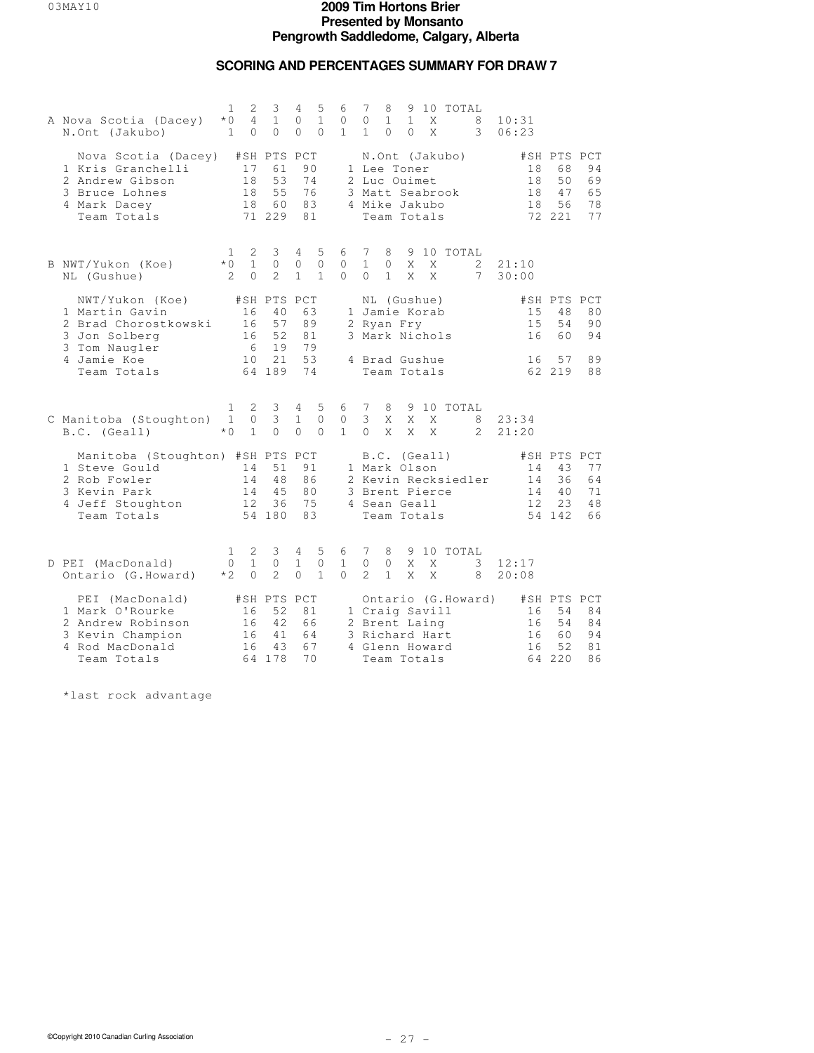## **SCORING AND PERCENTAGES SUMMARY FOR DRAW 7**

| A Nova Scotia (Dacey)<br>N.Ont (Jakubo)                                                                              | $\mathbf{1}$<br>$*0$<br>$\mathbf{1}$ | 2<br>4<br>$\Omega$            | 3<br>$\mathbf{1}$<br>$\Omega$                  | 4<br>0<br>$\Omega$            | 5<br>$\mathbf{1}$<br>$\Omega$     | 6<br>0<br>$\mathbf{1}$        | 7<br>0<br>$\mathbf{1}$                                                                               | 8<br>$\mathbf{1}$<br>$\Omega$ | $\mathbf{1}$<br>$\Omega$ | X<br>X | 9 10 TOTAL | 8<br>3             | 10:31<br>06:23        |                                                |                            |
|----------------------------------------------------------------------------------------------------------------------|--------------------------------------|-------------------------------|------------------------------------------------|-------------------------------|-----------------------------------|-------------------------------|------------------------------------------------------------------------------------------------------|-------------------------------|--------------------------|--------|------------|--------------------|-----------------------|------------------------------------------------|----------------------------|
| Nova Scotia (Dacey)<br>1 Kris Granchelli<br>2 Andrew Gibson<br>3 Bruce Lohnes<br>4 Mark Dacey<br>Team Totals         |                                      | 17<br>18<br>18<br>18          | #SH PTS PCT<br>61<br>53<br>55<br>60<br>71 229  | 90<br>74<br>76<br>83<br>81    |                                   |                               | N.Ont (Jakubo)<br>1 Lee Toner<br>2 Luc Ouimet<br>3 Matt Seabrook<br>4 Mike Jakubo<br>Team Totals     |                               |                          |        |            |                    | 18<br>18<br>18<br>18  | #SH PTS PCT<br>68<br>50<br>47<br>56<br>72 221  | 94<br>69<br>65<br>78<br>77 |
| B NWT/Yukon (Koe)<br>NL (Gushue)                                                                                     | $\mathbf{1}$<br>$*$ 0<br>2           | 2<br>$\mathbf{1}$<br>$\Omega$ | 3<br>$\Omega$<br>$\overline{2}$                | 4<br>$\circ$<br>1             | 5<br>$\Omega$<br>$\mathbf{1}$     | 6<br>$\mathbf{0}$<br>$\Omega$ | 7<br>$\mathbf{1}$<br>$\Omega$                                                                        | 8<br>$\circ$<br>$\mathbf{1}$  | X<br>X                   | X<br>X | 9 10 TOTAL | 2<br>7             | 21:10<br>30:00        |                                                |                            |
| NWT/Yukon (Koe)<br>1 Martin Gavin<br>2 Brad Chorostkowski<br>3 Jon Solberg                                           |                                      | 16<br>16<br>16<br>- 6         | #SH PTS PCT<br>40<br>57<br>52<br>19            | 63<br>89<br>81<br>79          |                                   |                               | NL (Gushue)<br>1 Jamie Korab<br>2 Ryan Fry<br>3 Mark Nichols                                         |                               |                          |        |            |                    | 15<br>15<br>16        | #SH PTS PCT<br>48<br>54<br>60                  | 80<br>90<br>94             |
| 3 Tom Naugler<br>4 Jamie Koe<br>Team Totals                                                                          |                                      | 10                            | 21<br>64 189                                   | 53<br>74                      |                                   |                               | 4 Brad Gushue<br>Team Totals                                                                         |                               |                          |        |            |                    | 16                    | 57<br>62 219                                   | 89<br>88                   |
| C Manitoba (Stoughton)<br>B.C. (Geall)                                                                               | 1<br>$\mathbf{1}$<br>$*0$            | 2<br>0<br>$\mathbf{1}$        | 3<br>3<br>$\Omega$                             | 4<br>$\mathbf{1}$<br>$\Omega$ | -5<br>$\circ$<br>$\Omega$         | 6<br>0<br>$\mathbf{1}$        | 7<br>3<br>$\Omega$                                                                                   | 8<br>X<br>X                   | X<br>X                   | X<br>X | 9 10 TOTAL | 8<br>$\mathcal{L}$ | 23:34<br>21:20        |                                                |                            |
| Manitoba (Stoughton) #SH PTS PCT<br>1 Steve Gould<br>2 Rob Fowler<br>3 Kevin Park<br>4 Jeff Stoughton<br>Team Totals |                                      | 14<br>14<br>14<br>12          | 51<br>48<br>45<br>36<br>54 180                 | 91<br>86<br>80<br>75<br>83    |                                   |                               | B.C. (Geall)<br>1 Mark Olson<br>2 Kevin Recksiedler<br>3 Brent Pierce<br>4 Sean Geall<br>Team Totals |                               |                          |        |            |                    | 14<br>14<br>14<br>12. | #SH PTS PCT<br>43<br>36<br>40<br>2.3<br>54 142 | 77<br>64<br>71<br>48<br>66 |
| D PEI (MacDonald)<br>Ontario (G.Howard)                                                                              | 1<br>$\Omega$<br>$*2$                | 2<br>$\mathbf{1}$<br>$\Omega$ | 3<br>$\circ$<br>$\mathcal{D}$                  | 4<br>$\mathbf{1}$<br>$\Omega$ | 5<br>$\mathbf{0}$<br>$\mathbf{1}$ | 6<br>$\mathbf{1}$<br>$\cap$   | 7<br>$\Omega$<br>$\mathcal{L}$                                                                       | 8<br>$\Omega$<br>$\mathbf{1}$ | X<br>X                   | X<br>X | 9 10 TOTAL | 3<br>8             | 12:17<br>20:08        |                                                |                            |
| PEI (MacDonald)<br>1 Mark O'Rourke<br>2 Andrew Robinson<br>3 Kevin Champion<br>4 Rod MacDonald<br>Team Totals        |                                      | 16<br>16<br>16<br>16          | #SH PTS PCT<br>52<br>42.<br>41<br>43<br>64 178 | 81<br>66<br>64<br>67<br>70    |                                   |                               | 1 Craig Savill<br>2 Brent Laing<br>3 Richard Hart<br>4 Glenn Howard<br>Team Totals                   |                               |                          |        |            | Ontario (G.Howard) | 16<br>16<br>16<br>16  | #SH PTS PCT<br>54<br>54<br>60<br>52<br>64 220  | 84<br>84<br>94<br>81<br>86 |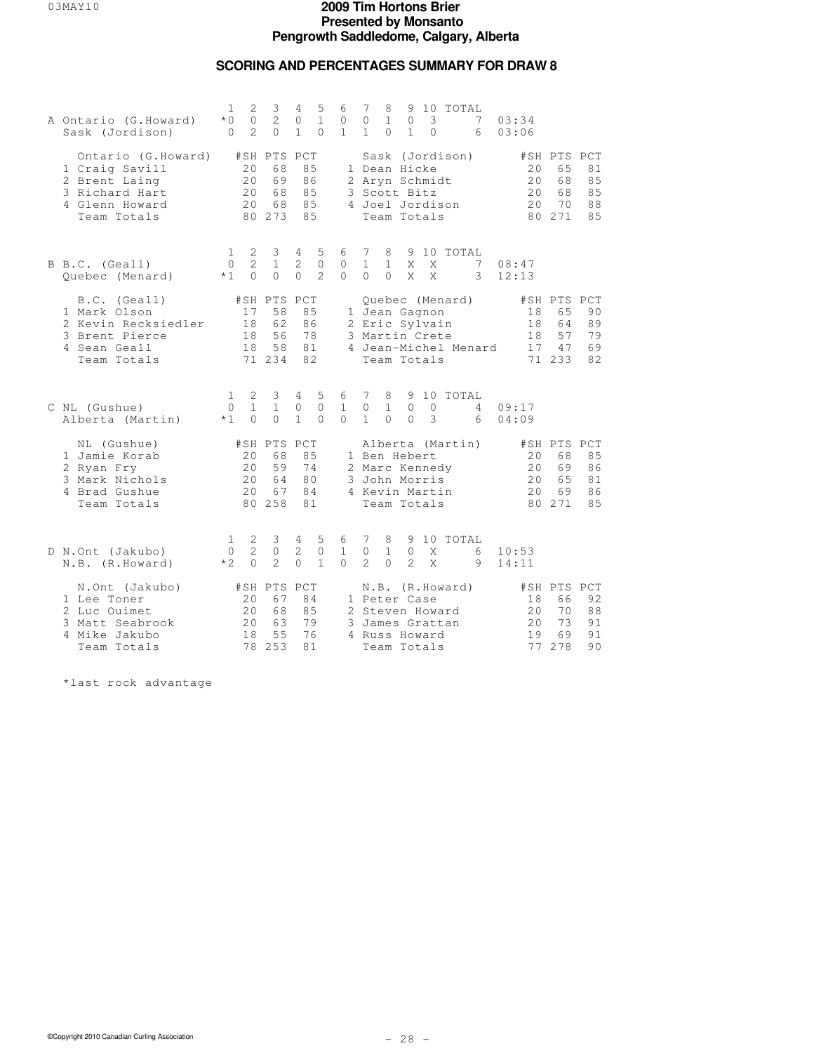## **SCORING AND PERCENTAGES SUMMARY FOR DRAW 8**

| A Ontario (G.Howard)<br>Sask (Jordison)                                                                  | 1<br>$*$ $\cap$<br>0      | $\mathbf{2}$<br>$\Omega$<br>$\overline{2}$ | 3<br>2<br>$\Omega$                            | 4<br>$\circ$<br>$\mathbf{1}$    | 5<br>$\mathbf{1}$<br>$\Omega$     | 6<br>$\mathbf{0}$<br>$\mathbf{1}$ | 7<br>$\Omega$<br>$\mathbf{1}$ | 8<br>$\mathbf{1}$<br>$\Omega$ | 9<br>$\circ$<br>$\mathbf{1}$                                                     | 3<br>$\circ$       | 10 TOTAL                                              | 7<br>6               | 03:34<br>03:06              |                                               |                             |
|----------------------------------------------------------------------------------------------------------|---------------------------|--------------------------------------------|-----------------------------------------------|---------------------------------|-----------------------------------|-----------------------------------|-------------------------------|-------------------------------|----------------------------------------------------------------------------------|--------------------|-------------------------------------------------------|----------------------|-----------------------------|-----------------------------------------------|-----------------------------|
| Ontario (G.Howard)<br>1 Craig Savill<br>2 Brent Laing<br>3 Richard Hart<br>4 Glenn Howard<br>Team Totals |                           | 20<br>20<br>20<br>20                       | #SH PTS PCT<br>68<br>69<br>68<br>68<br>80 273 | 85<br>86<br>85<br>85<br>85      |                                   |                                   |                               |                               | 1 Dean Hicke<br>2 Aryn Schmidt<br>3 Scott Bitz<br>Team Totals                    |                    | Sask (Jordison)<br>4 Joel Jordison                    |                      | 20<br>20<br>20<br>20        | #SH PTS PCT<br>65<br>68<br>68<br>70<br>80 271 | 81<br>85<br>85<br>88<br>85  |
| B B.C. (Geall)<br>Quebec (Menard)                                                                        | $\mathbf{1}$<br>0<br>$*1$ | 2<br>$\overline{2}$<br>$\Omega$            | $\mathbf{3}$<br>$\mathbf{1}$<br>$\Omega$      | 4<br>$\overline{2}$<br>$\Omega$ | 5<br>$\circ$<br>$\mathfrak{D}$    | 6<br>$\mathbf{0}$<br>$\Omega$     | 7<br>$\mathbf{1}$<br>$\Omega$ | 8<br>$\mathbf{1}$<br>$\Omega$ | X<br>X                                                                           | X<br>$\mathsf{X}$  | 9 10 TOTAL                                            | 7<br>3               | 08:47<br>12:13              |                                               |                             |
| B.C. (Geall)<br>1 Mark Olson<br>2 Kevin Recksiedler<br>3 Brent Pierce<br>4 Sean Geall<br>Team Totals     |                           | 17<br>18<br>18<br>18                       | #SH PTS PCT<br>58<br>62<br>56<br>58<br>71 234 | 85<br>86<br>78<br>81<br>82      |                                   |                                   |                               |                               | 1 Jean Gagnon<br>2 Eric Sylvain<br>3 Martin Crete<br>Team Totals                 |                    | Quebec (Menard)                                       | 4 Jean-Michel Menard | 18<br>18<br>18<br>17        | #SH PTS PCT<br>65<br>64<br>57<br>47<br>71 233 | 90<br>89<br>79<br>69<br>82  |
| C NL (Gushue)<br>Alberta (Martin)                                                                        | 1<br>0<br>$*1$            | 2<br>$\mathbf{1}$<br>$\Omega$              | 3<br>$\mathbf{1}$<br>$\Omega$                 | 4<br>0<br>$\mathbf{1}$          | 5<br>$\mathbf{0}$<br>$\Omega$     | 6<br>$\mathbf{1}$<br>$\Omega$     | 7<br>$\circ$<br>$\mathbf{1}$  | 8<br>$\mathbf{1}$<br>$\Omega$ | 9<br>$\circ$<br>$\Omega$                                                         | 10<br>$\circ$<br>3 | TOTAL                                                 | 4<br>6               | 09:17<br>04:09              |                                               |                             |
| NL (Gushue)<br>1 Jamie Korab<br>2 Ryan Fry<br>3 Mark Nichols<br>4 Brad Gushue<br>Team Totals             |                           | 20<br>20<br>20<br>20                       | #SH PTS PCT<br>68<br>59<br>64<br>67<br>80 258 | 85<br>74<br>80<br>84<br>81      |                                   |                                   |                               |                               | 1 Ben Hebert<br>2 Marc Kennedy<br>3 John Morris<br>4 Kevin Martin<br>Team Totals |                    | Alberta (Martin)                                      |                      | 20<br>20<br>20<br>20        | #SH PTS PCT<br>68<br>69<br>65<br>69<br>80 271 | 85<br>86<br>81<br>86<br>8.5 |
| D N.Ont (Jakubo)<br>N.B. (R.Howard)                                                                      | 1.<br>$\Omega$<br>$*2$    | 2<br>2<br>$\Omega$                         | 3<br>$\circ$<br>$\overline{2}$                | $4 -$<br>2<br>$\Omega$          | 5<br>$\mathbf{0}$<br>$\mathbf{1}$ | 6<br>$\mathbf{1}$<br>$\Omega$     | 7<br>$\circ$<br>$\mathcal{L}$ | 8<br>$\mathbf{1}$<br>$\Omega$ | 9<br>$\circ$<br>$\mathcal{L}$                                                    | X<br>X             | 10 TOTAL                                              | 6<br>9               | 10:53<br>14:11              |                                               |                             |
| N.Ont (Jakubo)<br>1 Lee Toner<br>2 Luc Ouimet<br>3 Matt Seabrook<br>4 Mike Jakubo<br>Team Totals         |                           | 20<br>20<br>20<br>18<br>78                 | #SH PTS PCT<br>67<br>68<br>63<br>55<br>253    | 84<br>85<br>79<br>76<br>81      |                                   |                                   |                               |                               | 1 Peter Case<br>4 Russ Howard<br>Team Totals                                     |                    | N.B. (R.Howard)<br>2 Steven Howard<br>3 James Grattan |                      | 18<br>20<br>2.0<br>19<br>77 | #SH PTS PCT<br>66<br>70<br>73<br>69<br>278    | 92<br>88<br>91<br>91<br>90  |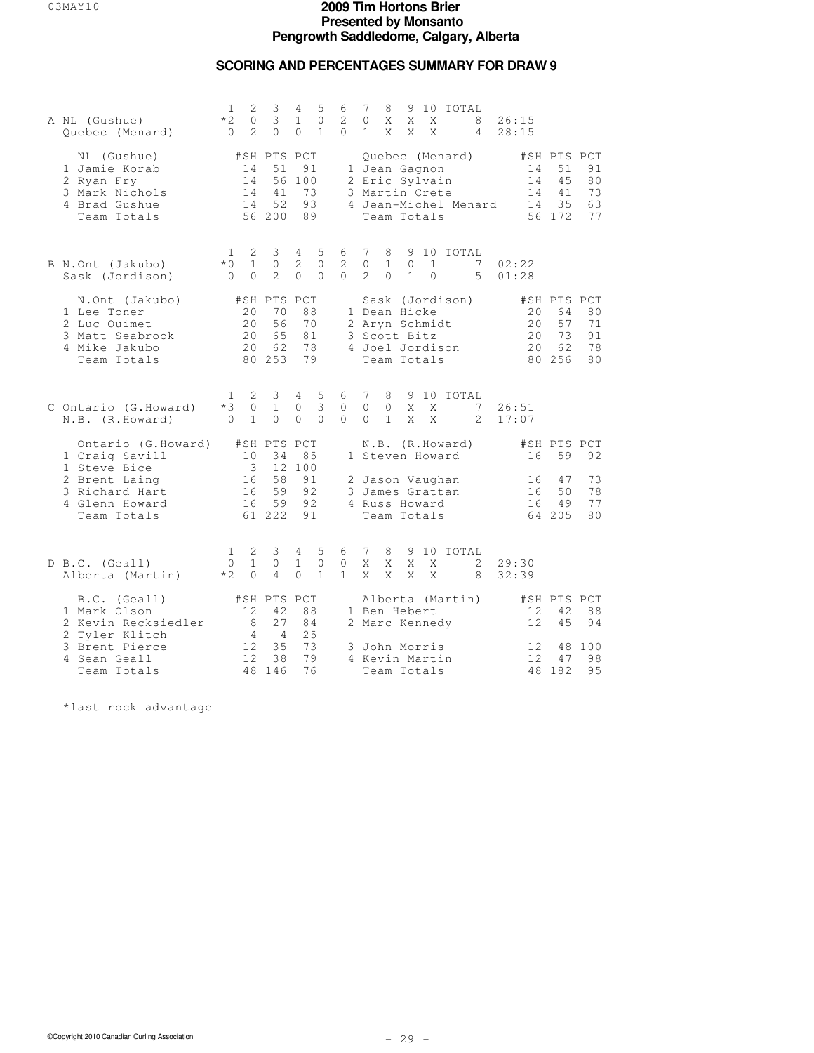## **SCORING AND PERCENTAGES SUMMARY FOR DRAW 9**

| A NL (Gushue)<br>Quebec (Menard)                                                                 | 1<br>$*2$<br>$\Omega$           | 3<br>2<br>3<br>0<br>$\mathfrak{D}$<br>$\Omega$                         | 4<br>$\mathbf{1}$<br>$\Omega$          | 5<br>$\circ$<br>1             | 6<br>2<br>$\Omega$           | 7<br>$\circ$<br>1             | 8<br>Χ<br>X                              | 9<br>X<br>X                                                      | X<br>X                   | 10 TOTAL                           | 8<br>4                     | 26:15<br>28:15         |                                               |                            |
|--------------------------------------------------------------------------------------------------|---------------------------------|------------------------------------------------------------------------|----------------------------------------|-------------------------------|------------------------------|-------------------------------|------------------------------------------|------------------------------------------------------------------|--------------------------|------------------------------------|----------------------------|------------------------|-----------------------------------------------|----------------------------|
| NL (Gushue)<br>1 Jamie Korab<br>2 Ryan Fry<br>3 Mark Nichols<br>4 Brad Gushue<br>Team Totals     |                                 | #SH PTS PCT<br>14<br>51<br>14<br>56<br>14<br>41<br>14<br>52<br>56 200  | 91<br>100<br>73<br>93<br>89            |                               |                              |                               |                                          | 1 Jean Gagnon<br>2 Eric Sylvain<br>3 Martin Crete<br>Team Totals |                          | Quebec (Menard)                    | 4 Jean-Michel Menard       | 14<br>14<br>14<br>14   | #SH PTS PCT<br>51<br>45<br>41<br>35<br>56 172 | 91<br>80<br>73<br>63<br>77 |
| B N.Ont (Jakubo)<br>Sask (Jordison)                                                              | 1.<br>$*0$<br>$\Omega$          | 2<br>3<br>$\circ$<br>$\mathbf{1}$<br>$\Omega$<br>$\mathcal{L}$         | 4<br>2<br>$\Omega$                     | 5<br>$\mathbf{0}$<br>$\Omega$ | 6<br>2<br>$\Omega$           | 7<br>$\circ$<br>$\mathcal{L}$ | 8<br>$\mathbf{1}$<br>$\Omega$            | 9<br>$\circ$<br>$\mathbf{1}$                                     | $\mathbf{1}$<br>$\Omega$ | 10 TOTAL                           | 7<br>5                     | 02:22<br>01:28         |                                               |                            |
| N.Ont (Jakubo)<br>1 Lee Toner<br>2 Luc Ouimet<br>3 Matt Seabrook<br>4 Mike Jakubo<br>Team Totals |                                 | #SH PTS PCT<br>20<br>70<br>2.0<br>56<br>20<br>65<br>20<br>62<br>80 253 | 88<br>70<br>81<br>78<br>79             |                               |                              |                               |                                          | 1 Dean Hicke<br>2 Aryn Schmidt<br>3 Scott Bitz<br>Team Totals    |                          | Sask (Jordison)<br>4 Joel Jordison |                            | 20<br>2.0<br>20<br>2.0 | #SH PTS PCT<br>64<br>57<br>73<br>62<br>80 256 | 80<br>71<br>91<br>78<br>80 |
| C Ontario (G.Howard)<br>N.B. (R.Howard)                                                          | Т.<br>$*3$<br>$\Omega$          | 3<br>2<br>0<br>$\mathbf{1}$<br>$\mathbf{1}$<br>$\Omega$                | $4\overline{ }$<br>$\circ$<br>$\Omega$ | 5<br>$\mathbf{3}$<br>$\Omega$ | 6<br>$\circ$<br>$\Omega$     | -7<br>$\circ$<br>$\Omega$     | 8<br>$\mathsf{O}\xspace$<br>$\mathbf{1}$ | 9<br>X<br>X                                                      | X<br>$\mathsf{X}$        | 10 TOTAL                           | 7<br>$\mathcal{L}$         | 26:51<br>17:07         |                                               |                            |
| Ontario (G.Howard)<br>1 Craig Savill<br>1 Steve Bice                                             |                                 | #SH PTS PCT<br>34<br>10<br>$\overline{\mathbf{3}}$<br>$12 \,$          | 85<br>100                              |                               |                              |                               |                                          |                                                                  |                          | N.B. (R.Howard)<br>1 Steven Howard |                            | 16                     | #SH PTS PCT<br>59                             | 92                         |
| 2 Brent Laing<br>3 Richard Hart<br>4 Glenn Howard<br>Team Totals                                 |                                 | 58<br>16<br>16<br>59<br>59<br>16<br>61 222                             | 91<br>92<br>92<br>91                   |                               |                              |                               |                                          | 4 Russ Howard<br>Team Totals                                     |                          | 2 Jason Vaughan<br>3 James Grattan |                            | 16<br>16<br>16         | 47<br>50<br>49<br>64 205                      | 73<br>78<br>77<br>80       |
| D B.C. (Geall)<br>Alberta (Martin)                                                               | $\mathbf{1}$<br>$\circ$<br>$*2$ | 2<br>3<br>$\mathbf{1}$<br>$\circ$<br>$\Omega$<br>$\overline{4}$        | 4<br>$\mathbf{1}$<br>$\Omega$          | 5<br>$\circ$<br>$\mathbf{1}$  | 6<br>$\circ$<br>$\mathbf{1}$ | 7<br>X<br>X                   | 8<br>X<br>X                              | Χ<br>X                                                           | Χ<br>X                   | 9 10 TOTAL                         | $\mathbf{2}^{\prime}$<br>8 | 29:30<br>32:39         |                                               |                            |
| B.C. (Geall)<br>1 Mark Olson<br>2 Kevin Recksiedler                                              |                                 | #SH PTS PCT<br>12<br>42<br>8<br>27<br>4<br>$\overline{4}$              | 88<br>84<br>25                         |                               |                              |                               |                                          | 1 Ben Hebert<br>2 Marc Kennedy                                   |                          | Alberta (Martin)                   |                            | 12<br>12.              | #SH PTS PCT<br>42<br>45                       | 88<br>94                   |
| 2 Tyler Klitch<br>3 Brent Pierce<br>4 Sean Geall<br>Team Totals                                  |                                 | 12<br>35<br>12<br>38<br>48<br>146                                      | 73<br>79<br>76                         |                               |                              |                               |                                          | 3 John Morris<br>4 Kevin Martin<br>Team Totals                   |                          |                                    |                            | 12<br>12               | 48<br>47<br>48 182                            | 100<br>98<br>95            |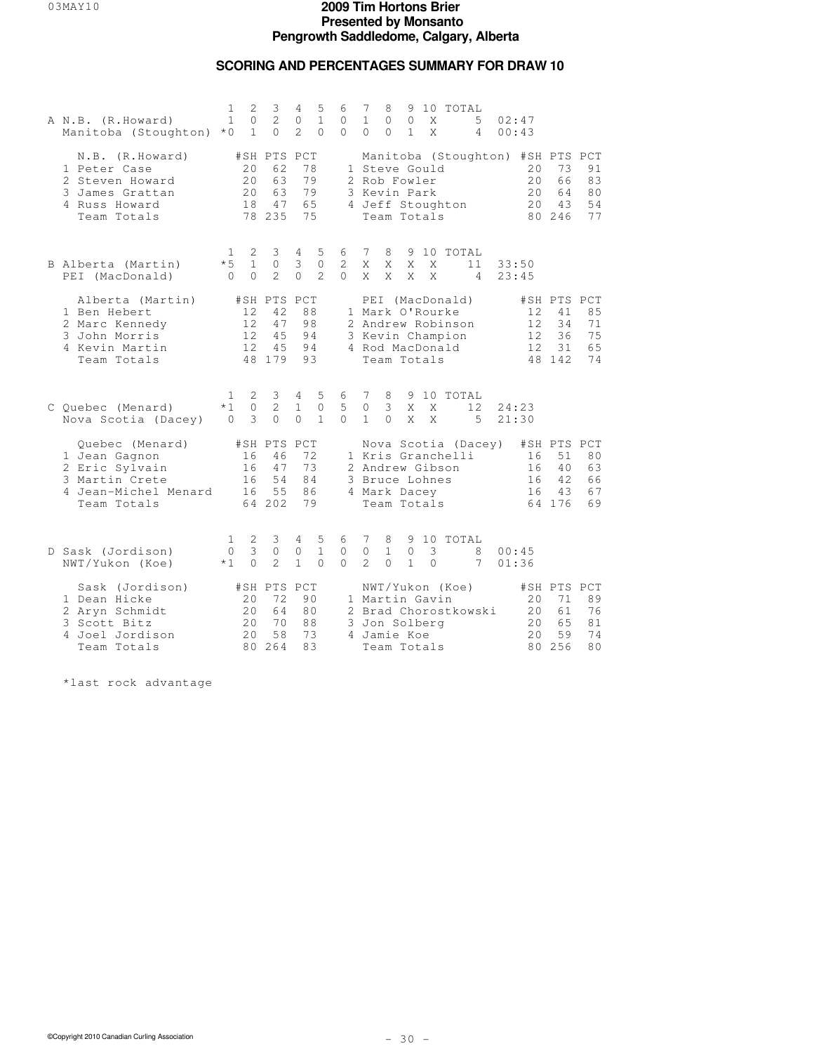## **SCORING AND PERCENTAGES SUMMARY FOR DRAW 10**

| A N.B. (R.Howard)<br>Manitoba (Stoughton) *0                                                                | 1<br>$\mathbf{1}$                | 2<br>$\circ$<br>$\mathbf{1}$  | 3<br>2<br>$\Omega$                            | 4<br>0<br>$\overline{2}$          | 5<br>$\mathbf{1}$<br>$\Omega$       | 6<br>0<br>$\Omega$       | 7<br>$\mathbf{1}$<br>$\Omega$                                               | 8<br>$\mathbf{0}$<br>$\Omega$ | 9<br>$\circ$<br>1              | X<br>X        | 10 TOTAL<br>5<br>4    | 02:47<br>00:43                                           |                                               |                                        |
|-------------------------------------------------------------------------------------------------------------|----------------------------------|-------------------------------|-----------------------------------------------|-----------------------------------|-------------------------------------|--------------------------|-----------------------------------------------------------------------------|-------------------------------|--------------------------------|---------------|-----------------------|----------------------------------------------------------|-----------------------------------------------|----------------------------------------|
| N.B. (R.Howard)<br>1 Peter Case<br>2 Steven Howard<br>3 James Grattan<br>4 Russ Howard<br>Team Totals       |                                  | 2.0<br>20<br>20<br>18         | #SH PTS PCT<br>62<br>63<br>63<br>47<br>78 235 | 78<br>79<br>79<br>65<br>75        |                                     |                          | 1 Steve Gould<br>2 Rob Fowler<br>3 Kevin Park<br>4 Jeff Stoughton           |                               | Team Totals                    |               |                       | Manitoba (Stoughton) #SH PTS PCT<br>20<br>20<br>20<br>20 | 73<br>66<br>64<br>43<br>80 246                | 91<br>83<br>80<br>54<br>77             |
| B Alberta (Martin)<br>PEI (MacDonald)                                                                       | $\mathbf{1}$<br>$*5$<br>$\Omega$ | 2<br>$\mathbf{1}$<br>$\Omega$ | 3<br>$\circ$<br>$\overline{2}$                | 4<br>3<br>$\Omega$                | 5<br>$\mathbf{0}$<br>2              | 6<br>2<br>$\Omega$       | 7<br>X<br>X                                                                 | 8<br>X<br>X                   | 9<br>X<br>X                    | X<br>X        | 10 TOTAL<br>11<br>4   | 33:50<br>23:45                                           |                                               |                                        |
| Alberta (Martin)<br>1 Ben Hebert<br>2 Marc Kennedy<br>3 John Morris<br>4 Kevin Martin<br>Team Totals        |                                  | 12<br>12<br>12<br>12          | #SH PTS PCT<br>42<br>47<br>45<br>45<br>48 179 | 88<br>98<br>94<br>94<br>93        |                                     |                          | 1 Mark O'Rourke<br>2 Andrew Robinson<br>3 Kevin Champion<br>4 Rod MacDonald |                               | PEI (MacDonald)<br>Team Totals |               |                       | 12<br>12<br>12<br>12                                     | #SH PTS PCT<br>41<br>34<br>36<br>31<br>48 142 | 85<br>71<br>75<br>65<br>74             |
| C Quebec (Menard)<br>Nova Scotia (Dacey)                                                                    | 1.<br>$*1$<br>$\Omega$           | 2<br>$\circ$<br>3             | 3<br>2<br>$\Omega$                            | 4<br>$\mathbf{1}$<br>$\Omega$     | 5<br>$\circledcirc$<br>$\mathbf{1}$ | 6<br>5<br>$\Omega$       | 7<br>$\circ$<br>$\mathbf{1}$                                                | 8<br>3<br>$\Omega$            | X<br>X                         | Χ<br>X        | 9 10 TOTAL<br>12<br>5 | 24:23<br>21:30                                           |                                               |                                        |
| Quebec (Menard)<br>1 Jean Gagnon<br>2 Eric Sylvain<br>3 Martin Crete<br>4 Jean-Michel Menard<br>Team Totals |                                  | 16<br>16<br>16<br>16          | #SH PTS PCT<br>46<br>47<br>54<br>55<br>64 202 | 72<br>73<br>84<br>86<br>79        |                                     |                          | 1 Kris Granchelli<br>2 Andrew Gibson<br>3 Bruce Lohnes<br>4 Mark Dacey      |                               | Team Totals                    |               | Nova Scotia (Dacey)   | 16<br>16<br>16<br>16                                     | #SH PTS PCT<br>51<br>40<br>42<br>43<br>64 176 | 8 <sub>0</sub><br>63<br>66<br>67<br>69 |
| D Sask (Jordison)<br>NWT/Yukon (Koe)                                                                        | 1<br>0<br>$*1$                   | 2<br>3<br>$\Omega$            | 3<br>$\mathbf 0$<br>$\overline{2}$            | 4<br>$\mathbb O$<br>$\mathbf{1}$  | 5<br>$\mathbf{1}$<br>$\Omega$       | 6<br>$\circ$<br>$\Omega$ | 7<br>$\circ$<br>$\overline{2}$                                              | 8<br>$\mathbf{1}$<br>$\Omega$ | 9<br>$\circ$<br>$\mathbf{1}$   | 3<br>$\Omega$ | 10 TOTAL<br>8<br>7    | 00:45<br>01:36                                           |                                               |                                        |
| Sask (Jordison)<br>1 Dean Hicke<br>2 Aryn Schmidt<br>3 Scott Bitz<br>4 Joel Jordison<br>Team Totals         |                                  | 20<br>20<br>20<br>20          | #SH PTS<br>72<br>64<br>70<br>58<br>80 264     | PCT<br>90<br>80<br>88<br>73<br>83 |                                     |                          | 1 Martin Gavin<br>3 Jon Solberg<br>4 Jamie Koe                              |                               | NWT/Yukon (Koe)<br>Team Totals |               | 2 Brad Chorostkowski  | 20<br>20<br>2.0<br>20<br>80                              | #SH PTS PCT<br>71<br>61<br>6.5<br>59<br>256   | 89<br>76<br>81<br>74<br>80             |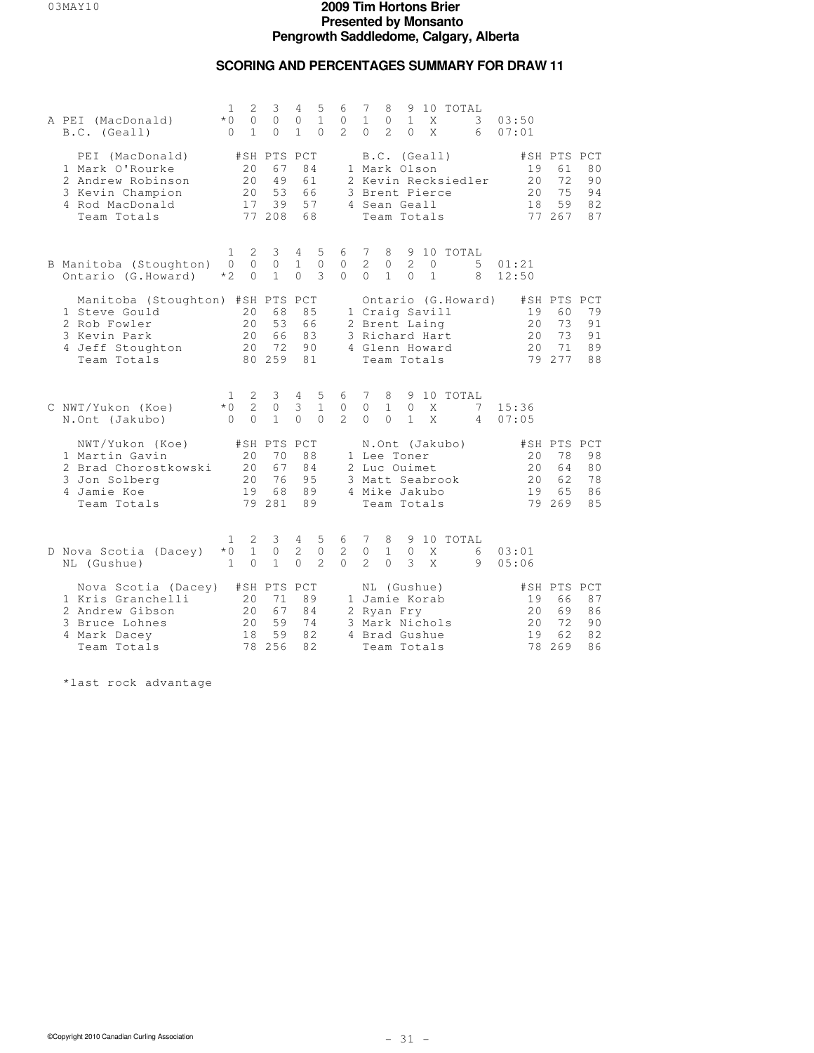## **SCORING AND PERCENTAGES SUMMARY FOR DRAW 11**

| A PEI (MacDonald)<br>B.C. (Geall)                                                                                    | 1<br>$*$ 0<br>0                  | 2<br>3<br>0<br>$\circ$<br>$\mathbf{1}$<br>$\Omega$                     | 4<br>$\mathbf{0}$<br>$\mathbf{1}$ | 5<br>$\mathbf{1}$<br>$\Omega$ | 6<br>$\circ$<br>$\overline{a}$     | 7<br>$\mathbf{1}$<br>$\Omega$                                       | 8<br>$\mathbf{0}$<br>$\mathfrak{D}$ | 9<br>$\mathbf{1}$<br>$\Omega$ | X<br>X                       | 10 TOTAL<br>3<br>6   | 03:50<br>07:01              |                                                |                                        |
|----------------------------------------------------------------------------------------------------------------------|----------------------------------|------------------------------------------------------------------------|-----------------------------------|-------------------------------|------------------------------------|---------------------------------------------------------------------|-------------------------------------|-------------------------------|------------------------------|----------------------|-----------------------------|------------------------------------------------|----------------------------------------|
| PEI (MacDonald)<br>1 Mark O'Rourke<br>2 Andrew Robinson<br>3 Kevin Champion<br>4 Rod MacDonald<br>Team Totals        |                                  | #SH PTS PCT<br>20<br>67<br>49<br>2.0<br>53<br>20<br>39<br>17<br>77 208 | 84<br>61<br>66<br>57<br>68        |                               |                                    | 1 Mark Olson<br>3 Brent Pierce<br>4 Sean Geall                      |                                     |                               | B.C. (Geall)<br>Team Totals  | 2 Kevin Recksiedler  | 19<br>2.0<br>20<br>18       | #SH PTS PCT<br>61<br>72<br>75<br>59<br>77 267  | 80<br>90<br>94<br>82<br>87             |
| B Manitoba (Stoughton)<br>Ontario (G.Howard)                                                                         | 1<br>$\Omega$<br>$*2$            | 2<br>3<br>$\Omega$<br>$\Omega$<br>$\Omega$<br>$\mathbf{1}$             | 4<br>$\mathbf{1}$<br>$\Omega$     | 5<br>$\circ$<br>3             | 6<br>$\mathbf{0}$<br>$\Omega$      | 7<br>2<br>$\Omega$                                                  | 8<br>0<br>$\mathbf{1}$              | 2<br>$\Omega$                 | $\mathbf{0}$<br>$\mathbf{1}$ | 9 10 TOTAL<br>5<br>8 | 01:21<br>12:50              |                                                |                                        |
| Manitoba (Stoughton) #SH PTS PCT<br>1 Steve Gould<br>2 Rob Fowler<br>3 Kevin Park<br>4 Jeff Stoughton<br>Team Totals |                                  | 20<br>68<br>2.0<br>53<br>20<br>66<br>72<br>20<br>80 259                | 85<br>66<br>83<br>90<br>81        |                               |                                    | 1 Craig Savill<br>2 Brent Laing<br>3 Richard Hart<br>4 Glenn Howard |                                     |                               | Team Totals                  | Ontario (G.Howard)   | 19<br>20<br>2.0<br>20       | #SH PTS PCT<br>60<br>73<br>73<br>71<br>79 277  | 79<br>91<br>91<br>89<br>88             |
| C NWT/Yukon (Koe)<br>N.Ont (Jakubo)                                                                                  | $\mathbf{1}$<br>$*0$<br>$\Omega$ | 2<br>3<br>$\overline{c}$<br>$\circ$<br>$\mathbf{1}$<br>$\Omega$        | 4<br>3<br>$\Omega$                | 5<br>$\mathbf{1}$<br>$\Omega$ | 6<br>$\mathbf{0}$<br>$\mathcal{L}$ | 7<br>$\circ$<br>$\Omega$                                            | 8<br>$\mathbf{1}$<br>$\Omega$       | $\mathbf{0}$<br>$\mathbf{1}$  | X<br>X                       | 9 10 TOTAL<br>7<br>4 | 15:36<br>07:05              |                                                |                                        |
| NWT/Yukon (Koe)<br>1 Martin Gavin<br>2 Brad Chorostkowski<br>3 Jon Solberg<br>4 Jamie Koe<br>Team Totals             |                                  | #SH PTS<br>20<br>70<br>2.0<br>67<br>20<br>76<br>19<br>68<br>79 281     | PCT<br>88<br>84<br>95<br>89<br>89 |                               |                                    | 1 Lee Toner<br>2 Luc Ouimet<br>3 Matt Seabrook<br>4 Mike Jakubo     |                                     |                               | Team Totals                  | N.Ont (Jakubo)       | 20<br>2.0<br>20<br>19       | #SH PTS PCT<br>78<br>64<br>62<br>6.5<br>79 269 | 98<br>8 <sub>0</sub><br>78<br>86<br>85 |
| D Nova Scotia (Dacey)<br>NL (Gushue)                                                                                 | 1<br>$*0$<br>$\mathbf{1}$        | 2<br>3<br>$\mathbf{1}$<br>$\circ$<br>$\Omega$<br>$\mathbf{1}$          | 4<br>$\overline{2}$<br>$\Omega$   | 5<br>$\circ$<br>$\mathcal{L}$ | 6<br>2<br>$\Omega$                 | 7<br>$\circ$<br>$\mathcal{L}$                                       | 8<br>$\mathbf{1}$<br>$\Omega$       | 9<br>$\circ$<br>3             | X<br>X                       | 10 TOTAL<br>6<br>9   | 03:01<br>05:06              |                                                |                                        |
| Nova Scotia (Dacey)<br>1 Kris Granchelli<br>2 Andrew Gibson<br>3 Bruce Lohnes<br>4 Mark Dacey<br>Team Totals         |                                  | #SH PTS<br>71<br>20<br>67<br>20<br>59<br>2.0<br>59<br>18<br>256<br>78  | PCT<br>89<br>84<br>74<br>82<br>82 |                               |                                    | 1 Jamie Korab<br>2 Ryan Fry<br>3 Mark Nichols<br>4 Brad Gushue      |                                     |                               | NL (Gushue)<br>Team Totals   |                      | 19<br>20<br>2.0<br>19<br>78 | #SH PTS PCT<br>66<br>69<br>72<br>62<br>269     | 87<br>86<br>90<br>82<br>86             |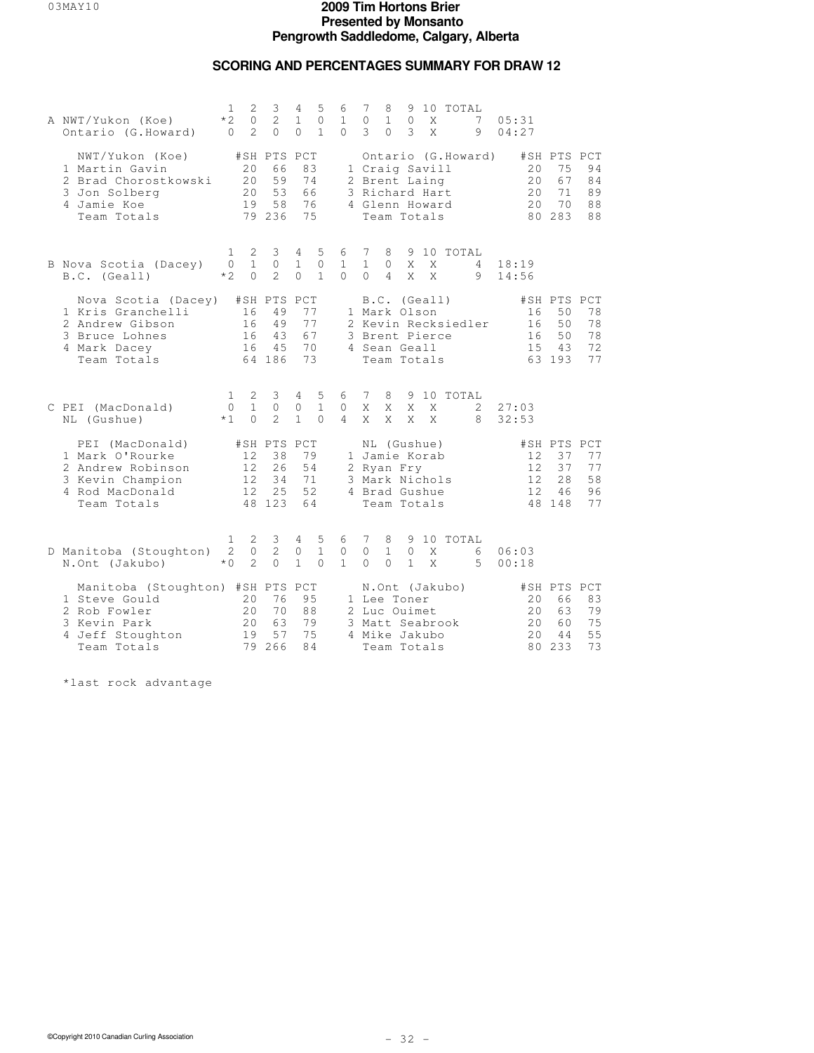## **SCORING AND PERCENTAGES SUMMARY FOR DRAW 12**

| A NWT/Yukon (Koe)<br>Ontario (G.Howard)                                                                              | $\mathbf{1}$<br>$*2$<br>$\Omega$ | $\mathbf{2}$<br>0<br>$\overline{2}$ | 3<br>2<br>$\Omega$                            | 4<br>$\mathbf{1}$<br>$\Omega$               | 5<br>$\mathbf{0}$<br>$\mathbf{1}$ | 6<br>$\mathbf{1}$<br>$\Omega$    | 7<br>0<br>3                   | 8<br>$\mathbf{1}$<br>$\Omega$                                                                | 9<br>$\circ$<br>3            | X<br>X | 10 TOTAL            | 7<br>9 | 05:31<br>04:27              |                                               |                            |
|----------------------------------------------------------------------------------------------------------------------|----------------------------------|-------------------------------------|-----------------------------------------------|---------------------------------------------|-----------------------------------|----------------------------------|-------------------------------|----------------------------------------------------------------------------------------------|------------------------------|--------|---------------------|--------|-----------------------------|-----------------------------------------------|----------------------------|
| NWT/Yukon (Koe)<br>1 Martin Gavin<br>2 Brad Chorostkowski<br>3 Jon Solberg<br>4 Jamie Koe<br>Team Totals             |                                  | 20<br>2.0<br>20<br>19               | #SH PTS PCT<br>66<br>59<br>53<br>58<br>79 236 | 83<br>74<br>66<br>76<br>75                  |                                   |                                  |                               | 1 Craig Savill<br>2 Brent Laing<br>3 Richard Hart<br>4 Glenn Howard<br>Team Totals           |                              |        | Ontario (G.Howard)  |        | 20<br>20<br>20<br>2.0       | #SH PTS PCT<br>75<br>67<br>71<br>70<br>80 283 | 94<br>84<br>89<br>88<br>88 |
| B Nova Scotia (Dacey)<br>B.C. (Geall)                                                                                | $\mathbf{1}$<br>$\Omega$<br>$*2$ | 2<br>$\mathbf{1}$<br>$\Omega$       | 3<br>$\Omega$<br>$\overline{2}$               | $4\overline{ }$<br>$\mathbf{1}$<br>$\Omega$ | 5<br>$\circ$<br>$\mathbf{1}$      | 6<br>$\mathbf{1}$<br>$\Omega$    | 7<br>$\mathbf{1}$<br>$\Omega$ | 8<br>$\circ$<br>$\overline{4}$                                                               | X<br>X                       | X<br>X | 9 10 TOTAL          | 4<br>9 | 18:19<br>14:56              |                                               |                            |
| Nova Scotia (Dacey)<br>1 Kris Granchelli<br>2 Andrew Gibson<br>3 Bruce Lohnes<br>4 Mark Dacey<br>Team Totals         |                                  | 16<br>16<br>16<br>16                | #SH PTS PCT<br>49<br>49<br>43<br>45<br>64 186 | 77<br>77<br>67<br>70<br>73                  |                                   |                                  |                               | B.C. (Geall)<br>1 Mark Olson<br>3 Brent Pierce<br>4 Sean Geall<br>Team Totals                |                              |        | 2 Kevin Recksiedler |        | 16<br>16<br>16<br>15        | #SH PTS PCT<br>50<br>50<br>50<br>43<br>63 193 | 78<br>78<br>78<br>72<br>77 |
| C PEI (MacDonald)<br>NL (Gushue)                                                                                     | $\mathbf{1}$<br>0<br>$*1$        | 2<br>$\mathbf{1}$<br>$\Omega$       | 3<br>0<br>$\mathcal{L}$                       | 4<br>0<br>$\mathbf{1}$                      | 5<br>$\mathbf{1}$<br>$\Omega$     | 6<br>$\mathbf{0}$<br>4           | $7\phantom{.0}$<br>X<br>X     | 8<br>X<br>X                                                                                  | 9<br>X<br>X                  | X<br>X | 10 TOTAL            | 2<br>8 | 27:03<br>32:53              |                                               |                            |
| PEI (MacDonald)<br>1 Mark O'Rourke<br>2 Andrew Robinson<br>3 Kevin Champion<br>4 Rod MacDonald<br>Team Totals        |                                  | 12<br>12.<br>12<br>12               | #SH PTS PCT<br>38<br>26<br>34<br>25<br>48 123 | 79<br>54<br>71<br>52<br>64                  |                                   |                                  |                               | NL (Gushue)<br>1 Jamie Korab<br>2 Ryan Fry<br>3 Mark Nichols<br>4 Brad Gushue<br>Team Totals |                              |        |                     |        | 12<br>12.<br>12<br>12       | #SH PTS PCT<br>37<br>37<br>28<br>46<br>48 148 | 77<br>77<br>58<br>96<br>77 |
| D Manitoba (Stoughton)<br>N.Ont (Jakubo)                                                                             | 1<br>2<br>$*0$                   | 2<br>$\circ$<br>$\mathfrak{D}$      | 3<br>$\overline{c}$<br>$\Omega$               | 4<br>$\circ$<br>$\mathbf{1}$                | 5<br>$\mathbf{1}$<br>$\Omega$     | 6<br>$\mathbb O$<br>$\mathbf{1}$ | 7<br>$\circ$<br>$\Omega$      | 8<br>$\mathbf{1}$<br>$\Omega$                                                                | 9<br>$\circ$<br>$\mathbf{1}$ | X<br>X | 10 TOTAL            | 6<br>5 | 06:03<br>00:18              |                                               |                            |
| Manitoba (Stoughton) #SH PTS PCT<br>1 Steve Gould<br>2 Rob Fowler<br>3 Kevin Park<br>4 Jeff Stoughton<br>Team Totals |                                  | 20<br>20<br>20<br>19<br>79          | 76<br>70<br>63<br>57<br>266                   | 95<br>88<br>79<br>75<br>84                  |                                   |                                  |                               | 1 Lee Toner<br>2 Luc Ouimet<br>3 Matt Seabrook<br>4 Mike Jakubo<br>Team Totals               |                              |        | N.Ont (Jakubo)      |        | 20<br>20<br>2.0<br>20<br>80 | #SH PTS PCT<br>66<br>63<br>60<br>44<br>233    | 83<br>79<br>75<br>55<br>73 |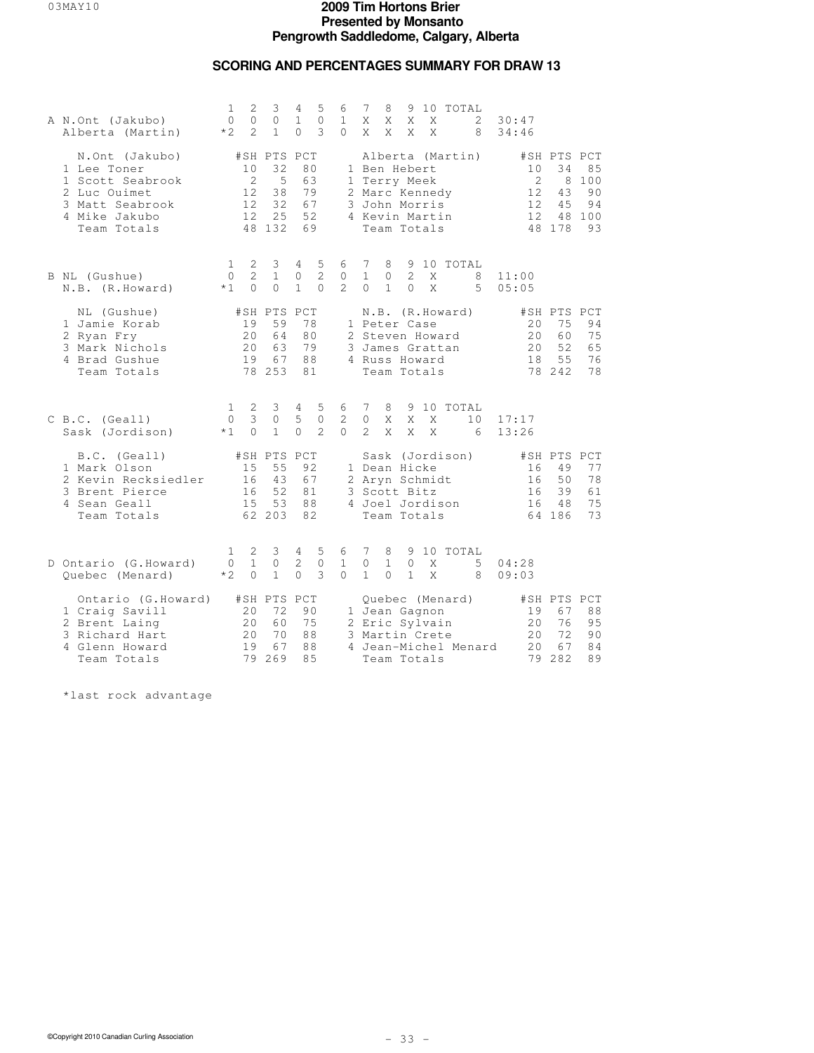## **SCORING AND PERCENTAGES SUMMARY FOR DRAW 13**

| A N.Ont (Jakubo)<br>Alberta (Martin)                                                                                 | 1<br>$\Omega$<br>$*2$            | 2<br>$\circ$<br>$\overline{2}$   | 3<br>$\circ$<br>$\mathbf{1}$                       | 4<br>$\mathbf{1}$<br>$\Omega$              | 5<br>$\mathbf{0}$<br>3           | 6<br>$\mathbf{1}$<br>$\Omega$ | 7<br>X<br>X                   | 8<br>X<br>X                                                                                    | X<br>X                     |   | X<br>X            | 9 10 TOTAL                                                                 | 2<br>8  | 30:47<br>34:46             |                                                    |                                    |
|----------------------------------------------------------------------------------------------------------------------|----------------------------------|----------------------------------|----------------------------------------------------|--------------------------------------------|----------------------------------|-------------------------------|-------------------------------|------------------------------------------------------------------------------------------------|----------------------------|---|-------------------|----------------------------------------------------------------------------|---------|----------------------------|----------------------------------------------------|------------------------------------|
| N.Ont (Jakubo)<br>1 Lee Toner<br>1 Scott Seabrook<br>2 Luc Ouimet<br>3 Matt Seabrook<br>4 Mike Jakubo<br>Team Totals |                                  | 10<br>2<br>12<br>12.<br>12.      | #SH PTS PCT<br>32<br>5<br>38<br>32<br>25<br>48 132 |                                            | 80<br>63<br>79<br>67<br>52<br>69 | 1                             |                               | 1 Ben Hebert<br>Terry Meek<br>2 Marc Kennedy<br>3 John Morris<br>4 Kevin Martin<br>Team Totals |                            |   |                   | Alberta (Martin)                                                           |         | 10<br>2<br>12<br>12.<br>12 | #SH PTS PCT<br>34<br>8<br>43<br>45<br>48<br>48 178 | 85<br>100<br>90<br>94<br>100<br>93 |
| B NL (Gushue)<br>N.B. (R.Howard)                                                                                     | $\mathbf{1}$<br>$\Omega$<br>$*1$ | 2<br>$\overline{c}$<br>$\bigcap$ | 3<br>$\mathbf{1}$<br>$\Omega$                      | $4\overline{ }$<br>$\circ$<br>$\mathbf{1}$ | 5<br>$\overline{c}$<br>$\Omega$  | 6<br>0<br>$2^{1}$             | 7<br>$\mathbf{1}$<br>$\Omega$ | 8<br>$\circ$<br>$\mathbf{1}$                                                                   | $\overline{2}$<br>$\Omega$ |   | X<br>$\mathsf{X}$ | 9 10 TOTAL                                                                 | 8<br>5  | 11:00<br>05:05             |                                                    |                                    |
| NL (Gushue)<br>1 Jamie Korab<br>2 Ryan Fry<br>3 Mark Nichols<br>4 Brad Gushue<br>Team Totals                         |                                  | 19<br>2.0<br>20<br>19            | #SH PTS PCT<br>59<br>64<br>63<br>67<br>78 253      |                                            | 78<br>80<br>79<br>88<br>81       |                               |                               | 1 Peter Case<br>4 Russ Howard<br>Team Totals                                                   |                            |   |                   | N.B. (R.Howard)<br>2 Steven Howard<br>3 James Grattan                      |         | 20<br>2.0<br>2.0<br>18     | #SH PTS PCT<br>75<br>60<br>52<br>55<br>78 242      | 94<br>75<br>65<br>76<br>78         |
| C B.C. (Geall)<br>Sask (Jordison)                                                                                    | $\mathbf{1}$<br>$\circ$<br>$*1$  | 2<br>3<br>$\Omega$               | $\mathcal{E}$<br>$\circ$<br>$\mathbf{1}$           | $\overline{4}$<br>5<br>$\Omega$            | 5<br>$\mathbf{0}$<br>2           | 6<br>2<br>$\Omega$            | 7<br>$\circ$<br>2             | 8<br>X<br>X                                                                                    | X                          | X | X<br>X            | 9 10 TOTAL                                                                 | 10<br>6 | 17:17<br>13:26             |                                                    |                                    |
| B.C. (Geall)<br>1 Mark Olson<br>2 Kevin Recksiedler<br>3 Brent Pierce<br>4 Sean Geall<br>Team Totals                 |                                  | 15<br>16<br>16<br>15             | #SH PTS PCT<br>55<br>43<br>52<br>53<br>62 203      |                                            | 92<br>67<br>81<br>88<br>82       |                               |                               | 1 Dean Hicke<br>2 Aryn Schmidt<br>3 Scott Bitz<br>Team Totals                                  |                            |   |                   | Sask (Jordison)<br>4 Joel Jordison                                         |         | 16<br>16<br>16<br>16       | #SH PTS PCT<br>49<br>50<br>39<br>48<br>64 186      | 77<br>78<br>61<br>75<br>73         |
| D Ontario (G.Howard)<br>Quebec (Menard)                                                                              | $\mathbf{1}$<br>$\Omega$<br>$*2$ | 2<br>$\mathbf{1}$<br>$\Omega$    | 3<br>0<br>$\mathbf{1}$                             | 4<br>2<br>$\Omega$                         | 5<br>$\mathbf{0}$<br>3           | 6<br>$\mathbf{1}$<br>$\Omega$ | 7<br>$\circ$<br>$\mathbf{1}$  | 8<br>$\mathbf{1}$<br>$\Omega$                                                                  | 0<br>$\mathbf{1}$          |   | Χ<br>X            | 9 10 TOTAL                                                                 | 5<br>8  | 04:28<br>09:03             |                                                    |                                    |
| Ontario (G.Howard)<br>1 Craig Savill<br>2 Brent Laing<br>3 Richard Hart<br>4 Glenn Howard<br>Team Totals             |                                  | 20<br>20<br>20<br>19<br>79       | #SH PTS PCT<br>72<br>60<br>70<br>67<br>269         |                                            | 90<br>75<br>88<br>88<br>8.5      |                               |                               | 3 Martin Crete<br>Team Totals                                                                  |                            |   |                   | Quebec (Menard)<br>1 Jean Gagnon<br>2 Eric Sylvain<br>4 Jean-Michel Menard |         | 19<br>20<br>20<br>20<br>79 | #SH PTS PCT<br>67<br>76<br>72<br>67<br>282         | 88<br>95<br>90<br>84<br>89         |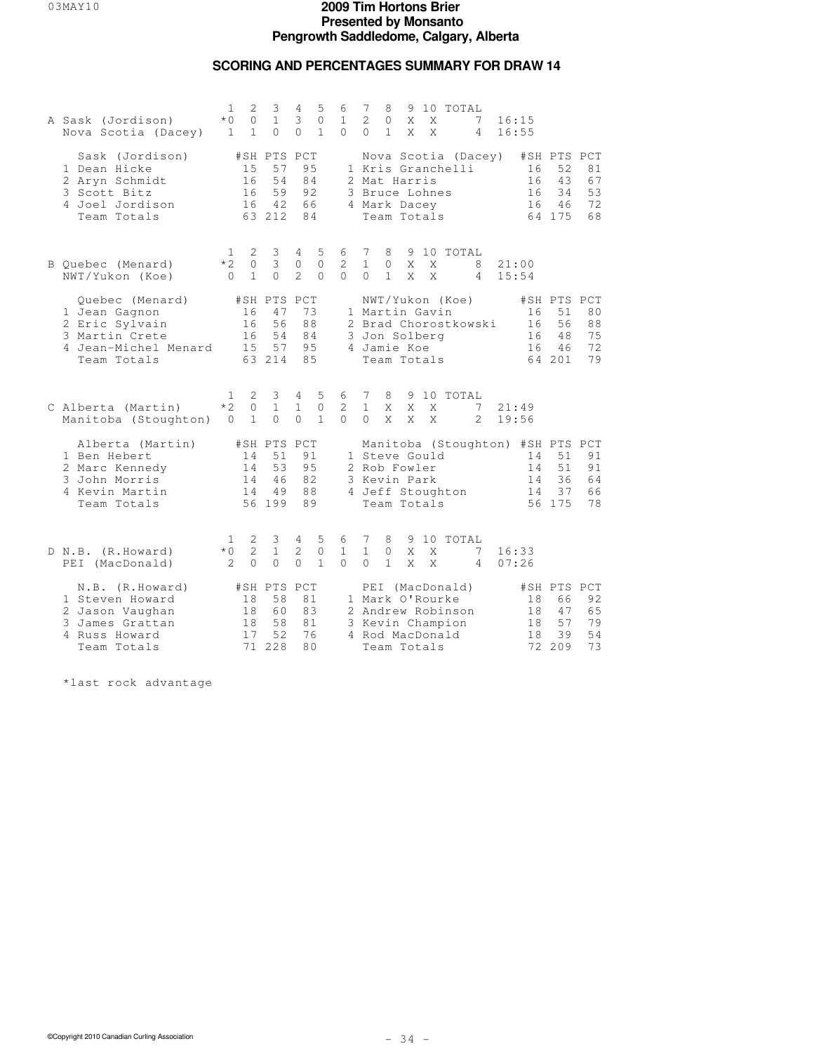### **SCORING AND PERCENTAGES SUMMARY FOR DRAW 14**

| A Sask (Jordison)<br>Nova Scotia (Dacey)                                                                    | $\mathbf{1}$<br>$*$ 0<br>$\mathbf{1}$ | $\mathbf{2}$<br>$\circ$<br>$\mathbf{1}$ | 3<br>$\mathbf{1}$<br>$\Omega$                 | 4<br>3<br>$\Omega$                         | 5<br>$\mathbf{0}$<br>$\mathbf{1}$ | 6<br>$\mathbf{1}$<br>$\Omega$ | $7\phantom{.0}$<br>2<br>$\Omega$ | 8<br>0<br>$\mathbf{1}$       | X<br>X                                                                                                        | X<br>X | 9 10 TOTAL<br>7<br>4 | 16:15<br>16:55                                           |                                               |                            |
|-------------------------------------------------------------------------------------------------------------|---------------------------------------|-----------------------------------------|-----------------------------------------------|--------------------------------------------|-----------------------------------|-------------------------------|----------------------------------|------------------------------|---------------------------------------------------------------------------------------------------------------|--------|----------------------|----------------------------------------------------------|-----------------------------------------------|----------------------------|
| Sask (Jordison)<br>1 Dean Hicke<br>2 Aryn Schmidt<br>3 Scott Bitz<br>4 Joel Jordison<br>Team Totals         |                                       | 15<br>16<br>16<br>16                    | #SH PTS PCT<br>57<br>54<br>59<br>42<br>63 212 | 95<br>84<br>92<br>66<br>84                 |                                   |                               |                                  |                              | 1 Kris Granchelli<br>2 Mat Harris<br>3 Bruce Lohnes<br>4 Mark Dacey<br>Team Totals                            |        | Nova Scotia (Dacey)  | 16<br>16<br>16<br>16                                     | #SH PTS PCT<br>52<br>43<br>34<br>46<br>64 175 | 81<br>67<br>53<br>72<br>68 |
| B Quebec (Menard)<br>NWT/Yukon (Koe)                                                                        | 1<br>$*2$<br>$\bigcap$                | 2<br>$\circ$<br>$\mathbf{1}$            | 3<br>$\mathcal{E}$<br>$\Omega$                | 4<br>$\circ$<br>$\overline{2}$             | 5<br>$\circ$<br>$\Omega$          | 6<br>$\mathbf{2}$<br>$\Omega$ | 7<br>$\mathbf{1}$<br>$\Omega$    | 8<br>$\circ$<br>$\mathbf{1}$ | X<br>X                                                                                                        | X<br>X | 9 10 TOTAL<br>8<br>4 | 21:00<br>15:54                                           |                                               |                            |
| Quebec (Menard)<br>1 Jean Gagnon<br>2 Eric Sylvain<br>3 Martin Crete<br>4 Jean-Michel Menard<br>Team Totals |                                       | 16<br>16<br>16<br>15                    | #SH PTS PCT<br>47<br>56<br>54<br>57<br>63 214 | 73<br>88<br>84<br>95<br>85                 |                                   |                               |                                  |                              | NWT/Yukon (Koe)<br>1 Martin Gavin<br>3 Jon Solberg<br>4 Jamie Koe<br>Team Totals                              |        | 2 Brad Chorostkowski | 16<br>16<br>16<br>16                                     | #SH PTS PCT<br>51<br>56<br>48<br>46<br>64 201 | 80<br>88<br>75<br>72<br>79 |
| C Alberta (Martin)<br>Manitoba (Stoughton)                                                                  | 1.<br>$*2$<br>$\circ$                 | 2<br>$\Omega$<br>$\mathbf{1}$           | 3<br>$\mathbf{1}$<br>$\Omega$                 | $4\phantom{0}$<br>$\mathbf{1}$<br>$\Omega$ | 5<br>$\mathbf{0}$<br>$\mathbf{1}$ | 6<br>2<br>$\Omega$            | 7<br>$\mathbf{1}$<br>$\Omega$    | 8<br>X<br>X                  | X<br>X                                                                                                        | X<br>X | 9 10 TOTAL<br>7<br>2 | 21:49<br>19:56                                           |                                               |                            |
| Alberta (Martin)<br>1 Ben Hebert<br>2 Marc Kennedy<br>3 John Morris<br>4 Kevin Martin<br>Team Totals        |                                       | 14<br>14<br>14<br>14                    | #SH PTS PCT<br>51<br>53<br>46<br>49<br>56 199 | 91<br>95<br>82<br>88<br>89                 |                                   |                               |                                  |                              | 1 Steve Gould<br>2 Rob Fowler<br>3 Kevin Park<br>4 Jeff Stoughton<br>Team Totals                              |        |                      | Manitoba (Stoughton) #SH PTS PCT<br>14<br>14<br>14<br>14 | 51<br>51<br>36<br>37<br>56 175                | 91<br>91<br>64<br>66<br>78 |
| D N.B. (R.Howard)<br>PEI (MacDonald)                                                                        | 1<br>$*0$<br>2                        | 2<br>$\overline{2}$<br>$\circ$          | 3<br>$\mathbf{1}$<br>$\circ$                  | 4<br>$\overline{2}$<br>$\circ$             | 5<br>$\circ$<br>$\mathbf{1}$      | 6<br>$\mathbf{1}$<br>$\Omega$ | 7<br>$\mathbf{1}$<br>$\Omega$    | 8<br>$\circ$<br>$\mathbf{1}$ | 9<br>X<br>X                                                                                                   | X<br>X | 10 TOTAL<br>7<br>4   | 16:33<br>07:26                                           |                                               |                            |
| N.B. (R.Howard)<br>1 Steven Howard<br>2 Jason Vaughan<br>3 James Grattan<br>4 Russ Howard<br>Team Totals    |                                       | 18<br>18<br>18<br>17<br>71              | #SH PTS PCT<br>58<br>60<br>58<br>52<br>228    | 81<br>83<br>81<br>76<br>80                 |                                   |                               |                                  |                              | PEI (MacDonald)<br>1 Mark O'Rourke<br>2 Andrew Robinson<br>3 Kevin Champion<br>4 Rod MacDonald<br>Team Totals |        |                      | 18<br>18<br>18<br>18                                     | #SH PTS PCT<br>66<br>47<br>57<br>39<br>72 209 | 92<br>65<br>79<br>54<br>73 |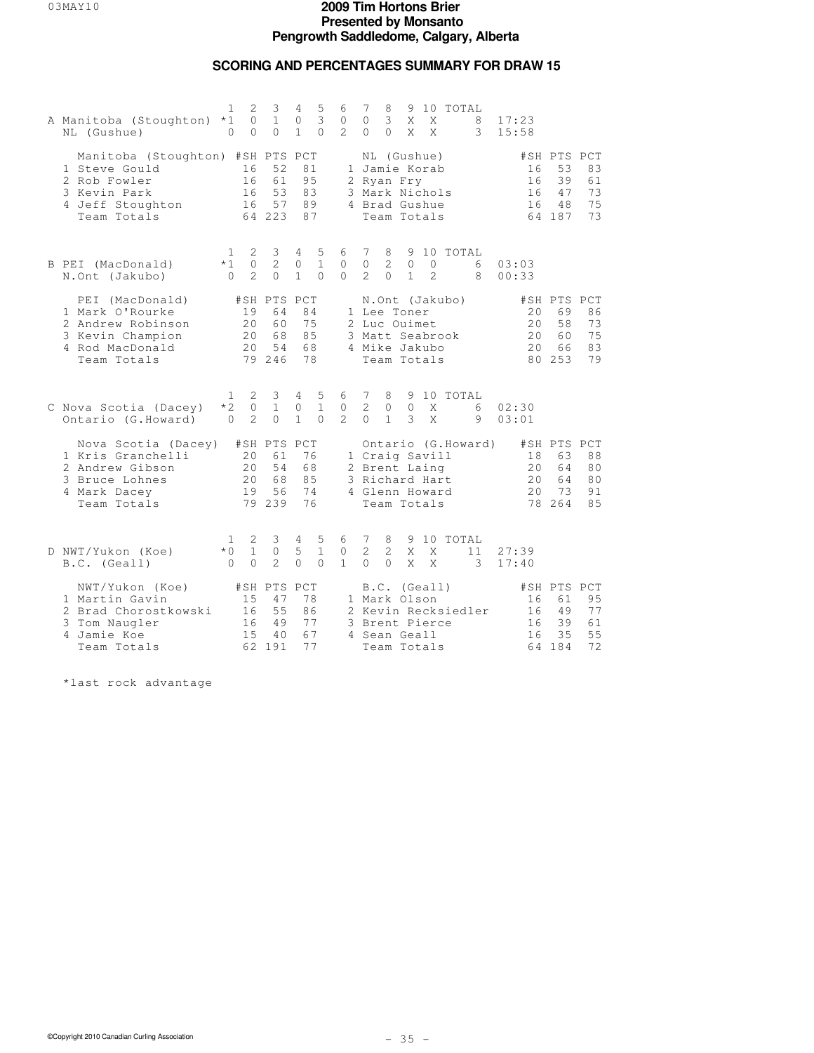### **SCORING AND PERCENTAGES SUMMARY FOR DRAW 15**

| A Manitoba (Stoughton)<br>NL (Gushue)                                                                                | $\mathbf{1}$<br>$*1$<br>$\circ$ | 2<br>$\circ$<br>$\circ$        | 3<br>$\mathbf{1}$<br>$\Omega$                 | 4<br>0<br>$\mathbf{1}$            | 5<br>3<br>$\Omega$            | 6<br>0<br>$\mathcal{L}$  | 7<br>$\circ$<br>$\Omega$        | 8<br>3<br>$\Omega$                     | X<br>X                       | X<br>X                                                                             | 9 10 TOTAL     | 8<br>3              | 17:23<br>15:58        |                                               |                            |
|----------------------------------------------------------------------------------------------------------------------|---------------------------------|--------------------------------|-----------------------------------------------|-----------------------------------|-------------------------------|--------------------------|---------------------------------|----------------------------------------|------------------------------|------------------------------------------------------------------------------------|----------------|---------------------|-----------------------|-----------------------------------------------|----------------------------|
| Manitoba (Stoughton) #SH PTS PCT<br>1 Steve Gould<br>2 Rob Fowler<br>3 Kevin Park<br>4 Jeff Stoughton<br>Team Totals |                                 | 16<br>16<br>16<br>16           | 52<br>61<br>53<br>57<br>64 223                | 81<br>95<br>83<br>89<br>87        |                               |                          |                                 |                                        | 2 Ryan Fry                   | NL (Gushue)<br>1 Jamie Korab<br>3 Mark Nichols<br>4 Brad Gushue<br>Team Totals     |                |                     | 16<br>16<br>16<br>16  | #SH PTS PCT<br>53<br>39<br>47<br>48<br>64 187 | 83<br>61<br>73<br>75<br>73 |
| B PEI (MacDonald)<br>N.Ont (Jakubo)                                                                                  | 1<br>$*1$<br>$\Omega$           | 2<br>$\circ$<br>$\overline{2}$ | 3<br>$\overline{c}$<br>$\Omega$               | 4<br>$\circ$<br>$\mathbf{1}$      | 5<br>$\mathbf{1}$<br>$\Omega$ | 6<br>$\circ$<br>$\Omega$ | 7<br>$\circ$<br>$\overline{2}$  | 8<br>$\mathbf{2}^{\prime}$<br>$\Omega$ | 9<br>$\circ$<br>$\mathbf{1}$ | 10<br>$\mathbf{0}$<br>$\overline{2}$                                               | TOTAL          | 6<br>8              | 03:03<br>00:33        |                                               |                            |
| PEI (MacDonald)<br>1 Mark O'Rourke<br>2 Andrew Robinson<br>3 Kevin Champion<br>4 Rod MacDonald<br>Team Totals        |                                 | 19<br>20<br>20<br>20           | #SH PTS<br>64<br>60<br>68<br>54<br>79 246     | PCT<br>84<br>75<br>85<br>68<br>78 |                               |                          |                                 |                                        | 1 Lee Toner<br>2 Luc Ouimet  | 3 Matt Seabrook<br>4 Mike Jakubo<br>Team Totals                                    | N.Ont (Jakubo) |                     | 20<br>2.0<br>20<br>20 | #SH PTS PCT<br>69<br>58<br>60<br>66<br>80 253 | 86<br>73<br>75<br>83<br>79 |
| C Nova Scotia (Dacey)<br>Ontario (G.Howard)                                                                          | 1<br>$*2$<br>$\Omega$           | 2<br>$\circ$<br>2              | 3<br>$\mathbf{1}$<br>$\Omega$                 | 4<br>0<br>$\mathbf{1}$            | 5<br>$\mathbf{1}$<br>$\Omega$ | 6<br>0<br>$\mathcal{L}$  | 7<br>$\overline{2}$<br>$\Omega$ | 8<br>$\circ$<br>$\mathbf{1}$           | 9<br>$\mathbf{0}$<br>3       | Χ<br>X                                                                             | 10 TOTAL       | 6<br>9              | 02:30<br>03:01        |                                               |                            |
| Nova Scotia (Dacey)<br>1 Kris Granchelli<br>2 Andrew Gibson<br>3 Bruce Lohnes<br>4 Mark Dacey<br>Team Totals         |                                 | 20<br>2.0<br>20<br>19          | #SH PTS PCT<br>61<br>54<br>68<br>56<br>79 239 | 76<br>68<br>85<br>74<br>76        |                               |                          |                                 |                                        |                              | 1 Craig Savill<br>2 Brent Laing<br>3 Richard Hart<br>4 Glenn Howard<br>Team Totals |                | Ontario (G.Howard)  | 18<br>20<br>20<br>20  | #SH PTS PCT<br>63<br>64<br>64<br>73<br>78 264 | 88<br>80<br>80<br>91<br>85 |
| D NWT/Yukon (Koe)<br>B.C. (Geall)                                                                                    | 1<br>$*0$<br>$\Omega$           | 2<br>$\mathbf{1}$<br>$\Omega$  | 3<br>$\circ$<br>$\overline{2}$                | 4<br>5<br>$\Omega$                | 5<br>$\mathbf{1}$<br>$\Omega$ | 6<br>0<br>$\mathbf{1}$   | 7<br>$\overline{2}$<br>$\Omega$ | 8<br>2<br>$\Omega$                     | X<br>X                       | X<br>X                                                                             | 9 10 TOTAL     | 11<br>3             | 27:39<br>17:40        |                                               |                            |
| NWT/Yukon (Koe)<br>1 Martin Gavin<br>2 Brad Chorostkowski<br>3 Tom Naugler<br>4 Jamie Koe<br>Team Totals             |                                 | 15<br>16<br>16<br>15           | #SH PTS PCT<br>47<br>55<br>49<br>40<br>62 191 | 78<br>86<br>77<br>67<br>77        |                               |                          |                                 |                                        | 1 Mark Olson<br>4 Sean Geall | B.C. (Geall)<br>3 Brent Pierce<br>Team Totals                                      |                | 2 Kevin Recksiedler | 16<br>16<br>16<br>16  | #SH PTS PCT<br>61<br>49<br>39<br>35<br>64 184 | 95<br>77<br>61<br>55<br>72 |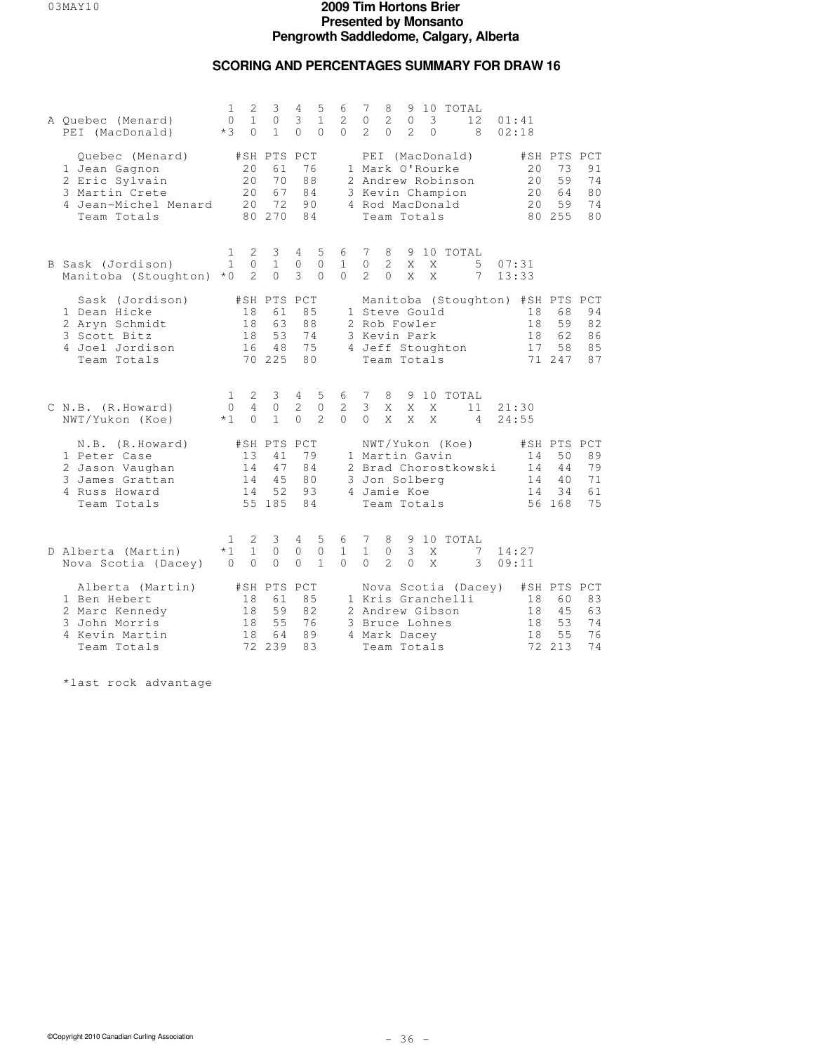## **SCORING AND PERCENTAGES SUMMARY FOR DRAW 16**

| A Quebec (Menard)<br>PEI (MacDonald)                                                                        | 1<br>0<br>$*3$                   | 2<br>$\mathbf{1}$<br>$\Omega$ | 3<br>$\circ$<br>$\mathbf{1}$                  | 4<br>3<br>$\Omega$                           | 5<br>$\mathbf{1}$<br>$\Omega$      | 6<br>2<br>$\Omega$            | 7<br>$\circ$<br>$\mathcal{L}$ | 8<br>$\mathbf{2}$<br>$\Omega$                                 | $\circ$<br>$\mathfrak{D}$ | 9 10<br>3<br>$\Omega$ | TOTAL                                                                                          | 12<br>8              | 01:41 | 02:18                 |                                                                    |                            |
|-------------------------------------------------------------------------------------------------------------|----------------------------------|-------------------------------|-----------------------------------------------|----------------------------------------------|------------------------------------|-------------------------------|-------------------------------|---------------------------------------------------------------|---------------------------|-----------------------|------------------------------------------------------------------------------------------------|----------------------|-------|-----------------------|--------------------------------------------------------------------|----------------------------|
| Quebec (Menard)<br>1 Jean Gagnon<br>2 Eric Sylvain<br>3 Martin Crete<br>4 Jean-Michel Menard<br>Team Totals |                                  | 20<br>20<br>20<br>20          | #SH PTS PCT<br>61<br>70<br>67<br>72<br>80 270 | 76<br>88<br>84<br>90<br>84                   |                                    |                               |                               | Team Totals                                                   |                           |                       | PEI (MacDonald)<br>1 Mark O'Rourke<br>2 Andrew Robinson<br>3 Kevin Champion<br>4 Rod MacDonald |                      |       | 20<br>20<br>20<br>2.0 | #SH PTS PCT<br>73<br>59<br>64<br>59<br>80 255                      | 91<br>74<br>80<br>74<br>80 |
| B Sask (Jordison)<br>Manitoba (Stoughton)                                                                   | 1<br>$\mathbf{1}$<br>$*$ 0       | 2<br>0<br>2                   | 3<br>$\mathbf{1}$<br>$\Omega$                 | 4<br>$\circ$<br>3                            | 5<br>$\mathbf{0}$<br>$\Omega$      | 6<br>$\mathbf{1}$<br>$\Omega$ | 7<br>$\Omega$<br>$2^{\circ}$  | 8<br>$\overline{2}$<br>$\Omega$                               | $\mathsf{X}$<br>X         | X<br>X                | 9 10 TOTAL                                                                                     | 5<br>$7\phantom{.0}$ | 13:33 | 07:31                 |                                                                    |                            |
| Sask (Jordison)<br>1 Dean Hicke<br>2 Aryn Schmidt<br>3 Scott Bitz<br>4 Joel Jordison<br>Team Totals         |                                  | 18<br>18<br>18<br>16          | #SH PTS PCT<br>61<br>63<br>53<br>48<br>70 225 | 85<br>88<br>74<br>75<br>80                   |                                    |                               |                               | 1 Steve Gould<br>2 Rob Fowler<br>3 Kevin Park<br>Team Totals  |                           |                       | 4 Jeff Stoughton                                                                               |                      |       | 18<br>18<br>18<br>17  | Manitoba (Stoughton) #SH PTS PCT<br>68<br>59<br>62<br>58<br>71 247 | 94<br>82<br>86<br>85<br>87 |
| C N.B. (R.Howard)<br>NWT/Yukon (Koe)                                                                        | $\mathbf{1}$<br>$\Omega$<br>$*1$ | 2<br>4<br>$\Omega$            | 3<br>$\Omega$<br>$\mathbf{1}$                 | $4\phantom{0}$<br>$\overline{c}$<br>$\Omega$ | 5<br>$\mathbf{0}$<br>$\mathcal{L}$ | 6<br>2<br>$\Omega$            | 7<br>3<br>$\cap$              | 8<br>X<br>X                                                   | X<br>X                    | X<br>X                | 9 10 TOTAL                                                                                     | 11<br>$\overline{4}$ |       | 21:30<br>24:55        |                                                                    |                            |
| N.B. (R.Howard)<br>1 Peter Case<br>2 Jason Vaughan<br>3 James Grattan<br>4 Russ Howard<br>Team Totals       |                                  | 13<br>14<br>14<br>14          | #SH PTS PCT<br>41<br>47<br>45<br>52<br>55 185 | 79<br>84<br>80<br>93<br>84                   |                                    |                               |                               | 1 Martin Gavin<br>3 Jon Solberg<br>4 Jamie Koe<br>Team Totals |                           |                       | NWT/Yukon (Koe)                                                                                | 2 Brad Chorostkowski |       | 14<br>14<br>14<br>14  | #SH PTS PCT<br>50<br>44<br>40<br>34<br>56 168                      | 89<br>79<br>71<br>61<br>75 |
| D Alberta (Martin)<br>Nova Scotia (Dacey)                                                                   | 1<br>$*1$<br>$\circ$             | 2<br>$\mathbf{1}$<br>$\circ$  | 3<br>$\circ$<br>$\circ$                       | 4<br>$\circ$<br>$\circ$                      | 5<br>$\mathbf 0$<br>$\mathbf{1}$   | 6<br>$\mathbf{1}$<br>$\Omega$ | 7<br>$\mathbf{1}$<br>$\Omega$ | 8<br>$\mathbb O$<br>$\overline{2}$                            | 3<br>$\circ$              | X<br>X                | 9 10 TOTAL                                                                                     | 7<br>3               |       | 14:27<br>09:11        |                                                                    |                            |
| Alberta (Martin)<br>1 Ben Hebert<br>2 Marc Kennedy<br>3 John Morris<br>4 Kevin Martin<br>Team Totals        |                                  | 18<br>18<br>18<br>18          | #SH PTS PCT<br>61<br>59<br>55<br>64<br>72 239 | 85<br>82<br>76<br>89<br>83                   |                                    |                               |                               | 3 Bruce Lohnes<br>4 Mark Dacey<br>Team Totals                 |                           |                       | 1 Kris Granchelli<br>2 Andrew Gibson                                                           | Nova Scotia (Dacey)  |       | 18<br>18<br>18<br>18  | #SH PTS PCT<br>60<br>45<br>53<br>55<br>72 213                      | 83<br>63<br>74<br>76<br>74 |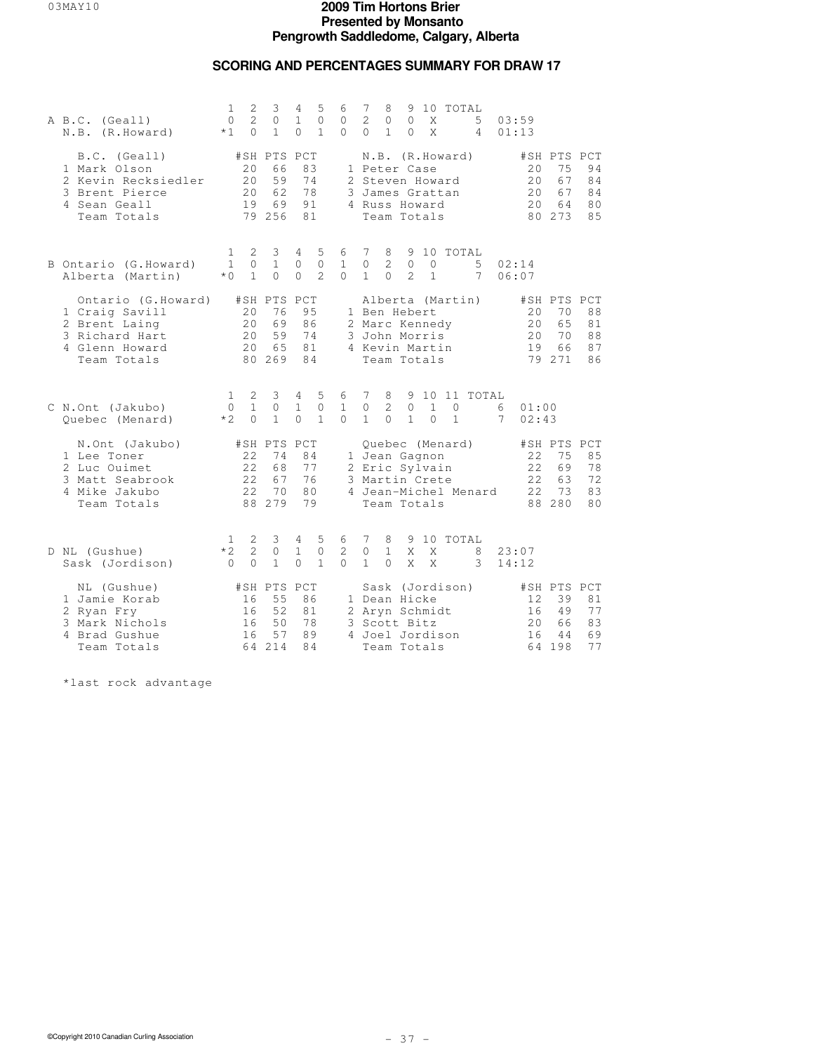### **SCORING AND PERCENTAGES SUMMARY FOR DRAW 17**

| A B.C. (Geall)<br>N.B. (R.Howard)                                                                        | 1<br>$\circ$<br>$*1$             | $\mathbf{2}$<br>$\overline{c}$<br>$\Omega$ | 3<br>$\circ$<br>$\mathbf{1}$                  | 4<br>$\mathbf{1}$<br>$\Omega$ | 5<br>$\mathbf{0}$<br>$\mathbf{1}$ | 6<br>$\circ$<br>$\Omega$        | 7<br>2<br>$\Omega$            | 8<br>0<br>$\mathbf{1}$         | 9<br>$\circ$<br>$\Omega$                                                         | X<br>$\mathsf{X}$        | 10 TOTAL                           | 5<br>$\overline{4}$  |        | 03:59<br>01:13           |                                               |                                        |
|----------------------------------------------------------------------------------------------------------|----------------------------------|--------------------------------------------|-----------------------------------------------|-------------------------------|-----------------------------------|---------------------------------|-------------------------------|--------------------------------|----------------------------------------------------------------------------------|--------------------------|------------------------------------|----------------------|--------|--------------------------|-----------------------------------------------|----------------------------------------|
| B.C. (Geall)<br>1 Mark Olson<br>2 Kevin Recksiedler<br>3 Brent Pierce<br>4 Sean Geall<br>Team Totals     |                                  | 2.0<br>20<br>20<br>19                      | #SH PTS PCT<br>66<br>59<br>62<br>69<br>79 256 | 83<br>78<br>91<br>81          | 74                                |                                 |                               |                                | 1 Peter Case<br>2 Steven Howard<br>4 Russ Howard<br>Team Totals                  |                          | N.B. (R.Howard)<br>3 James Grattan |                      |        | 20<br>20<br>20<br>20     | #SH PTS PCT<br>75<br>67<br>67<br>64<br>80 273 | 94<br>84<br>84<br>80<br>85             |
| B Ontario (G. Howard)<br>Alberta (Martin)                                                                | 1<br>$\mathbf{1}$<br>$*$ 0       | 2<br>$\Omega$<br>$\mathbf{1}$              | 3<br>$\mathbf{1}$<br>$\Omega$                 | 4<br>$\Omega$<br>$\Omega$     | 5<br>$\circ$<br>$\mathcal{L}$     | 6<br>$\mathbf{1}$<br>$\Omega$   | 7<br>$\Omega$<br>$\mathbf{1}$ | 8<br>$\mathcal{L}$<br>$\Omega$ | 9<br>$\overline{0}$<br>$\mathcal{L}$                                             | $\Omega$<br>$\mathbf{1}$ | 10 TOTAL                           | 5<br>7               |        | 02:14<br>06:07           |                                               |                                        |
| Ontario (G.Howard)<br>1 Craig Savill<br>2 Brent Laing<br>3 Richard Hart<br>4 Glenn Howard<br>Team Totals |                                  | 20<br>20<br>20<br>20                       | #SH PTS PCT<br>76<br>69<br>59<br>65<br>80 269 | 95<br>86<br>74<br>81<br>84    |                                   |                                 |                               |                                | 1 Ben Hebert<br>2 Marc Kennedy<br>3 John Morris<br>4 Kevin Martin<br>Team Totals |                          | Alberta (Martin)                   |                      |        | 20<br>20<br>20<br>19     | #SH PTS PCT<br>70<br>65<br>70<br>66<br>79 271 | 88<br>81<br>88<br>87<br>86             |
| C N.Ont (Jakubo)<br>Quebec (Menard)                                                                      | $\mathbf{1}$<br>$\Omega$<br>$*2$ | 2<br>$\mathbf{1}$<br>$\Omega$              | 3<br>$\circ$<br>$\mathbf{1}$                  | 4<br>$\mathbf{1}$<br>$\Omega$ | 5<br>$\circ$<br>$\mathbf{1}$      | 6<br>$\mathbf{1}$<br>$\Omega$   | 7<br>$\circ$<br>$\mathbf{1}$  | 8<br>2<br>$\Omega$             | $\circ$<br>$\mathbf{1}$                                                          | $\mathbf{1}$<br>$\Omega$ | $\mathbf{0}$<br>$\mathbf{1}$       | 9 10 11 TOTAL        | 6<br>7 | 01:00<br>02:43           |                                               |                                        |
| N.Ont (Jakubo)<br>1 Lee Toner<br>2 Luc Ouimet<br>3 Matt Seabrook<br>4 Mike Jakubo<br>Team Totals         |                                  | 22<br>22<br>2.2.<br>2.2.                   | #SH PTS PCT<br>74<br>68<br>67<br>70<br>88 279 | 84<br>77<br>76<br>80<br>79    |                                   |                                 |                               |                                | 1 Jean Gagnon<br>2 Eric Sylvain<br>3 Martin Crete<br>Team Totals                 |                          | Quebec (Menard)                    | 4 Jean-Michel Menard |        | 22<br>22<br>2.2.<br>2.2. | #SH PTS PCT<br>75<br>69<br>63<br>73<br>88 280 | 85<br>78<br>72<br>83<br>8 <sub>0</sub> |
| D NL (Gushue)<br>Sask (Jordison)                                                                         | $\mathbf{1}$<br>$*2$<br>$\Omega$ | 2<br>$\overline{c}$<br>$\Omega$            | 3<br>$\circ$<br>$\mathbf{1}$                  | 4<br>$\mathbf{1}$<br>$\Omega$ | 5<br>$\circ$<br>$\mathbf{1}$      | 6<br>$\overline{2}$<br>$\Omega$ | 7<br>$\circ$<br>$\mathbf{1}$  | 8<br>$\mathbf{1}$<br>$\Omega$  | 9<br>X<br>X                                                                      | X<br>X                   | 10 TOTAL                           | 8<br>3               |        | 23:07<br>14:12           |                                               |                                        |
| NL (Gushue)<br>1 Jamie Korab<br>2 Ryan Fry<br>3 Mark Nichols<br>4 Brad Gushue<br>Team Totals             |                                  | 16<br>16<br>16<br>16                       | #SH PTS PCT<br>55<br>52<br>50<br>57<br>64 214 | 86<br>81<br>78<br>89<br>84    |                                   |                                 |                               |                                | 1 Dean Hicke<br>2 Aryn Schmidt<br>3 Scott Bitz<br>4 Joel Jordison<br>Team Totals |                          | Sask (Jordison)                    |                      |        | 12<br>16<br>2.0<br>16    | #SH PTS PCT<br>39<br>49<br>66<br>44<br>64 198 | 81<br>77<br>83<br>69<br>77             |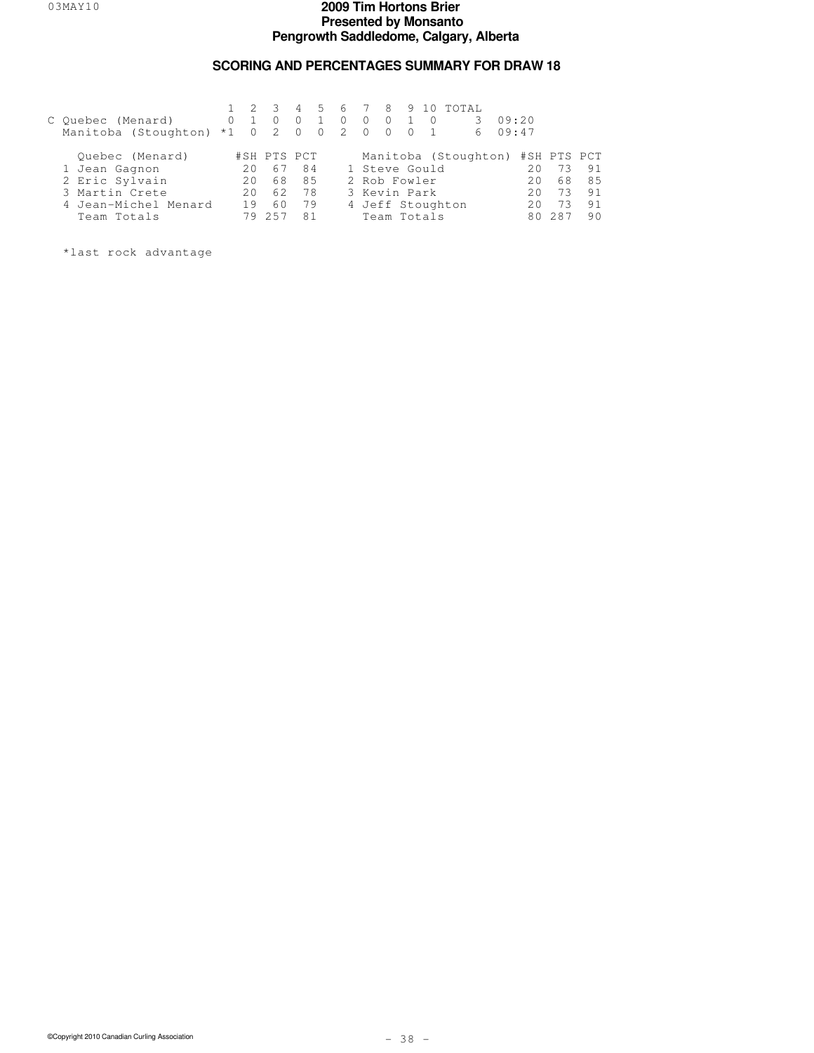## **SCORING AND PERCENTAGES SUMMARY FOR DRAW 18**

| C Ouebec (Menard)                 |     | - 3<br>$0\quad 1\quad 0$ | $\Omega$       | 4 5 6 7 8 9 10<br>$\Omega$ | $\overline{0}$ | $\overline{0}$                      |               | TOTAL.<br>3.                     | 09:20 |     |    |
|-----------------------------------|-----|--------------------------|----------------|----------------------------|----------------|-------------------------------------|---------------|----------------------------------|-------|-----|----|
| Manitoba (Stoughton) *1 0 2 0 0 2 |     |                          |                |                            | $\bigcirc$     | $\begin{matrix} 0 & 0 \end{matrix}$ |               | 6                                | 09:47 |     |    |
| Ouebec (Menard)                   |     | #SH PTS PCT              |                |                            |                |                                     |               | Manitoba (Stoughton) #SH PTS PCT |       |     |    |
| 1 Jean Gagnon                     | 20  | 67                       | 84             |                            |                |                                     | 1 Steve Gould |                                  | 20    | 73  | 91 |
| 2 Eric Sylvain                    | 2.0 | 68                       | 85             |                            |                | 2 Rob Fowler                        |               |                                  | 20    | 68  | 85 |
| 3 Martin Crete                    | 2.0 | 62                       | 78             |                            |                |                                     | 3 Kevin Park  |                                  | 20    | 73  | 91 |
| 4 Jean-Michel Menard              | 19  | 60                       | 79             |                            |                |                                     |               | 4 Jeff Stoughton                 | 20    | 73  | 91 |
| Team Totals                       | 79  | 257                      | R <sub>1</sub> |                            |                |                                     | Team Totals   |                                  |       | 287 | 90 |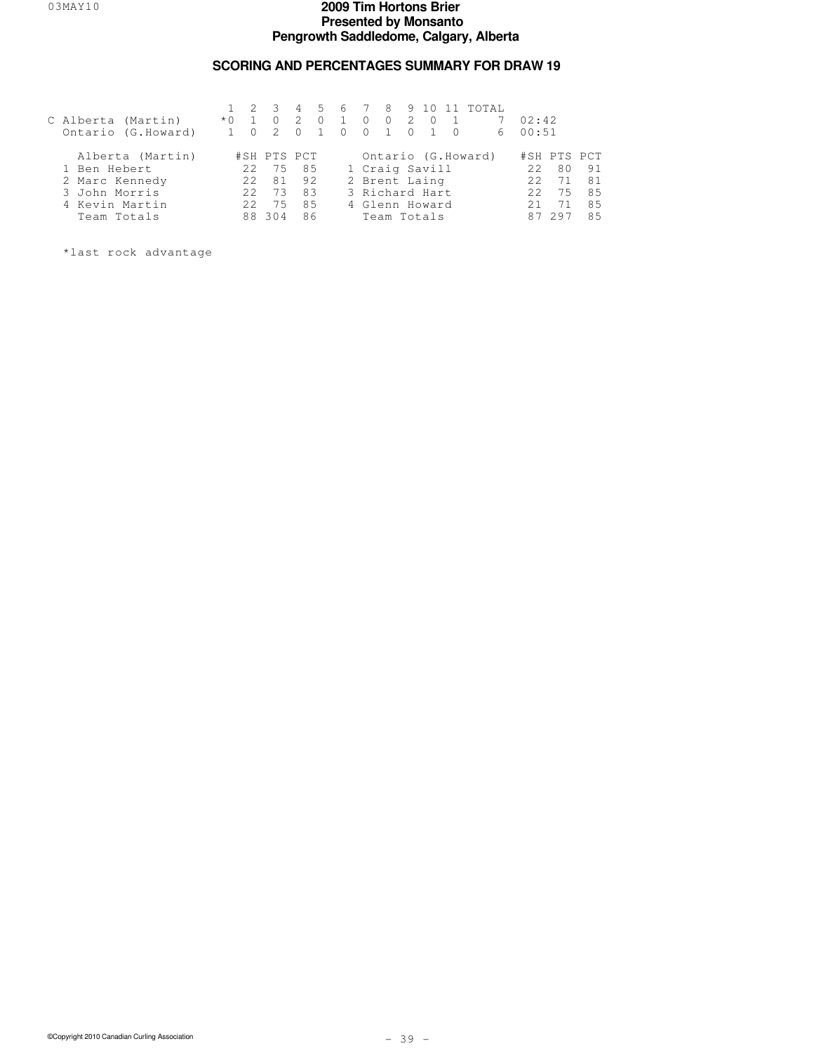### **SCORING AND PERCENTAGES SUMMARY FOR DRAW 19**

|                |                    |       |                  |             | $\overline{4}$ |            |                |          |  |                 | 5 6 7 8 9 10 11 TOTAL |        |             |     |
|----------------|--------------------|-------|------------------|-------------|----------------|------------|----------------|----------|--|-----------------|-----------------------|--------|-------------|-----|
|                | C Alberta (Martin) | $*$ 0 |                  |             | 2              | $\bigcirc$ | $\overline{1}$ | $\Omega$ |  | $0 \t2 \t0 \t1$ | 7                     | 02:42  |             |     |
|                | Ontario (G.Howard) |       |                  |             | $\bigcap$      |            | 0 0 1 0 1 0    |          |  |                 |                       | 600:51 |             |     |
|                | Alberta (Martin)   |       |                  | #SH PTS PCT |                |            |                |          |  |                 | Ontario (G.Howard)    |        | #SH PTS PCT |     |
| 1 Ben Hebert   |                    |       | 2.2 <sub>1</sub> | 75 85       |                |            |                |          |  | 1 Craig Savill  |                       | 2.2.   | 80          | 91  |
| 2 Marc Kennedy |                    |       | 2.2              |             | 81 92          |            |                |          |  | 2 Brent Laing   |                       | 2.2.   | 71          | 81  |
| 3 John Morris  |                    |       | 2.2              | 73          | 83             |            |                |          |  | 3 Richard Hart  |                       | 2.2.   | 75          | 85  |
| 4 Kevin Martin |                    |       | 2.2 <sub>1</sub> | 75          | 85             |            |                |          |  | 4 Glenn Howard  |                       | 21     | 71          | 8.5 |
| Team Totals    |                    |       |                  | 88 304      | 86             |            |                |          |  | Team Totals     |                       |        | 297         | 85  |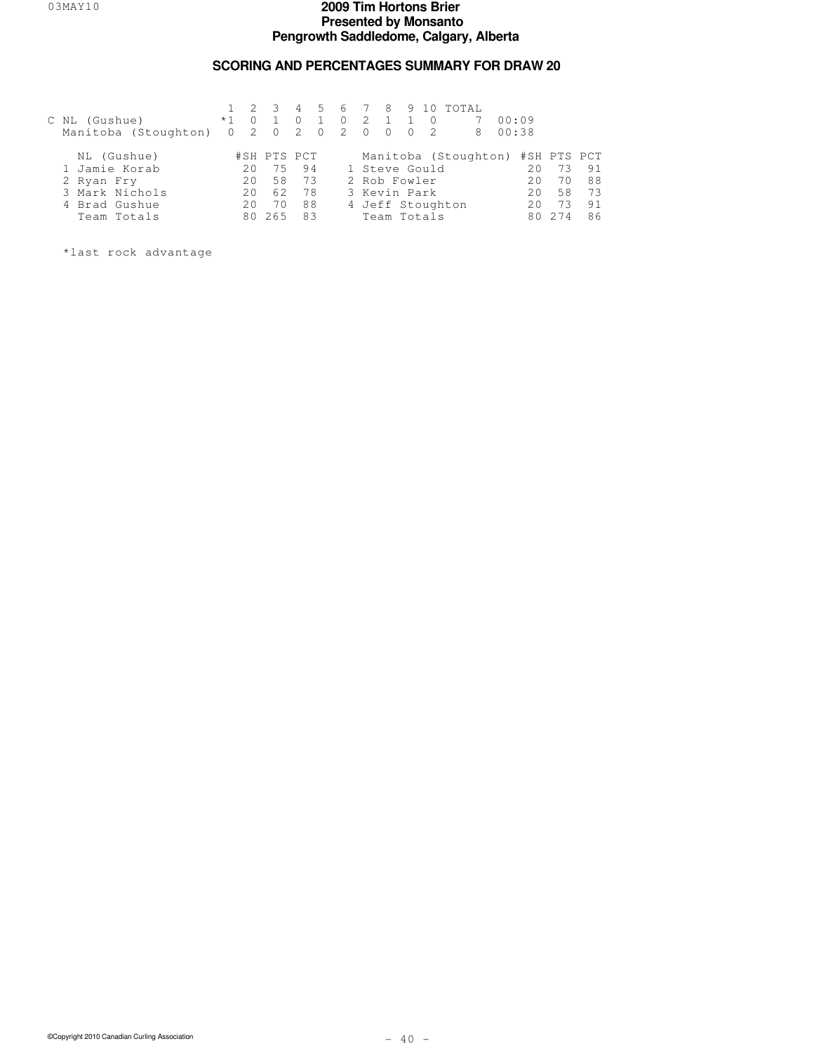## **SCORING AND PERCENTAGES SUMMARY FOR DRAW 20**

| C NL (Gushue)<br>Manitoba (Stoughton) 0 2 0 2 0 | $*1$ | $\Omega$ | $1 \t2 \t3$ | $\Omega$ | $0\quad 2$<br>2 0 | $\overline{1}$<br>$0 \quad 0 \quad 2$ |               | 4 5 6 7 8 9 10 TOTAL<br>8        | 00:09<br>00:38 |    |    |
|-------------------------------------------------|------|----------|-------------|----------|-------------------|---------------------------------------|---------------|----------------------------------|----------------|----|----|
| NL (Gushue)                                     |      |          | #SH PTS PCT |          |                   |                                       |               | Manitoba (Stoughton) #SH PTS PCT |                |    |    |
| 1 Jamie Korab                                   |      | 2.0      | 75          | 94       |                   |                                       | 1 Steve Gould |                                  | 2.0            |    | 91 |
| 2 Ryan Fry                                      |      | 20       | 58          | - 73     |                   | 2 Rob Fowler                          |               |                                  | 2.0            | 70 | 88 |
| 3 Mark Nichols                                  |      | 2.0      | 62          | 78       |                   |                                       | 3 Kevin Park  |                                  | 2.0            | 58 | 73 |
| 4 Brad Gushue                                   |      | 2.0      | 70          | 88       |                   |                                       |               | 4 Jeff Stoughton                 | 2.0            |    | 91 |
| Team Totals                                     |      | 80       | 265         | 83       |                   |                                       | Team Totals   |                                  |                |    | 86 |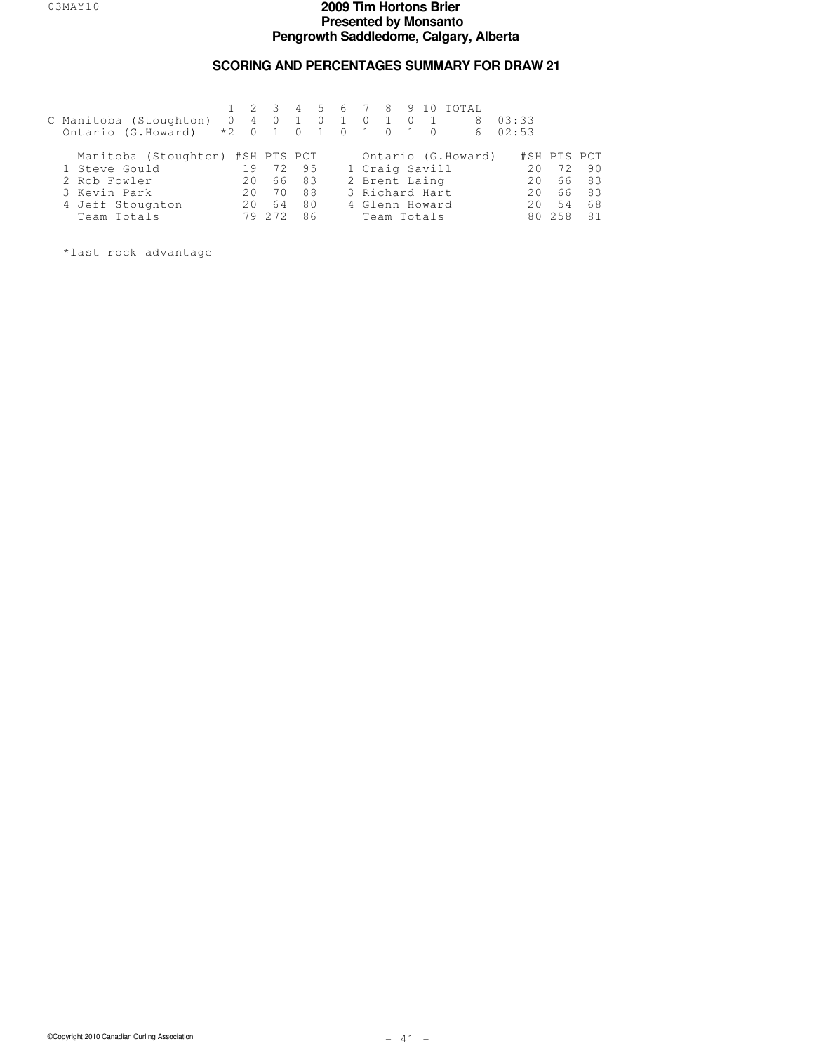### **SCORING AND PERCENTAGES SUMMARY FOR DRAW 21**

|                                       |     |                     |    |                |                   |                |                |            | 4 5 6 7 8 9 10 TOTAL |       |             |    |
|---------------------------------------|-----|---------------------|----|----------------|-------------------|----------------|----------------|------------|----------------------|-------|-------------|----|
| C Manitoba (Stoughton)                |     | $0 \quad 4 \quad 0$ |    | $\overline{0}$ | $\cdot$ 1 $\cdot$ | $\overline{0}$ | 1 0            |            | 8                    | 03:33 |             |    |
| Ontario (G.Howard) *2 0 1 0 1 0 1 0 1 |     |                     |    |                |                   |                |                | $\bigcirc$ | 6                    | 02:53 |             |    |
| Manitoba (Stoughton) #SH PTS PCT      |     |                     |    |                |                   |                |                |            | Ontario (G.Howard)   |       | #SH PTS PCT |    |
| 1 Steve Gould                         | 19  | 72                  | 95 |                |                   |                | 1 Craig Savill |            |                      | 20    | 72          | 90 |
| 2 Rob Fowler                          | 2.0 | 66.                 | 83 |                |                   |                | 2 Brent Laing  |            |                      | 20    | 66          | 83 |
| 3 Kevin Park                          | 20  | 70                  | 88 |                |                   |                | 3 Richard Hart |            |                      | 20    | 66          | 83 |
| 4 Jeff Stoughton                      | 20  | 64                  | 80 |                |                   |                | 4 Glenn Howard |            |                      | 20    | 54          | 68 |
| Team Totals                           | 79  | 2.72                | 86 |                |                   |                | Team Totals    |            |                      |       | 80 258      | 81 |